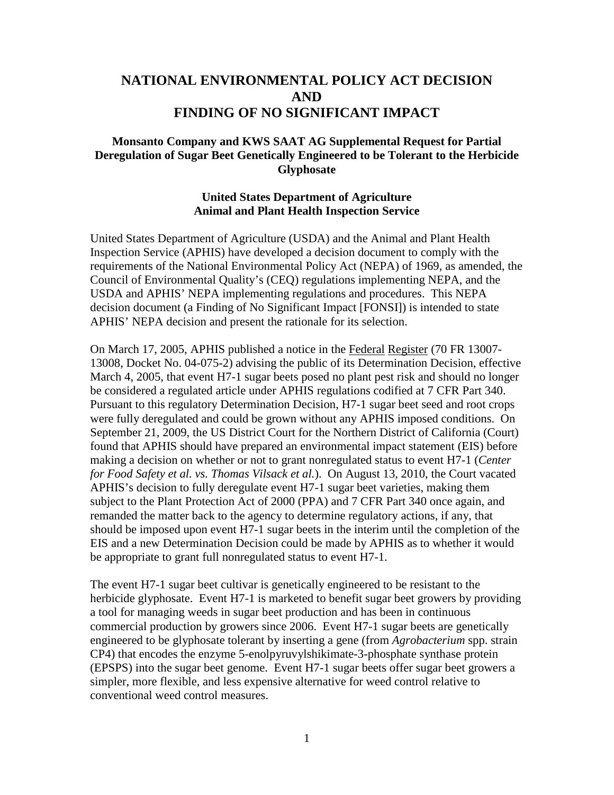# **NATIONAL ENVIRONMENTAL POLICY ACT DECISION AND FINDING OF NO SIGNIFICANT IMPACT**

#### **Monsanto Company and KWS SAAT AG Supplemental Request for Partial Deregulation of Sugar Beet Genetically Engineered to be Tolerant to the Herbicide Glyphosate**

#### **United States Department of Agriculture Animal and Plant Health Inspection Service**

United States Department of Agriculture (USDA) and the Animal and Plant Health Inspection Service (APHIS) have developed a decision document to comply with the requirements of the National Environmental Policy Act (NEPA) of 1969, as amended, the Council of Environmental Quality's (CEQ) regulations implementing NEPA, and the USDA and APHIS' NEPA implementing regulations and procedures. This NEPA decision document (a Finding of No Significant Impact [FONSI]) is intended to state APHIS' NEPA decision and present the rationale for its selection.

On March 17, 2005, APHIS published a notice in the Federal Register (70 FR 13007- 13008, Docket No. 04-075-2) advising the public of its Determination Decision, effective March 4, 2005, that event H7-1 sugar beets posed no plant pest risk and should no longer be considered a regulated article under APHIS regulations codified at 7 CFR Part 340. Pursuant to this regulatory Determination Decision, H7-1 sugar beet seed and root crops were fully deregulated and could be grown without any APHIS imposed conditions. On September 21, 2009, the US District Court for the Northern District of California (Court) found that APHIS should have prepared an environmental impact statement (EIS) before making a decision on whether or not to grant nonregulated status to event H7-1 (*Center for Food Safety et al. vs. Thomas Vilsack et al.*). On August 13, 2010, the Court vacated APHIS's decision to fully deregulate event H7-1 sugar beet varieties, making them subject to the Plant Protection Act of 2000 (PPA) and 7 CFR Part 340 once again, and remanded the matter back to the agency to determine regulatory actions, if any, that should be imposed upon event H7-1 sugar beets in the interim until the completion of the EIS and a new Determination Decision could be made by APHIS as to whether it would be appropriate to grant full nonregulated status to event H7-1.

The event H7-1 sugar beet cultivar is genetically engineered to be resistant to the herbicide glyphosate. Event H7-1 is marketed to benefit sugar beet growers by providing a tool for managing weeds in sugar beet production and has been in continuous commercial production by growers since 2006. Event H7-1 sugar beets are genetically engineered to be glyphosate tolerant by inserting a gene (from *Agrobacterium* spp. strain CP4) that encodes the enzyme 5-enolpyruvylshikimate-3-phosphate synthase protein (EPSPS) into the sugar beet genome. Event H7-1 sugar beets offer sugar beet growers a simpler, more flexible, and less expensive alternative for weed control relative to conventional weed control measures.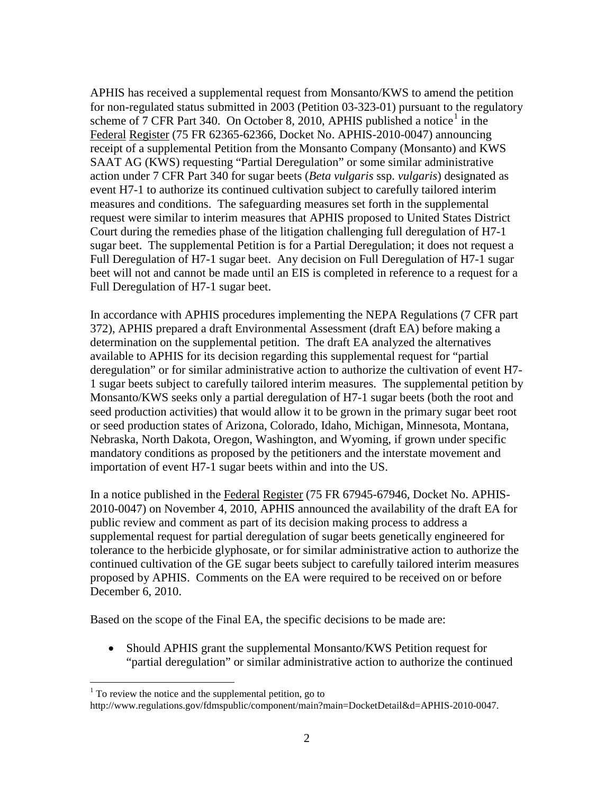APHIS has received a supplemental request from Monsanto/KWS to amend the petition for non-regulated status submitted in 2003 (Petition 03-323-01) pursuant to the regulatory scheme of 7 CFR Part 340. On October 8, 20[1](#page-1-0)0, APHIS published a notice<sup>1</sup> in the Federal Register (75 FR 62365-62366, Docket No. APHIS-2010-0047) announcing receipt of a supplemental Petition from the Monsanto Company (Monsanto) and KWS SAAT AG (KWS) requesting "Partial Deregulation" or some similar administrative action under 7 CFR Part 340 for sugar beets (*Beta vulgaris* ssp. *vulgaris*) designated as event H7-1 to authorize its continued cultivation subject to carefully tailored interim measures and conditions. The safeguarding measures set forth in the supplemental request were similar to interim measures that APHIS proposed to United States District Court during the remedies phase of the litigation challenging full deregulation of H7-1 sugar beet. The supplemental Petition is for a Partial Deregulation; it does not request a Full Deregulation of H7-1 sugar beet. Any decision on Full Deregulation of H7-1 sugar beet will not and cannot be made until an EIS is completed in reference to a request for a Full Deregulation of H7-1 sugar beet.

In accordance with APHIS procedures implementing the NEPA Regulations (7 CFR part 372), APHIS prepared a draft Environmental Assessment (draft EA) before making a determination on the supplemental petition. The draft EA analyzed the alternatives available to APHIS for its decision regarding this supplemental request for "partial deregulation" or for similar administrative action to authorize the cultivation of event H7- 1 sugar beets subject to carefully tailored interim measures. The supplemental petition by Monsanto/KWS seeks only a partial deregulation of H7-1 sugar beets (both the root and seed production activities) that would allow it to be grown in the primary sugar beet root or seed production states of Arizona, Colorado, Idaho, Michigan, Minnesota, Montana, Nebraska, North Dakota, Oregon, Washington, and Wyoming, if grown under specific mandatory conditions as proposed by the petitioners and the interstate movement and importation of event H7-1 sugar beets within and into the US.

In a notice published in the Federal Register (75 FR 67945-67946, Docket No. APHIS-2010-0047) on November 4, 2010, APHIS announced the availability of the draft EA for public review and comment as part of its decision making process to address a supplemental request for partial deregulation of sugar beets genetically engineered for tolerance to the herbicide glyphosate, or for similar administrative action to authorize the continued cultivation of the GE sugar beets subject to carefully tailored interim measures proposed by APHIS. Comments on the EA were required to be received on or before December 6, 2010.

Based on the scope of the Final EA, the specific decisions to be made are:

• Should APHIS grant the supplemental Monsanto/KWS Petition request for "partial deregulation" or similar administrative action to authorize the continued

<span id="page-1-0"></span> $<sup>1</sup>$  To review the notice and the supplemental petition, go to</sup>

http://www.regulations.gov/fdmspublic/component/main?main=DocketDetail&d=APHIS-2010-0047.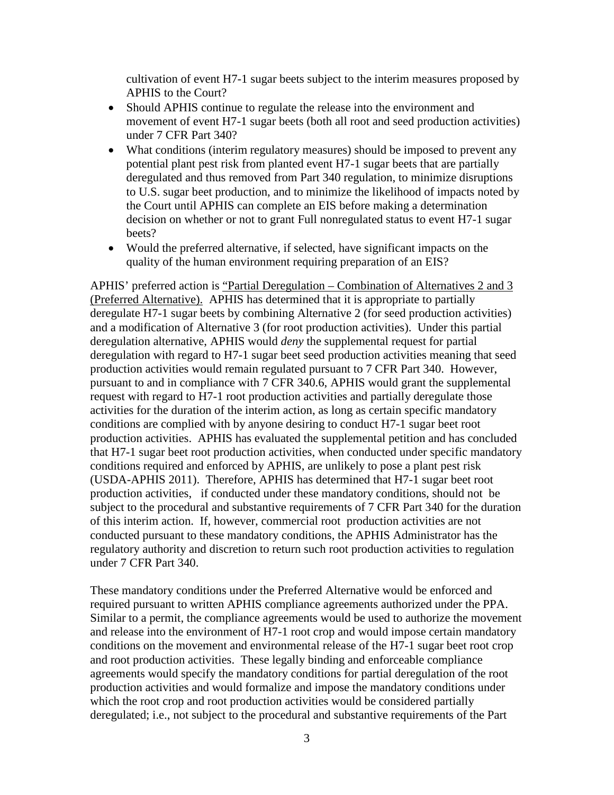cultivation of event H7-1 sugar beets subject to the interim measures proposed by APHIS to the Court?

- Should APHIS continue to regulate the release into the environment and movement of event H7-1 sugar beets (both all root and seed production activities) under 7 CFR Part 340?
- What conditions (interim regulatory measures) should be imposed to prevent any potential plant pest risk from planted event H7-1 sugar beets that are partially deregulated and thus removed from Part 340 regulation, to minimize disruptions to U.S. sugar beet production, and to minimize the likelihood of impacts noted by the Court until APHIS can complete an EIS before making a determination decision on whether or not to grant Full nonregulated status to event H7-1 sugar beets?
- Would the preferred alternative, if selected, have significant impacts on the quality of the human environment requiring preparation of an EIS?

APHIS' preferred action is "Partial Deregulation – Combination of Alternatives 2 and 3 (Preferred Alternative). APHIS has determined that it is appropriate to partially deregulate H7-1 sugar beets by combining Alternative 2 (for seed production activities) and a modification of Alternative 3 (for root production activities). Under this partial deregulation alternative, APHIS would *deny* the supplemental request for partial deregulation with regard to H7-1 sugar beet seed production activities meaning that seed production activities would remain regulated pursuant to 7 CFR Part 340. However, pursuant to and in compliance with 7 CFR 340.6, APHIS would grant the supplemental request with regard to H7-1 root production activities and partially deregulate those activities for the duration of the interim action, as long as certain specific mandatory conditions are complied with by anyone desiring to conduct H7-1 sugar beet root production activities. APHIS has evaluated the supplemental petition and has concluded that H7-1 sugar beet root production activities, when conducted under specific mandatory conditions required and enforced by APHIS, are unlikely to pose a plant pest risk (USDA-APHIS 2011). Therefore, APHIS has determined that H7-1 sugar beet root production activities, if conducted under these mandatory conditions, should not be subject to the procedural and substantive requirements of 7 CFR Part 340 for the duration of this interim action. If, however, commercial root production activities are not conducted pursuant to these mandatory conditions, the APHIS Administrator has the regulatory authority and discretion to return such root production activities to regulation under 7 CFR Part 340.

These mandatory conditions under the Preferred Alternative would be enforced and required pursuant to written APHIS compliance agreements authorized under the PPA. Similar to a permit, the compliance agreements would be used to authorize the movement and release into the environment of H7-1 root crop and would impose certain mandatory conditions on the movement and environmental release of the H7-1 sugar beet root crop and root production activities. These legally binding and enforceable compliance agreements would specify the mandatory conditions for partial deregulation of the root production activities and would formalize and impose the mandatory conditions under which the root crop and root production activities would be considered partially deregulated; i.e., not subject to the procedural and substantive requirements of the Part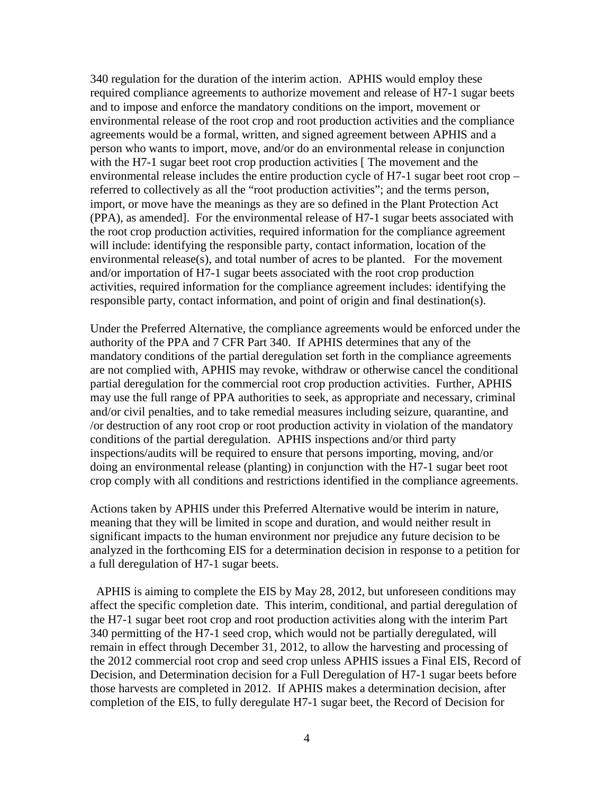340 regulation for the duration of the interim action. APHIS would employ these required compliance agreements to authorize movement and release of H7-1 sugar beets and to impose and enforce the mandatory conditions on the import, movement or environmental release of the root crop and root production activities and the compliance agreements would be a formal, written, and signed agreement between APHIS and a person who wants to import, move, and/or do an environmental release in conjunction with the H7-1 sugar beet root crop production activities [The movement and the environmental release includes the entire production cycle of H7-1 sugar beet root crop – referred to collectively as all the "root production activities"; and the terms person, import, or move have the meanings as they are so defined in the Plant Protection Act (PPA), as amended]. For the environmental release of H7-1 sugar beets associated with the root crop production activities, required information for the compliance agreement will include: identifying the responsible party, contact information, location of the environmental release(s), and total number of acres to be planted. For the movement and/or importation of H7-1 sugar beets associated with the root crop production activities, required information for the compliance agreement includes: identifying the responsible party, contact information, and point of origin and final destination(s).

Under the Preferred Alternative, the compliance agreements would be enforced under the authority of the PPA and 7 CFR Part 340. If APHIS determines that any of the mandatory conditions of the partial deregulation set forth in the compliance agreements are not complied with, APHIS may revoke, withdraw or otherwise cancel the conditional partial deregulation for the commercial root crop production activities. Further, APHIS may use the full range of PPA authorities to seek, as appropriate and necessary, criminal and/or civil penalties, and to take remedial measures including seizure, quarantine, and /or destruction of any root crop or root production activity in violation of the mandatory conditions of the partial deregulation. APHIS inspections and/or third party inspections/audits will be required to ensure that persons importing, moving, and/or doing an environmental release (planting) in conjunction with the H7-1 sugar beet root crop comply with all conditions and restrictions identified in the compliance agreements.

Actions taken by APHIS under this Preferred Alternative would be interim in nature, meaning that they will be limited in scope and duration, and would neither result in significant impacts to the human environment nor prejudice any future decision to be analyzed in the forthcoming EIS for a determination decision in response to a petition for a full deregulation of H7-1 sugar beets.

 APHIS is aiming to complete the EIS by May 28, 2012, but unforeseen conditions may affect the specific completion date. This interim, conditional, and partial deregulation of the H7-1 sugar beet root crop and root production activities along with the interim Part 340 permitting of the H7-1 seed crop, which would not be partially deregulated, will remain in effect through December 31, 2012, to allow the harvesting and processing of the 2012 commercial root crop and seed crop unless APHIS issues a Final EIS, Record of Decision, and Determination decision for a Full Deregulation of H7-1 sugar beets before those harvests are completed in 2012. If APHIS makes a determination decision, after completion of the EIS, to fully deregulate H7-1 sugar beet, the Record of Decision for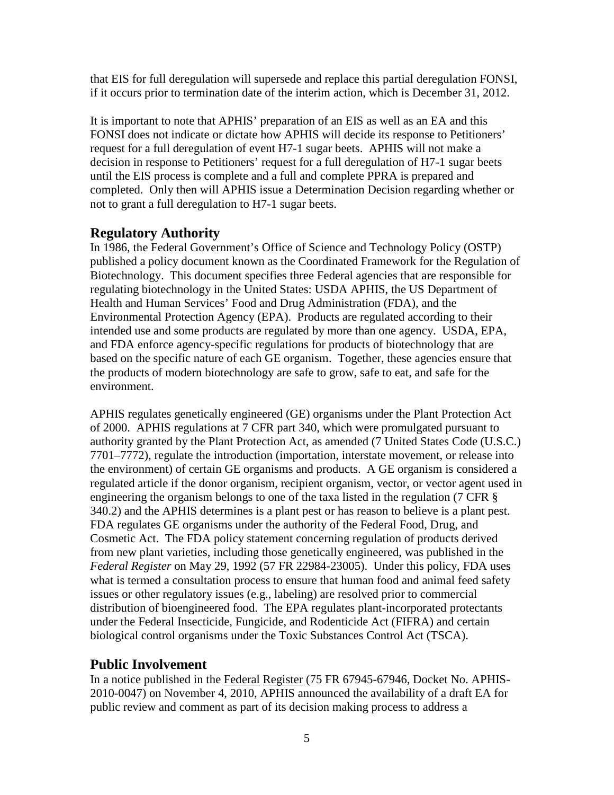that EIS for full deregulation will supersede and replace this partial deregulation FONSI, if it occurs prior to termination date of the interim action, which is December 31, 2012.

It is important to note that APHIS' preparation of an EIS as well as an EA and this FONSI does not indicate or dictate how APHIS will decide its response to Petitioners' request for a full deregulation of event H7-1 sugar beets. APHIS will not make a decision in response to Petitioners' request for a full deregulation of H7-1 sugar beets until the EIS process is complete and a full and complete PPRA is prepared and completed. Only then will APHIS issue a Determination Decision regarding whether or not to grant a full deregulation to H7-1 sugar beets.

# **Regulatory Authority**

In 1986, the Federal Government's Office of Science and Technology Policy (OSTP) published a policy document known as the Coordinated Framework for the Regulation of Biotechnology. This document specifies three Federal agencies that are responsible for regulating biotechnology in the United States: USDA APHIS, the US Department of Health and Human Services' Food and Drug Administration (FDA), and the Environmental Protection Agency (EPA). Products are regulated according to their intended use and some products are regulated by more than one agency. USDA, EPA, and FDA enforce agency-specific regulations for products of biotechnology that are based on the specific nature of each GE organism. Together, these agencies ensure that the products of modern biotechnology are safe to grow, safe to eat, and safe for the environment.

APHIS regulates genetically engineered (GE) organisms under the Plant Protection Act of 2000. APHIS regulations at 7 CFR part 340, which were promulgated pursuant to authority granted by the Plant Protection Act, as amended (7 United States Code (U.S.C.) 7701–7772), regulate the introduction (importation, interstate movement, or release into the environment) of certain GE organisms and products. A GE organism is considered a regulated article if the donor organism, recipient organism, vector, or vector agent used in engineering the organism belongs to one of the taxa listed in the regulation (7 CFR § 340.2) and the APHIS determines is a plant pest or has reason to believe is a plant pest. FDA regulates GE organisms under the authority of the Federal Food, Drug, and Cosmetic Act. The FDA policy statement concerning regulation of products derived from new plant varieties, including those genetically engineered, was published in the *Federal Register* on May 29, 1992 (57 FR 22984-23005). Under this policy, FDA uses what is termed a consultation process to ensure that human food and animal feed safety issues or other regulatory issues (e.g., labeling) are resolved prior to commercial distribution of bioengineered food. The EPA regulates plant-incorporated protectants under the Federal Insecticide, Fungicide, and Rodenticide Act (FIFRA) and certain biological control organisms under the Toxic Substances Control Act (TSCA).

# **Public Involvement**

In a notice published in the Federal Register (75 FR 67945-67946, Docket No. APHIS-2010-0047) on November 4, 2010, APHIS announced the availability of a draft EA for public review and comment as part of its decision making process to address a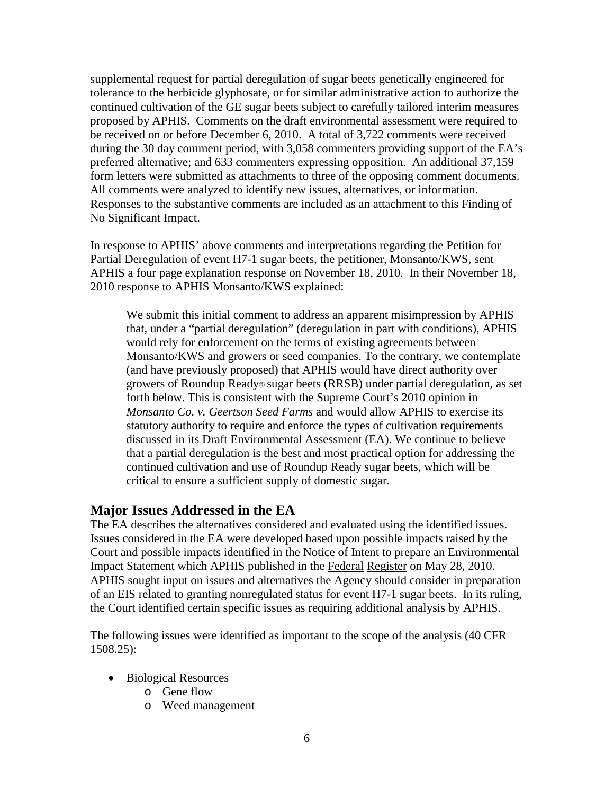supplemental request for partial deregulation of sugar beets genetically engineered for tolerance to the herbicide glyphosate, or for similar administrative action to authorize the continued cultivation of the GE sugar beets subject to carefully tailored interim measures proposed by APHIS. Comments on the draft environmental assessment were required to be received on or before December 6, 2010. A total of 3,722 comments were received during the 30 day comment period, with 3,058 commenters providing support of the EA's preferred alternative; and 633 commenters expressing opposition. An additional 37,159 form letters were submitted as attachments to three of the opposing comment documents. All comments were analyzed to identify new issues, alternatives, or information. Responses to the substantive comments are included as an attachment to this Finding of No Significant Impact.

In response to APHIS' above comments and interpretations regarding the Petition for Partial Deregulation of event H7-1 sugar beets, the petitioner, Monsanto/KWS, sent APHIS a four page explanation response on November 18, 2010. In their November 18, 2010 response to APHIS Monsanto/KWS explained:

We submit this initial comment to address an apparent misimpression by APHIS that, under a "partial deregulation" (deregulation in part with conditions), APHIS would rely for enforcement on the terms of existing agreements between Monsanto/KWS and growers or seed companies. To the contrary, we contemplate (and have previously proposed) that APHIS would have direct authority over growers of Roundup Ready® sugar beets (RRSB) under partial deregulation, as set forth below. This is consistent with the Supreme Court's 2010 opinion in *Monsanto Co. v. Geertson Seed Farms* and would allow APHIS to exercise its statutory authority to require and enforce the types of cultivation requirements discussed in its Draft Environmental Assessment (EA). We continue to believe that a partial deregulation is the best and most practical option for addressing the continued cultivation and use of Roundup Ready sugar beets, which will be critical to ensure a sufficient supply of domestic sugar.

## **Major Issues Addressed in the EA**

The EA describes the alternatives considered and evaluated using the identified issues. Issues considered in the EA were developed based upon possible impacts raised by the Court and possible impacts identified in the Notice of Intent to prepare an Environmental Impact Statement which APHIS published in the Federal Register on May 28, 2010. APHIS sought input on issues and alternatives the Agency should consider in preparation of an EIS related to granting nonregulated status for event H7-1 sugar beets. In its ruling, the Court identified certain specific issues as requiring additional analysis by APHIS.

The following issues were identified as important to the scope of the analysis (40 CFR 1508.25):

- Biological Resources
	- o Gene flow
	- o Weed management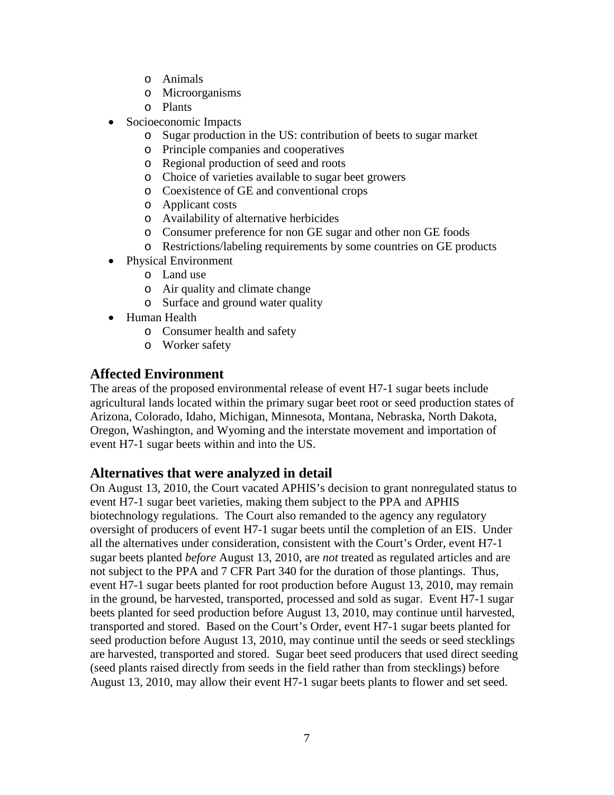- o Animals
- o Microorganisms
- o Plants
- Socioeconomic Impacts
	- o Sugar production in the US: contribution of beets to sugar market
	- o Principle companies and cooperatives
	- o Regional production of seed and roots
	- o Choice of varieties available to sugar beet growers
	- o Coexistence of GE and conventional crops
	- o Applicant costs
	- o Availability of alternative herbicides
	- o Consumer preference for non GE sugar and other non GE foods
	- o Restrictions/labeling requirements by some countries on GE products
- Physical Environment
	- o Land use
	- o Air quality and climate change
	- o Surface and ground water quality
- Human Health
	- o Consumer health and safety
	- o Worker safety

# **Affected Environment**

The areas of the proposed environmental release of event H7-1 sugar beets include agricultural lands located within the primary sugar beet root or seed production states of Arizona, Colorado, Idaho, Michigan, Minnesota, Montana, Nebraska, North Dakota, Oregon, Washington, and Wyoming and the interstate movement and importation of event H7-1 sugar beets within and into the US.

# **Alternatives that were analyzed in detail**

On August 13, 2010, the Court vacated APHIS's decision to grant nonregulated status to event H7-1 sugar beet varieties, making them subject to the PPA and APHIS biotechnology regulations. The Court also remanded to the agency any regulatory oversight of producers of event H7-1 sugar beets until the completion of an EIS. Under all the alternatives under consideration, consistent with the Court's Order, event H7-1 sugar beets planted *before* August 13, 2010, are *not* treated as regulated articles and are not subject to the PPA and 7 CFR Part 340 for the duration of those plantings. Thus, event H7-1 sugar beets planted for root production before August 13, 2010, may remain in the ground, be harvested, transported, processed and sold as sugar. Event H7-1 sugar beets planted for seed production before August 13, 2010, may continue until harvested, transported and stored. Based on the Court's Order, event H7-1 sugar beets planted for seed production before August 13, 2010, may continue until the seeds or seed stecklings are harvested, transported and stored. Sugar beet seed producers that used direct seeding (seed plants raised directly from seeds in the field rather than from stecklings) before August 13, 2010, may allow their event H7-1 sugar beets plants to flower and set seed.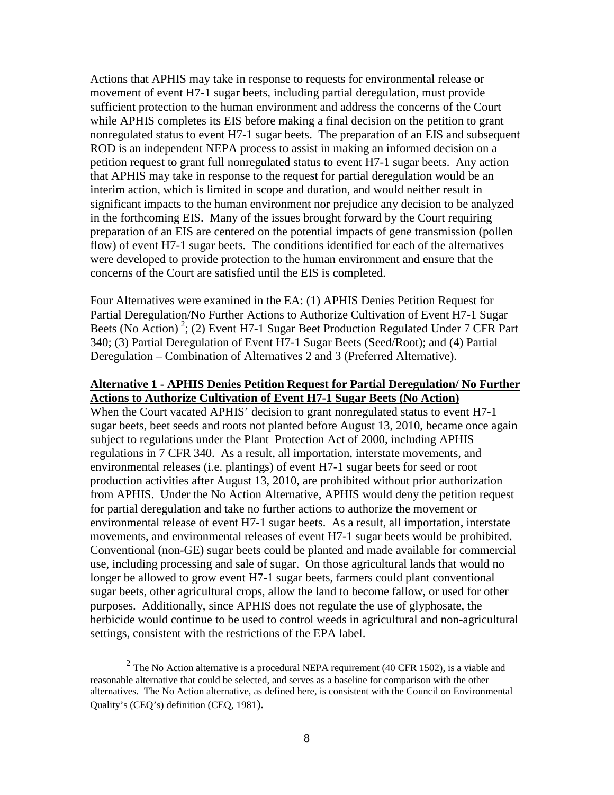Actions that APHIS may take in response to requests for environmental release or movement of event H7-1 sugar beets, including partial deregulation, must provide sufficient protection to the human environment and address the concerns of the Court while APHIS completes its EIS before making a final decision on the petition to grant nonregulated status to event H7-1 sugar beets. The preparation of an EIS and subsequent ROD is an independent NEPA process to assist in making an informed decision on a petition request to grant full nonregulated status to event H7-1 sugar beets. Any action that APHIS may take in response to the request for partial deregulation would be an interim action, which is limited in scope and duration, and would neither result in significant impacts to the human environment nor prejudice any decision to be analyzed in the forthcoming EIS. Many of the issues brought forward by the Court requiring preparation of an EIS are centered on the potential impacts of gene transmission (pollen flow) of event H7-1 sugar beets. The conditions identified for each of the alternatives were developed to provide protection to the human environment and ensure that the concerns of the Court are satisfied until the EIS is completed.

Four Alternatives were examined in the EA: (1) APHIS Denies Petition Request for Partial Deregulation/No Further Actions to Authorize Cultivation of Event H7-1 Sugar Beets (No Action)<sup>[2](#page-7-0)</sup>; (2) Event H7-1 Sugar Beet Production Regulated Under 7 CFR Part 340; (3) Partial Deregulation of Event H7-1 Sugar Beets (Seed/Root); and (4) Partial Deregulation – Combination of Alternatives 2 and 3 (Preferred Alternative).

#### **Alternative 1 - APHIS Denies Petition Request for Partial Deregulation/ No Further Actions to Authorize Cultivation of Event H7-1 Sugar Beets (No Action)**

When the Court vacated APHIS' decision to grant nonregulated status to event H7-1 sugar beets, beet seeds and roots not planted before August 13, 2010, became once again subject to regulations under the Plant Protection Act of 2000, including APHIS regulations in 7 CFR 340. As a result, all importation, interstate movements, and environmental releases (i.e. plantings) of event H7-1 sugar beets for seed or root production activities after August 13, 2010, are prohibited without prior authorization from APHIS. Under the No Action Alternative, APHIS would deny the petition request for partial deregulation and take no further actions to authorize the movement or environmental release of event H7-1 sugar beets. As a result, all importation, interstate movements, and environmental releases of event H7-1 sugar beets would be prohibited. Conventional (non-GE) sugar beets could be planted and made available for commercial use, including processing and sale of sugar. On those agricultural lands that would no longer be allowed to grow event H7-1 sugar beets, farmers could plant conventional sugar beets, other agricultural crops, allow the land to become fallow, or used for other purposes. Additionally, since APHIS does not regulate the use of glyphosate, the herbicide would continue to be used to control weeds in agricultural and non-agricultural settings, consistent with the restrictions of the EPA label.

<span id="page-7-0"></span> $2$  The No Action alternative is a procedural NEPA requirement (40 CFR 1502), is a viable and reasonable alternative that could be selected, and serves as a baseline for comparison with the other alternatives. The No Action alternative, as defined here, is consistent with the Council on Environmental Quality's (CEQ's) definition (CEQ, 1981).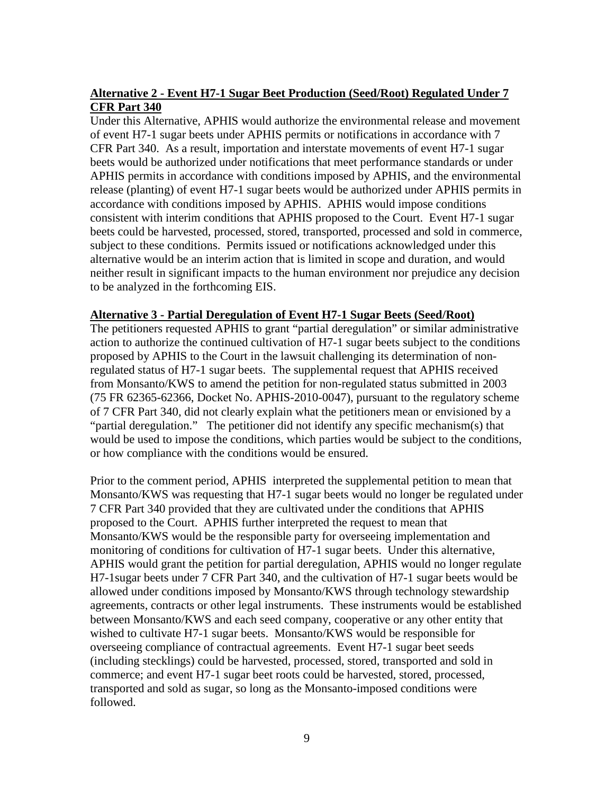## **Alternative 2 - Event H7-1 Sugar Beet Production (Seed/Root) Regulated Under 7 CFR Part 340**

Under this Alternative, APHIS would authorize the environmental release and movement of event H7-1 sugar beets under APHIS permits or notifications in accordance with 7 CFR Part 340. As a result, importation and interstate movements of event H7-1 sugar beets would be authorized under notifications that meet performance standards or under APHIS permits in accordance with conditions imposed by APHIS, and the environmental release (planting) of event H7-1 sugar beets would be authorized under APHIS permits in accordance with conditions imposed by APHIS. APHIS would impose conditions consistent with interim conditions that APHIS proposed to the Court. Event H7-1 sugar beets could be harvested, processed, stored, transported, processed and sold in commerce, subject to these conditions. Permits issued or notifications acknowledged under this alternative would be an interim action that is limited in scope and duration, and would neither result in significant impacts to the human environment nor prejudice any decision to be analyzed in the forthcoming EIS.

#### **Alternative 3 - Partial Deregulation of Event H7-1 Sugar Beets (Seed/Root)**

The petitioners requested APHIS to grant "partial deregulation" or similar administrative action to authorize the continued cultivation of H7-1 sugar beets subject to the conditions proposed by APHIS to the Court in the lawsuit challenging its determination of nonregulated status of H7-1 sugar beets. The supplemental request that APHIS received from Monsanto/KWS to amend the petition for non-regulated status submitted in 2003 (75 FR 62365-62366, Docket No. APHIS-2010-0047), pursuant to the regulatory scheme of 7 CFR Part 340, did not clearly explain what the petitioners mean or envisioned by a "partial deregulation." The petitioner did not identify any specific mechanism(s) that would be used to impose the conditions, which parties would be subject to the conditions, or how compliance with the conditions would be ensured.

Prior to the comment period, APHIS interpreted the supplemental petition to mean that Monsanto/KWS was requesting that H7-1 sugar beets would no longer be regulated under 7 CFR Part 340 provided that they are cultivated under the conditions that APHIS proposed to the Court. APHIS further interpreted the request to mean that Monsanto/KWS would be the responsible party for overseeing implementation and monitoring of conditions for cultivation of H7-1 sugar beets. Under this alternative, APHIS would grant the petition for partial deregulation, APHIS would no longer regulate H7-1sugar beets under 7 CFR Part 340, and the cultivation of H7-1 sugar beets would be allowed under conditions imposed by Monsanto/KWS through technology stewardship agreements, contracts or other legal instruments. These instruments would be established between Monsanto/KWS and each seed company, cooperative or any other entity that wished to cultivate H7-1 sugar beets. Monsanto/KWS would be responsible for overseeing compliance of contractual agreements. Event H7-1 sugar beet seeds (including stecklings) could be harvested, processed, stored, transported and sold in commerce; and event H7-1 sugar beet roots could be harvested, stored, processed, transported and sold as sugar, so long as the Monsanto-imposed conditions were followed.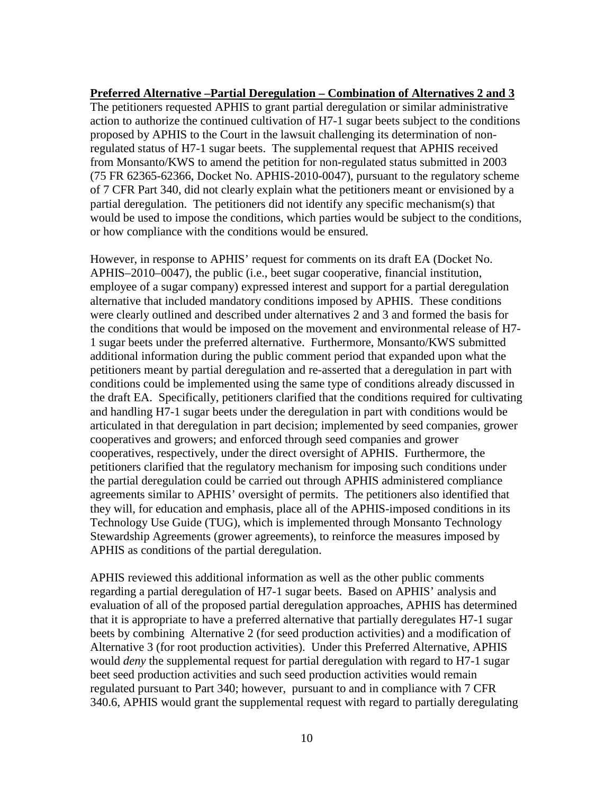#### **Preferred Alternative –Partial Deregulation – Combination of Alternatives 2 and 3**

The petitioners requested APHIS to grant partial deregulation or similar administrative action to authorize the continued cultivation of H7-1 sugar beets subject to the conditions proposed by APHIS to the Court in the lawsuit challenging its determination of nonregulated status of H7-1 sugar beets. The supplemental request that APHIS received from Monsanto/KWS to amend the petition for non-regulated status submitted in 2003 (75 FR 62365-62366, Docket No. APHIS-2010-0047), pursuant to the regulatory scheme of 7 CFR Part 340, did not clearly explain what the petitioners meant or envisioned by a partial deregulation. The petitioners did not identify any specific mechanism(s) that would be used to impose the conditions, which parties would be subject to the conditions, or how compliance with the conditions would be ensured.

However, in response to APHIS' request for comments on its draft EA (Docket No. APHIS–2010–0047), the public (i.e., beet sugar cooperative, financial institution, employee of a sugar company) expressed interest and support for a partial deregulation alternative that included mandatory conditions imposed by APHIS. These conditions were clearly outlined and described under alternatives 2 and 3 and formed the basis for the conditions that would be imposed on the movement and environmental release of H7- 1 sugar beets under the preferred alternative. Furthermore, Monsanto/KWS submitted additional information during the public comment period that expanded upon what the petitioners meant by partial deregulation and re-asserted that a deregulation in part with conditions could be implemented using the same type of conditions already discussed in the draft EA. Specifically, petitioners clarified that the conditions required for cultivating and handling H7-1 sugar beets under the deregulation in part with conditions would be articulated in that deregulation in part decision; implemented by seed companies, grower cooperatives and growers; and enforced through seed companies and grower cooperatives, respectively, under the direct oversight of APHIS. Furthermore, the petitioners clarified that the regulatory mechanism for imposing such conditions under the partial deregulation could be carried out through APHIS administered compliance agreements similar to APHIS' oversight of permits. The petitioners also identified that they will, for education and emphasis, place all of the APHIS-imposed conditions in its Technology Use Guide (TUG), which is implemented through Monsanto Technology Stewardship Agreements (grower agreements), to reinforce the measures imposed by APHIS as conditions of the partial deregulation.

APHIS reviewed this additional information as well as the other public comments regarding a partial deregulation of H7-1 sugar beets. Based on APHIS' analysis and evaluation of all of the proposed partial deregulation approaches, APHIS has determined that it is appropriate to have a preferred alternative that partially deregulates H7-1 sugar beets by combining Alternative 2 (for seed production activities) and a modification of Alternative 3 (for root production activities). Under this Preferred Alternative, APHIS would *deny* the supplemental request for partial deregulation with regard to H7-1 sugar beet seed production activities and such seed production activities would remain regulated pursuant to Part 340; however, pursuant to and in compliance with 7 CFR 340.6, APHIS would grant the supplemental request with regard to partially deregulating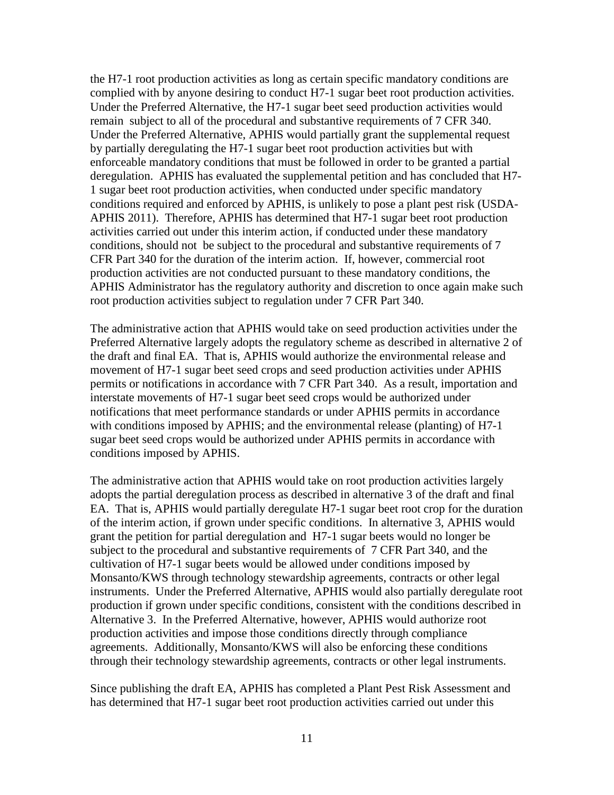the H7-1 root production activities as long as certain specific mandatory conditions are complied with by anyone desiring to conduct H7-1 sugar beet root production activities. Under the Preferred Alternative, the H7-1 sugar beet seed production activities would remain subject to all of the procedural and substantive requirements of 7 CFR 340. Under the Preferred Alternative, APHIS would partially grant the supplemental request by partially deregulating the H7-1 sugar beet root production activities but with enforceable mandatory conditions that must be followed in order to be granted a partial deregulation. APHIS has evaluated the supplemental petition and has concluded that H7- 1 sugar beet root production activities, when conducted under specific mandatory conditions required and enforced by APHIS, is unlikely to pose a plant pest risk (USDA-APHIS 2011). Therefore, APHIS has determined that H7-1 sugar beet root production activities carried out under this interim action, if conducted under these mandatory conditions, should not be subject to the procedural and substantive requirements of 7 CFR Part 340 for the duration of the interim action. If, however, commercial root production activities are not conducted pursuant to these mandatory conditions, the APHIS Administrator has the regulatory authority and discretion to once again make such root production activities subject to regulation under 7 CFR Part 340.

The administrative action that APHIS would take on seed production activities under the Preferred Alternative largely adopts the regulatory scheme as described in alternative 2 of the draft and final EA. That is, APHIS would authorize the environmental release and movement of H7-1 sugar beet seed crops and seed production activities under APHIS permits or notifications in accordance with 7 CFR Part 340. As a result, importation and interstate movements of H7-1 sugar beet seed crops would be authorized under notifications that meet performance standards or under APHIS permits in accordance with conditions imposed by APHIS; and the environmental release (planting) of H7-1 sugar beet seed crops would be authorized under APHIS permits in accordance with conditions imposed by APHIS.

The administrative action that APHIS would take on root production activities largely adopts the partial deregulation process as described in alternative 3 of the draft and final EA. That is, APHIS would partially deregulate H7-1 sugar beet root crop for the duration of the interim action, if grown under specific conditions. In alternative 3, APHIS would grant the petition for partial deregulation and H7-1 sugar beets would no longer be subject to the procedural and substantive requirements of 7 CFR Part 340, and the cultivation of H7-1 sugar beets would be allowed under conditions imposed by Monsanto/KWS through technology stewardship agreements, contracts or other legal instruments. Under the Preferred Alternative, APHIS would also partially deregulate root production if grown under specific conditions, consistent with the conditions described in Alternative 3. In the Preferred Alternative, however, APHIS would authorize root production activities and impose those conditions directly through compliance agreements. Additionally, Monsanto/KWS will also be enforcing these conditions through their technology stewardship agreements, contracts or other legal instruments.

Since publishing the draft EA, APHIS has completed a Plant Pest Risk Assessment and has determined that H7-1 sugar beet root production activities carried out under this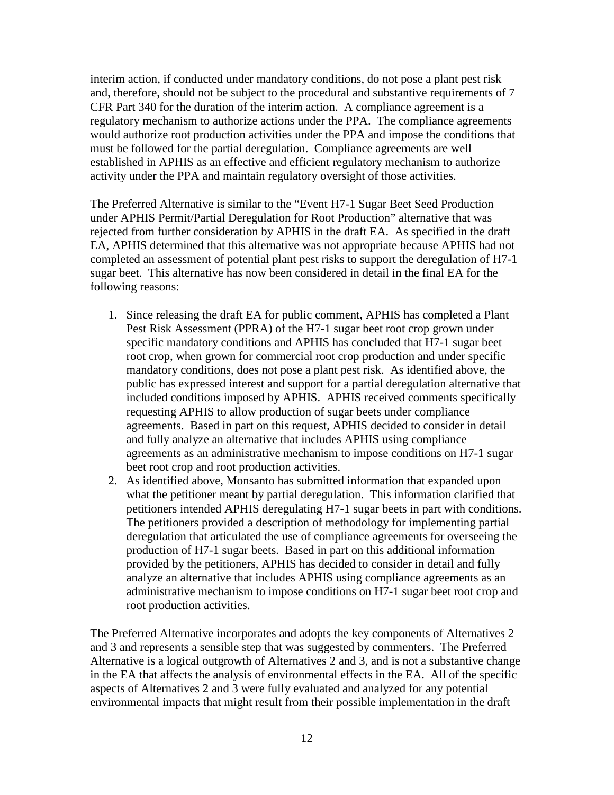interim action, if conducted under mandatory conditions, do not pose a plant pest risk and, therefore, should not be subject to the procedural and substantive requirements of 7 CFR Part 340 for the duration of the interim action. A compliance agreement is a regulatory mechanism to authorize actions under the PPA. The compliance agreements would authorize root production activities under the PPA and impose the conditions that must be followed for the partial deregulation. Compliance agreements are well established in APHIS as an effective and efficient regulatory mechanism to authorize activity under the PPA and maintain regulatory oversight of those activities.

The Preferred Alternative is similar to the "Event H7-1 Sugar Beet Seed Production under APHIS Permit/Partial Deregulation for Root Production" alternative that was rejected from further consideration by APHIS in the draft EA. As specified in the draft EA, APHIS determined that this alternative was not appropriate because APHIS had not completed an assessment of potential plant pest risks to support the deregulation of H7-1 sugar beet. This alternative has now been considered in detail in the final EA for the following reasons:

- 1. Since releasing the draft EA for public comment, APHIS has completed a Plant Pest Risk Assessment (PPRA) of the H7-1 sugar beet root crop grown under specific mandatory conditions and APHIS has concluded that H7-1 sugar beet root crop, when grown for commercial root crop production and under specific mandatory conditions, does not pose a plant pest risk. As identified above, the public has expressed interest and support for a partial deregulation alternative that included conditions imposed by APHIS. APHIS received comments specifically requesting APHIS to allow production of sugar beets under compliance agreements. Based in part on this request, APHIS decided to consider in detail and fully analyze an alternative that includes APHIS using compliance agreements as an administrative mechanism to impose conditions on H7-1 sugar beet root crop and root production activities.
- 2. As identified above, Monsanto has submitted information that expanded upon what the petitioner meant by partial deregulation. This information clarified that petitioners intended APHIS deregulating H7-1 sugar beets in part with conditions. The petitioners provided a description of methodology for implementing partial deregulation that articulated the use of compliance agreements for overseeing the production of H7-1 sugar beets. Based in part on this additional information provided by the petitioners, APHIS has decided to consider in detail and fully analyze an alternative that includes APHIS using compliance agreements as an administrative mechanism to impose conditions on H7-1 sugar beet root crop and root production activities.

The Preferred Alternative incorporates and adopts the key components of Alternatives 2 and 3 and represents a sensible step that was suggested by commenters. The Preferred Alternative is a logical outgrowth of Alternatives 2 and 3, and is not a substantive change in the EA that affects the analysis of environmental effects in the EA. All of the specific aspects of Alternatives 2 and 3 were fully evaluated and analyzed for any potential environmental impacts that might result from their possible implementation in the draft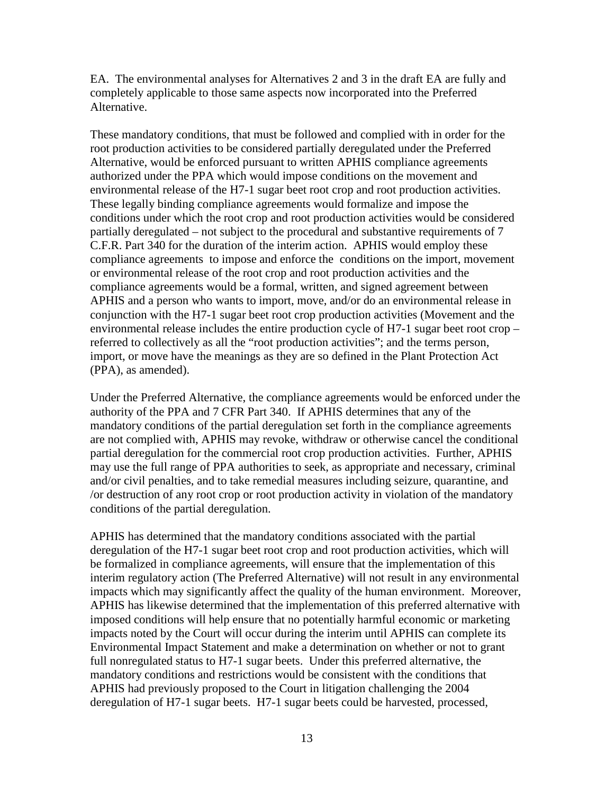EA. The environmental analyses for Alternatives 2 and 3 in the draft EA are fully and completely applicable to those same aspects now incorporated into the Preferred Alternative.

These mandatory conditions*,* that must be followed and complied with in order for the root production activities to be considered partially deregulated under the Preferred Alternative, would be enforced pursuant to written APHIS compliance agreements authorized under the PPA which would impose conditions on the movement and environmental release of the H7-1 sugar beet root crop and root production activities. These legally binding compliance agreements would formalize and impose the conditions under which the root crop and root production activities would be considered partially deregulated – not subject to the procedural and substantive requirements of 7 C.F.R. Part 340 for the duration of the interim action. APHIS would employ these compliance agreements to impose and enforce the conditions on the import, movement or environmental release of the root crop and root production activities and the compliance agreements would be a formal, written, and signed agreement between APHIS and a person who wants to import, move, and/or do an environmental release in conjunction with the H7-1 sugar beet root crop production activities (Movement and the environmental release includes the entire production cycle of H7-1 sugar beet root crop – referred to collectively as all the "root production activities"; and the terms person, import, or move have the meanings as they are so defined in the Plant Protection Act (PPA), as amended).

Under the Preferred Alternative, the compliance agreements would be enforced under the authority of the PPA and 7 CFR Part 340. If APHIS determines that any of the mandatory conditions of the partial deregulation set forth in the compliance agreements are not complied with, APHIS may revoke, withdraw or otherwise cancel the conditional partial deregulation for the commercial root crop production activities. Further, APHIS may use the full range of PPA authorities to seek, as appropriate and necessary, criminal and/or civil penalties, and to take remedial measures including seizure, quarantine, and /or destruction of any root crop or root production activity in violation of the mandatory conditions of the partial deregulation.

APHIS has determined that the mandatory conditions associated with the partial deregulation of the H7-1 sugar beet root crop and root production activities, which will be formalized in compliance agreements, will ensure that the implementation of this interim regulatory action (The Preferred Alternative) will not result in any environmental impacts which may significantly affect the quality of the human environment. Moreover, APHIS has likewise determined that the implementation of this preferred alternative with imposed conditions will help ensure that no potentially harmful economic or marketing impacts noted by the Court will occur during the interim until APHIS can complete its Environmental Impact Statement and make a determination on whether or not to grant full nonregulated status to H7-1 sugar beets. Under this preferred alternative, the mandatory conditions and restrictions would be consistent with the conditions that APHIS had previously proposed to the Court in litigation challenging the 2004 deregulation of H7-1 sugar beets. H7-1 sugar beets could be harvested, processed,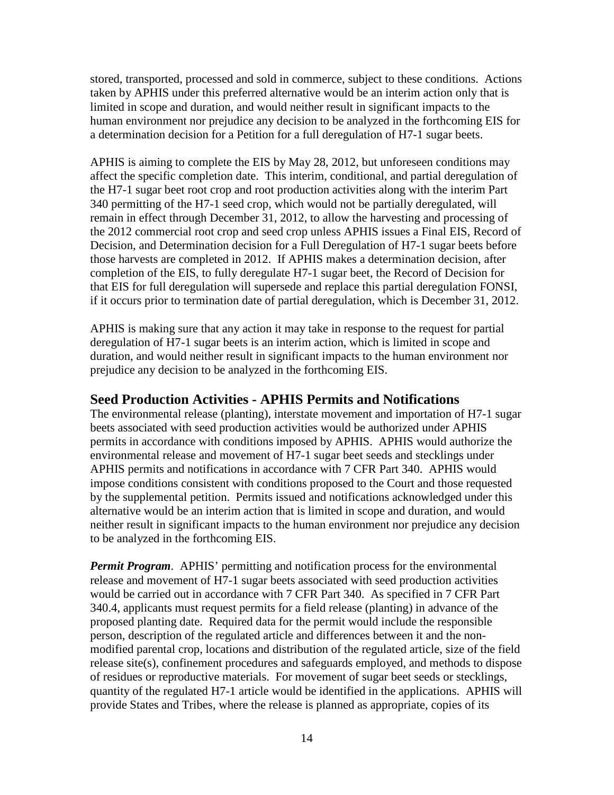stored, transported, processed and sold in commerce, subject to these conditions. Actions taken by APHIS under this preferred alternative would be an interim action only that is limited in scope and duration, and would neither result in significant impacts to the human environment nor prejudice any decision to be analyzed in the forthcoming EIS for a determination decision for a Petition for a full deregulation of H7-1 sugar beets.

APHIS is aiming to complete the EIS by May 28, 2012, but unforeseen conditions may affect the specific completion date. This interim, conditional, and partial deregulation of the H7-1 sugar beet root crop and root production activities along with the interim Part 340 permitting of the H7-1 seed crop, which would not be partially deregulated, will remain in effect through December 31, 2012, to allow the harvesting and processing of the 2012 commercial root crop and seed crop unless APHIS issues a Final EIS, Record of Decision, and Determination decision for a Full Deregulation of H7-1 sugar beets before those harvests are completed in 2012. If APHIS makes a determination decision, after completion of the EIS, to fully deregulate H7-1 sugar beet, the Record of Decision for that EIS for full deregulation will supersede and replace this partial deregulation FONSI, if it occurs prior to termination date of partial deregulation, which is December 31, 2012.

APHIS is making sure that any action it may take in response to the request for partial deregulation of H7-1 sugar beets is an interim action, which is limited in scope and duration, and would neither result in significant impacts to the human environment nor prejudice any decision to be analyzed in the forthcoming EIS.

## **Seed Production Activities - APHIS Permits and Notifications**

The environmental release (planting), interstate movement and importation of H7-1 sugar beets associated with seed production activities would be authorized under APHIS permits in accordance with conditions imposed by APHIS. APHIS would authorize the environmental release and movement of H7-1 sugar beet seeds and stecklings under APHIS permits and notifications in accordance with 7 CFR Part 340. APHIS would impose conditions consistent with conditions proposed to the Court and those requested by the supplemental petition. Permits issued and notifications acknowledged under this alternative would be an interim action that is limited in scope and duration, and would neither result in significant impacts to the human environment nor prejudice any decision to be analyzed in the forthcoming EIS.

*Permit Program.* APHIS' permitting and notification process for the environmental release and movement of H7-1 sugar beets associated with seed production activities would be carried out in accordance with 7 CFR Part 340. As specified in 7 CFR Part 340.4, applicants must request permits for a field release (planting) in advance of the proposed planting date. Required data for the permit would include the responsible person, description of the regulated article and differences between it and the nonmodified parental crop, locations and distribution of the regulated article, size of the field release site(s), confinement procedures and safeguards employed, and methods to dispose of residues or reproductive materials. For movement of sugar beet seeds or stecklings, quantity of the regulated H7-1 article would be identified in the applications. APHIS will provide States and Tribes, where the release is planned as appropriate, copies of its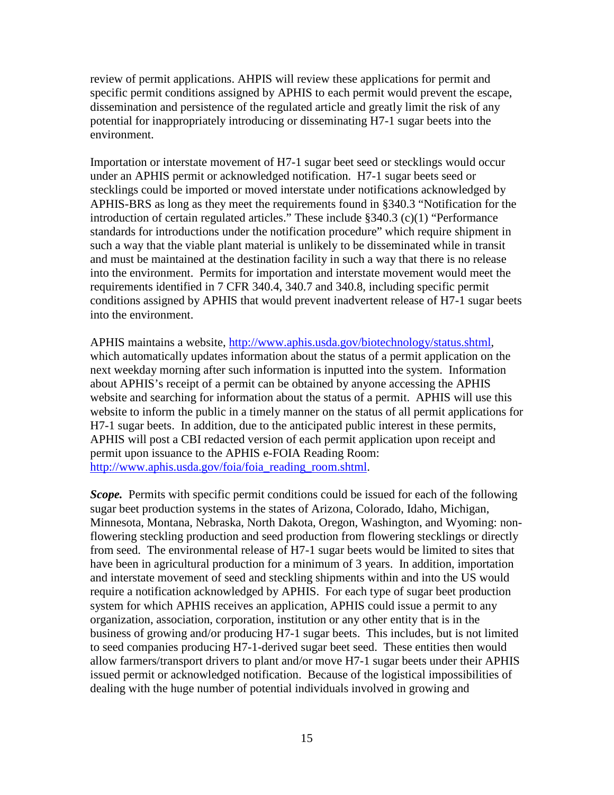review of permit applications. AHPIS will review these applications for permit and specific permit conditions assigned by APHIS to each permit would prevent the escape, dissemination and persistence of the regulated article and greatly limit the risk of any potential for inappropriately introducing or disseminating H7-1 sugar beets into the environment.

Importation or interstate movement of H7-1 sugar beet seed or stecklings would occur under an APHIS permit or acknowledged notification. H7-1 sugar beets seed or stecklings could be imported or moved interstate under notifications acknowledged by APHIS-BRS as long as they meet the requirements found in §340.3 "Notification for the introduction of certain regulated articles." These include §340.3 (c)(1) "Performance standards for introductions under the notification procedure" which require shipment in such a way that the viable plant material is unlikely to be disseminated while in transit and must be maintained at the destination facility in such a way that there is no release into the environment. Permits for importation and interstate movement would meet the requirements identified in 7 CFR 340.4, 340.7 and 340.8, including specific permit conditions assigned by APHIS that would prevent inadvertent release of H7-1 sugar beets into the environment.

APHIS maintains a website, [http://www.aphis.usda.gov/biotechnology/status.shtml,](http://www.aphis.usda.gov/biotechnology/status.shtml) which automatically updates information about the status of a permit application on the next weekday morning after such information is inputted into the system. Information about APHIS's receipt of a permit can be obtained by anyone accessing the APHIS website and searching for information about the status of a permit. APHIS will use this website to inform the public in a timely manner on the status of all permit applications for H7-1 sugar beets. In addition, due to the anticipated public interest in these permits, APHIS will post a CBI redacted version of each permit application upon receipt and permit upon issuance to the APHIS e-FOIA Reading Room: [http://www.aphis.usda.gov/foia/foia\\_reading\\_room.shtml.](http://www.aphis.usda.gov/foia/foia_reading_room.shtml)

*Scope.* Permits with specific permit conditions could be issued for each of the following sugar beet production systems in the states of Arizona, Colorado, Idaho, Michigan, Minnesota, Montana, Nebraska, North Dakota, Oregon, Washington, and Wyoming: nonflowering steckling production and seed production from flowering stecklings or directly from seed. The environmental release of H7-1 sugar beets would be limited to sites that have been in agricultural production for a minimum of 3 years. In addition, importation and interstate movement of seed and steckling shipments within and into the US would require a notification acknowledged by APHIS. For each type of sugar beet production system for which APHIS receives an application, APHIS could issue a permit to any organization, association, corporation, institution or any other entity that is in the business of growing and/or producing H7-1 sugar beets. This includes, but is not limited to seed companies producing H7-1-derived sugar beet seed. These entities then would allow farmers/transport drivers to plant and/or move H7-1 sugar beets under their APHIS issued permit or acknowledged notification. Because of the logistical impossibilities of dealing with the huge number of potential individuals involved in growing and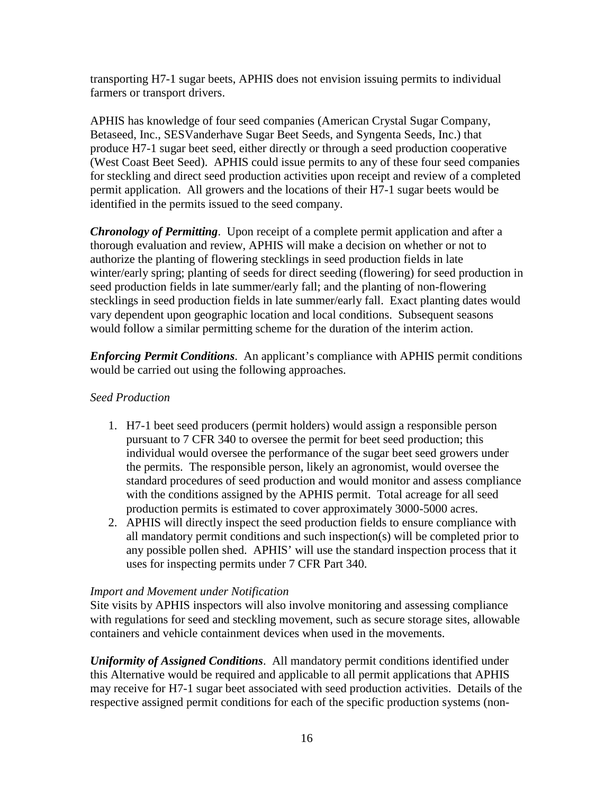transporting H7-1 sugar beets, APHIS does not envision issuing permits to individual farmers or transport drivers.

APHIS has knowledge of four seed companies (American Crystal Sugar Company, Betaseed, Inc., SESVanderhave Sugar Beet Seeds, and Syngenta Seeds, Inc.) that produce H7-1 sugar beet seed, either directly or through a seed production cooperative (West Coast Beet Seed). APHIS could issue permits to any of these four seed companies for steckling and direct seed production activities upon receipt and review of a completed permit application. All growers and the locations of their H7-1 sugar beets would be identified in the permits issued to the seed company.

*Chronology of Permitting*. Upon receipt of a complete permit application and after a thorough evaluation and review, APHIS will make a decision on whether or not to authorize the planting of flowering stecklings in seed production fields in late winter/early spring; planting of seeds for direct seeding (flowering) for seed production in seed production fields in late summer/early fall; and the planting of non-flowering stecklings in seed production fields in late summer/early fall. Exact planting dates would vary dependent upon geographic location and local conditions. Subsequent seasons would follow a similar permitting scheme for the duration of the interim action.

*Enforcing Permit Conditions*. An applicant's compliance with APHIS permit conditions would be carried out using the following approaches.

## *Seed Production*

- 1. H7-1 beet seed producers (permit holders) would assign a responsible person pursuant to 7 CFR 340 to oversee the permit for beet seed production; this individual would oversee the performance of the sugar beet seed growers under the permits. The responsible person, likely an agronomist, would oversee the standard procedures of seed production and would monitor and assess compliance with the conditions assigned by the APHIS permit. Total acreage for all seed production permits is estimated to cover approximately 3000-5000 acres.
- 2. APHIS will directly inspect the seed production fields to ensure compliance with all mandatory permit conditions and such inspection(s) will be completed prior to any possible pollen shed. APHIS' will use the standard inspection process that it uses for inspecting permits under 7 CFR Part 340.

## *Import and Movement under Notification*

Site visits by APHIS inspectors will also involve monitoring and assessing compliance with regulations for seed and steckling movement, such as secure storage sites, allowable containers and vehicle containment devices when used in the movements.

*Uniformity of Assigned Conditions*. All mandatory permit conditions identified under this Alternative would be required and applicable to all permit applications that APHIS may receive for H7-1 sugar beet associated with seed production activities. Details of the respective assigned permit conditions for each of the specific production systems (non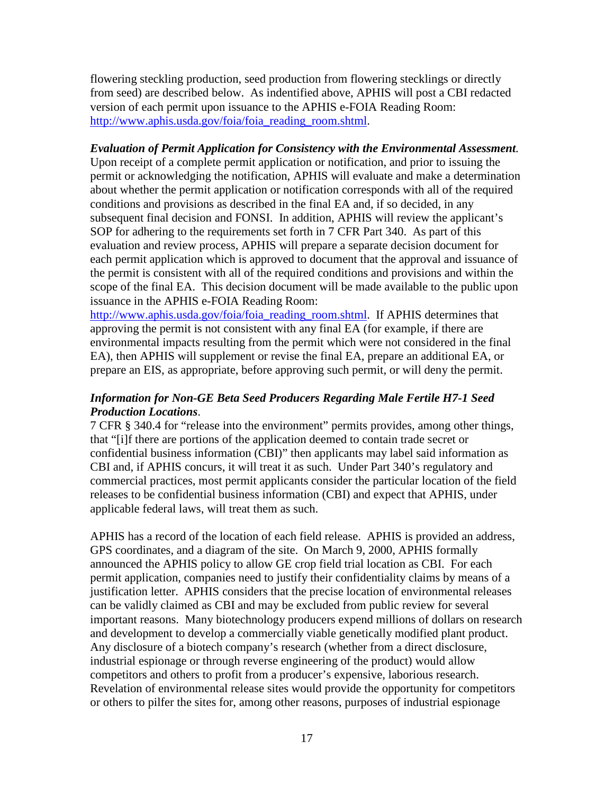flowering steckling production, seed production from flowering stecklings or directly from seed) are described below. As indentified above, APHIS will post a CBI redacted version of each permit upon issuance to the APHIS e-FOIA Reading Room: [http://www.aphis.usda.gov/foia/foia\\_reading\\_room.shtml.](http://www.aphis.usda.gov/foia/foia_reading_room.shtml)

#### *Evaluation of Permit Application for Consistency with the Environmental Assessment.*

Upon receipt of a complete permit application or notification, and prior to issuing the permit or acknowledging the notification, APHIS will evaluate and make a determination about whether the permit application or notification corresponds with all of the required conditions and provisions as described in the final EA and, if so decided, in any subsequent final decision and FONSI. In addition, APHIS will review the applicant's SOP for adhering to the requirements set forth in 7 CFR Part 340. As part of this evaluation and review process, APHIS will prepare a separate decision document for each permit application which is approved to document that the approval and issuance of the permit is consistent with all of the required conditions and provisions and within the scope of the final EA. This decision document will be made available to the public upon issuance in the APHIS e-FOIA Reading Room:

[http://www.aphis.usda.gov/foia/foia\\_reading\\_room.shtml.](http://www.aphis.usda.gov/foia/foia_reading_room.shtml) If APHIS determines that approving the permit is not consistent with any final EA (for example, if there are environmental impacts resulting from the permit which were not considered in the final EA), then APHIS will supplement or revise the final EA, prepare an additional EA, or prepare an EIS, as appropriate, before approving such permit, or will deny the permit.

#### *Information for Non-GE Beta Seed Producers Regarding Male Fertile H7-1 Seed Production Locations*.

7 CFR § 340.4 for "release into the environment" permits provides, among other things, that "[i]f there are portions of the application deemed to contain trade secret or confidential business information (CBI)" then applicants may label said information as CBI and, if APHIS concurs, it will treat it as such. Under Part 340's regulatory and commercial practices, most permit applicants consider the particular location of the field releases to be confidential business information (CBI) and expect that APHIS, under applicable federal laws, will treat them as such.

APHIS has a record of the location of each field release. APHIS is provided an address, GPS coordinates, and a diagram of the site. On March 9, 2000, APHIS formally announced the APHIS policy to allow GE crop field trial location as CBI. For each permit application, companies need to justify their confidentiality claims by means of a justification letter. APHIS considers that the precise location of environmental releases can be validly claimed as CBI and may be excluded from public review for several important reasons. Many biotechnology producers expend millions of dollars on research and development to develop a commercially viable genetically modified plant product. Any disclosure of a biotech company's research (whether from a direct disclosure, industrial espionage or through reverse engineering of the product) would allow competitors and others to profit from a producer's expensive, laborious research. Revelation of environmental release sites would provide the opportunity for competitors or others to pilfer the sites for, among other reasons, purposes of industrial espionage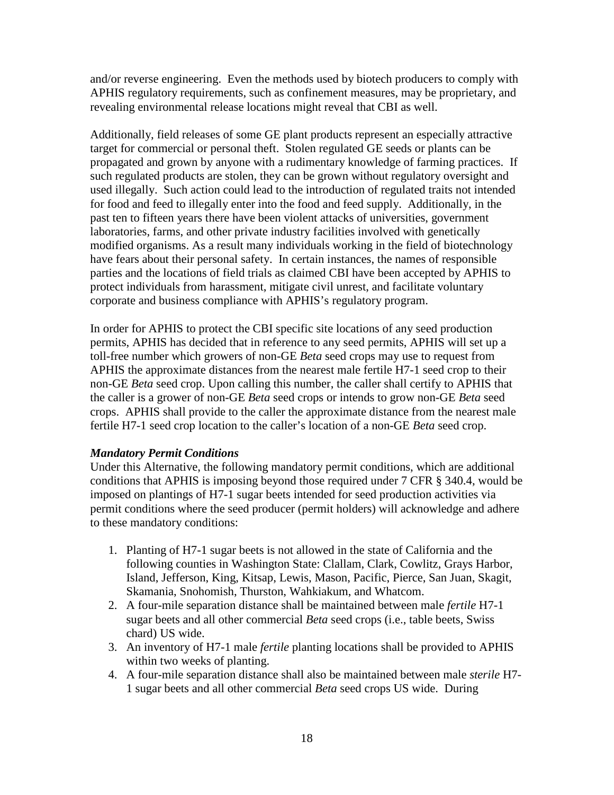and/or reverse engineering. Even the methods used by biotech producers to comply with APHIS regulatory requirements, such as confinement measures, may be proprietary, and revealing environmental release locations might reveal that CBI as well.

Additionally, field releases of some GE plant products represent an especially attractive target for commercial or personal theft. Stolen regulated GE seeds or plants can be propagated and grown by anyone with a rudimentary knowledge of farming practices. If such regulated products are stolen, they can be grown without regulatory oversight and used illegally. Such action could lead to the introduction of regulated traits not intended for food and feed to illegally enter into the food and feed supply. Additionally, in the past ten to fifteen years there have been violent attacks of universities, government laboratories, farms, and other private industry facilities involved with genetically modified organisms. As a result many individuals working in the field of biotechnology have fears about their personal safety. In certain instances, the names of responsible parties and the locations of field trials as claimed CBI have been accepted by APHIS to protect individuals from harassment, mitigate civil unrest, and facilitate voluntary corporate and business compliance with APHIS's regulatory program.

In order for APHIS to protect the CBI specific site locations of any seed production permits, APHIS has decided that in reference to any seed permits, APHIS will set up a toll-free number which growers of non-GE *Beta* seed crops may use to request from APHIS the approximate distances from the nearest male fertile H7-1 seed crop to their non-GE *Beta* seed crop. Upon calling this number, the caller shall certify to APHIS that the caller is a grower of non-GE *Beta* seed crops or intends to grow non-GE *Beta* seed crops. APHIS shall provide to the caller the approximate distance from the nearest male fertile H7-1 seed crop location to the caller's location of a non-GE *Beta* seed crop.

#### *Mandatory Permit Conditions*

Under this Alternative, the following mandatory permit conditions, which are additional conditions that APHIS is imposing beyond those required under 7 CFR § 340.4, would be imposed on plantings of H7-1 sugar beets intended for seed production activities via permit conditions where the seed producer (permit holders) will acknowledge and adhere to these mandatory conditions:

- 1. Planting of H7-1 sugar beets is not allowed in the state of California and the following counties in Washington State: Clallam, Clark, Cowlitz, Grays Harbor, Island, Jefferson, King, Kitsap, Lewis, Mason, Pacific, Pierce, San Juan, Skagit, Skamania, Snohomish, Thurston, Wahkiakum, and Whatcom.
- 2. A four-mile separation distance shall be maintained between male *fertile* H7-1 sugar beets and all other commercial *Beta* seed crops (i.e., table beets, Swiss chard) US wide.
- 3. An inventory of H7-1 male *fertile* planting locations shall be provided to APHIS within two weeks of planting.
- 4. A four-mile separation distance shall also be maintained between male *sterile* H7- 1 sugar beets and all other commercial *Beta* seed crops US wide. During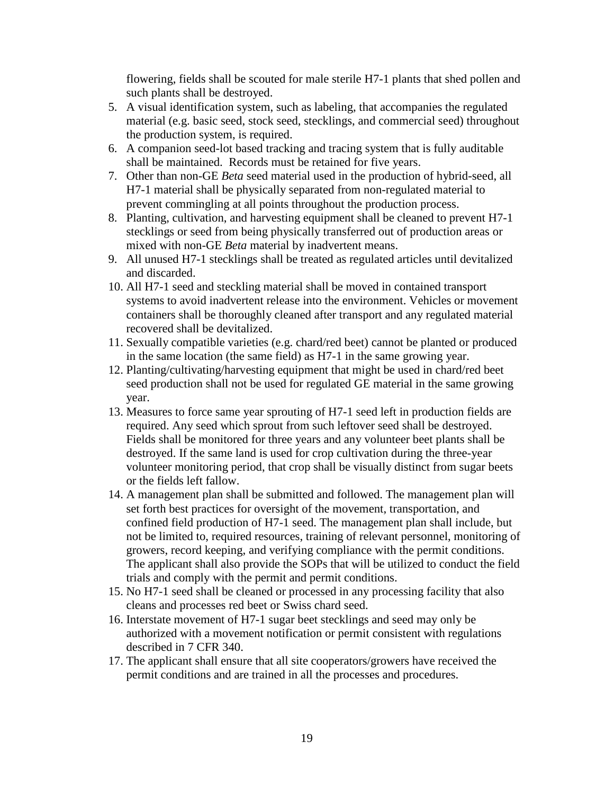flowering, fields shall be scouted for male sterile H7-1 plants that shed pollen and such plants shall be destroyed.

- 5. A visual identification system, such as labeling, that accompanies the regulated material (e.g. basic seed, stock seed, stecklings, and commercial seed) throughout the production system, is required.
- 6. A companion seed-lot based tracking and tracing system that is fully auditable shall be maintained. Records must be retained for five years.
- 7. Other than non-GE *Beta* seed material used in the production of hybrid-seed, all H7-1 material shall be physically separated from non-regulated material to prevent commingling at all points throughout the production process.
- 8. Planting, cultivation, and harvesting equipment shall be cleaned to prevent H7-1 stecklings or seed from being physically transferred out of production areas or mixed with non-GE *Beta* material by inadvertent means.
- 9. All unused H7-1 stecklings shall be treated as regulated articles until devitalized and discarded.
- 10. All H7-1 seed and steckling material shall be moved in contained transport systems to avoid inadvertent release into the environment. Vehicles or movement containers shall be thoroughly cleaned after transport and any regulated material recovered shall be devitalized.
- 11. Sexually compatible varieties (e.g. chard/red beet) cannot be planted or produced in the same location (the same field) as H7-1 in the same growing year.
- 12. Planting/cultivating/harvesting equipment that might be used in chard/red beet seed production shall not be used for regulated GE material in the same growing year.
- 13. Measures to force same year sprouting of H7-1 seed left in production fields are required. Any seed which sprout from such leftover seed shall be destroyed. Fields shall be monitored for three years and any volunteer beet plants shall be destroyed. If the same land is used for crop cultivation during the three-year volunteer monitoring period, that crop shall be visually distinct from sugar beets or the fields left fallow.
- 14. A management plan shall be submitted and followed. The management plan will set forth best practices for oversight of the movement, transportation, and confined field production of H7-1 seed. The management plan shall include, but not be limited to, required resources, training of relevant personnel, monitoring of growers, record keeping, and verifying compliance with the permit conditions. The applicant shall also provide the SOPs that will be utilized to conduct the field trials and comply with the permit and permit conditions.
- 15. No H7-1 seed shall be cleaned or processed in any processing facility that also cleans and processes red beet or Swiss chard seed.
- 16. Interstate movement of H7-1 sugar beet stecklings and seed may only be authorized with a movement notification or permit consistent with regulations described in 7 CFR 340.
- 17. The applicant shall ensure that all site cooperators/growers have received the permit conditions and are trained in all the processes and procedures.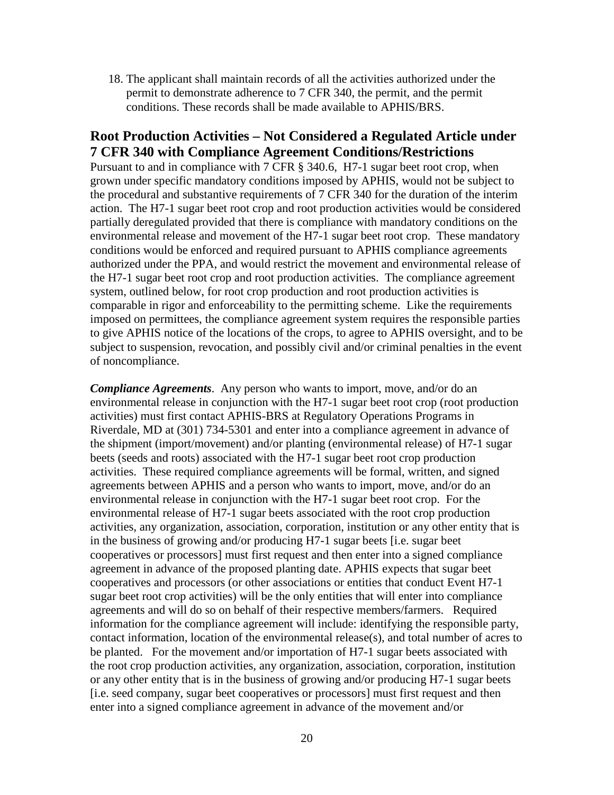18. The applicant shall maintain records of all the activities authorized under the permit to demonstrate adherence to 7 CFR 340, the permit, and the permit conditions. These records shall be made available to APHIS/BRS.

## **Root Production Activities – Not Considered a Regulated Article under 7 CFR 340 with Compliance Agreement Conditions/Restrictions**

Pursuant to and in compliance with 7 CFR § 340.6, H7-1 sugar beet root crop, when grown under specific mandatory conditions imposed by APHIS, would not be subject to the procedural and substantive requirements of 7 CFR 340 for the duration of the interim action. The H7-1 sugar beet root crop and root production activities would be considered partially deregulated provided that there is compliance with mandatory conditions on the environmental release and movement of the H7-1 sugar beet root crop. These mandatory conditions would be enforced and required pursuant to APHIS compliance agreements authorized under the PPA, and would restrict the movement and environmental release of the H7-1 sugar beet root crop and root production activities. The compliance agreement system, outlined below, for root crop production and root production activities is comparable in rigor and enforceability to the permitting scheme. Like the requirements imposed on permittees, the compliance agreement system requires the responsible parties to give APHIS notice of the locations of the crops, to agree to APHIS oversight, and to be subject to suspension, revocation, and possibly civil and/or criminal penalties in the event of noncompliance.

*Compliance Agreements*. Any person who wants to import, move, and/or do an environmental release in conjunction with the H7-1 sugar beet root crop (root production activities) must first contact APHIS-BRS at Regulatory Operations Programs in Riverdale, MD at (301) 734-5301 and enter into a compliance agreement in advance of the shipment (import/movement) and/or planting (environmental release) of H7-1 sugar beets (seeds and roots) associated with the H7-1 sugar beet root crop production activities. These required compliance agreements will be formal, written, and signed agreements between APHIS and a person who wants to import, move, and/or do an environmental release in conjunction with the H7-1 sugar beet root crop. For the environmental release of H7-1 sugar beets associated with the root crop production activities, any organization, association, corporation, institution or any other entity that is in the business of growing and/or producing H7-1 sugar beets [i.e. sugar beet cooperatives or processors] must first request and then enter into a signed compliance agreement in advance of the proposed planting date. APHIS expects that sugar beet cooperatives and processors (or other associations or entities that conduct Event H7-1 sugar beet root crop activities) will be the only entities that will enter into compliance agreements and will do so on behalf of their respective members/farmers. Required information for the compliance agreement will include: identifying the responsible party, contact information, location of the environmental release(s), and total number of acres to be planted. For the movement and/or importation of H7-1 sugar beets associated with the root crop production activities, any organization, association, corporation, institution or any other entity that is in the business of growing and/or producing H7-1 sugar beets [i.e. seed company, sugar beet cooperatives or processors] must first request and then enter into a signed compliance agreement in advance of the movement and/or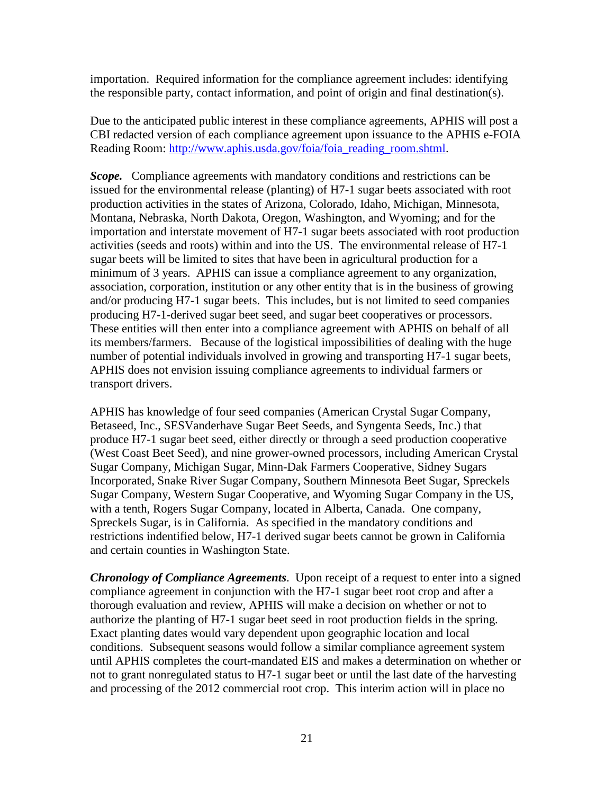importation. Required information for the compliance agreement includes: identifying the responsible party, contact information, and point of origin and final destination(s).

Due to the anticipated public interest in these compliance agreements, APHIS will post a CBI redacted version of each compliance agreement upon issuance to the APHIS e-FOIA Reading Room: [http://www.aphis.usda.gov/foia/foia\\_reading\\_room.shtml.](http://www.aphis.usda.gov/foia/foia_reading_room.shtml)

*Scope.* Compliance agreements with mandatory conditions and restrictions can be issued for the environmental release (planting) of H7-1 sugar beets associated with root production activities in the states of Arizona, Colorado, Idaho, Michigan, Minnesota, Montana, Nebraska, North Dakota, Oregon, Washington, and Wyoming; and for the importation and interstate movement of H7-1 sugar beets associated with root production activities (seeds and roots) within and into the US. The environmental release of H7-1 sugar beets will be limited to sites that have been in agricultural production for a minimum of 3 years. APHIS can issue a compliance agreement to any organization, association, corporation, institution or any other entity that is in the business of growing and/or producing H7-1 sugar beets. This includes, but is not limited to seed companies producing H7-1-derived sugar beet seed, and sugar beet cooperatives or processors. These entities will then enter into a compliance agreement with APHIS on behalf of all its members/farmers. Because of the logistical impossibilities of dealing with the huge number of potential individuals involved in growing and transporting H7-1 sugar beets, APHIS does not envision issuing compliance agreements to individual farmers or transport drivers.

APHIS has knowledge of four seed companies (American Crystal Sugar Company, Betaseed, Inc., SESVanderhave Sugar Beet Seeds, and Syngenta Seeds, Inc.) that produce H7-1 sugar beet seed, either directly or through a seed production cooperative (West Coast Beet Seed), and nine grower-owned processors, including American Crystal Sugar Company, Michigan Sugar, Minn-Dak Farmers Cooperative, Sidney Sugars Incorporated, Snake River Sugar Company, Southern Minnesota Beet Sugar, Spreckels Sugar Company, Western Sugar Cooperative, and Wyoming Sugar Company in the US, with a tenth, Rogers Sugar Company, located in Alberta, Canada. One company, Spreckels Sugar, is in California. As specified in the mandatory conditions and restrictions indentified below, H7-1 derived sugar beets cannot be grown in California and certain counties in Washington State.

*Chronology of Compliance Agreements*. Upon receipt of a request to enter into a signed compliance agreement in conjunction with the H7-1 sugar beet root crop and after a thorough evaluation and review, APHIS will make a decision on whether or not to authorize the planting of H7-1 sugar beet seed in root production fields in the spring. Exact planting dates would vary dependent upon geographic location and local conditions. Subsequent seasons would follow a similar compliance agreement system until APHIS completes the court-mandated EIS and makes a determination on whether or not to grant nonregulated status to H7-1 sugar beet or until the last date of the harvesting and processing of the 2012 commercial root crop. This interim action will in place no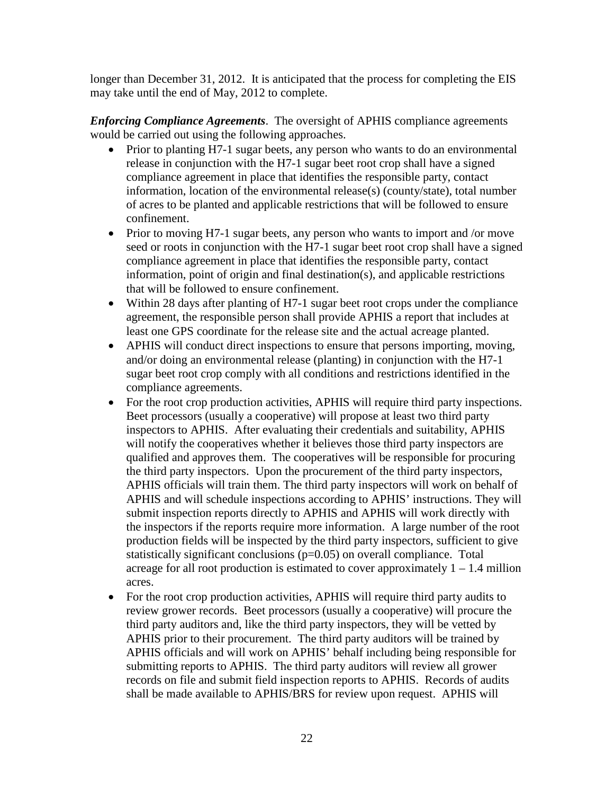longer than December 31, 2012. It is anticipated that the process for completing the EIS may take until the end of May, 2012 to complete.

*Enforcing Compliance Agreements*. The oversight of APHIS compliance agreements would be carried out using the following approaches.

- Prior to planting H7-1 sugar beets, any person who wants to do an environmental release in conjunction with the H7-1 sugar beet root crop shall have a signed compliance agreement in place that identifies the responsible party, contact information, location of the environmental release(s) (county/state), total number of acres to be planted and applicable restrictions that will be followed to ensure confinement.
- Prior to moving H7-1 sugar beets, any person who wants to import and /or move seed or roots in conjunction with the H7-1 sugar beet root crop shall have a signed compliance agreement in place that identifies the responsible party, contact information, point of origin and final destination(s), and applicable restrictions that will be followed to ensure confinement.
- Within 28 days after planting of H7-1 sugar beet root crops under the compliance agreement, the responsible person shall provide APHIS a report that includes at least one GPS coordinate for the release site and the actual acreage planted.
- APHIS will conduct direct inspections to ensure that persons importing, moving, and/or doing an environmental release (planting) in conjunction with the H7-1 sugar beet root crop comply with all conditions and restrictions identified in the compliance agreements.
- For the root crop production activities, APHIS will require third party inspections. Beet processors (usually a cooperative) will propose at least two third party inspectors to APHIS. After evaluating their credentials and suitability, APHIS will notify the cooperatives whether it believes those third party inspectors are qualified and approves them. The cooperatives will be responsible for procuring the third party inspectors. Upon the procurement of the third party inspectors, APHIS officials will train them. The third party inspectors will work on behalf of APHIS and will schedule inspections according to APHIS' instructions. They will submit inspection reports directly to APHIS and APHIS will work directly with the inspectors if the reports require more information. A large number of the root production fields will be inspected by the third party inspectors, sufficient to give statistically significant conclusions (p=0.05) on overall compliance. Total acreage for all root production is estimated to cover approximately  $1 - 1.4$  million acres.
- For the root crop production activities, APHIS will require third party audits to review grower records. Beet processors (usually a cooperative) will procure the third party auditors and, like the third party inspectors, they will be vetted by APHIS prior to their procurement. The third party auditors will be trained by APHIS officials and will work on APHIS' behalf including being responsible for submitting reports to APHIS. The third party auditors will review all grower records on file and submit field inspection reports to APHIS. Records of audits shall be made available to APHIS/BRS for review upon request. APHIS will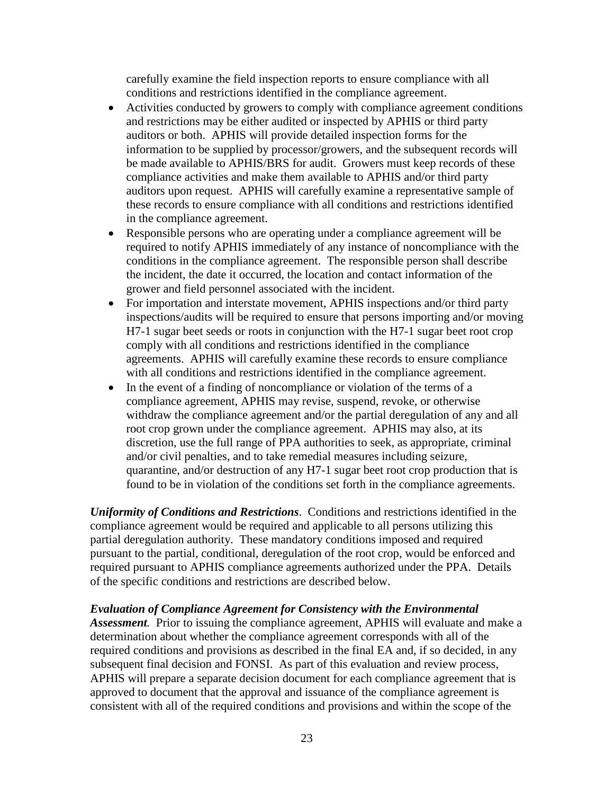carefully examine the field inspection reports to ensure compliance with all conditions and restrictions identified in the compliance agreement.

- Activities conducted by growers to comply with compliance agreement conditions and restrictions may be either audited or inspected by APHIS or third party auditors or both. APHIS will provide detailed inspection forms for the information to be supplied by processor/growers, and the subsequent records will be made available to APHIS/BRS for audit. Growers must keep records of these compliance activities and make them available to APHIS and/or third party auditors upon request. APHIS will carefully examine a representative sample of these records to ensure compliance with all conditions and restrictions identified in the compliance agreement.
- Responsible persons who are operating under a compliance agreement will be required to notify APHIS immediately of any instance of noncompliance with the conditions in the compliance agreement. The responsible person shall describe the incident, the date it occurred, the location and contact information of the grower and field personnel associated with the incident.
- For importation and interstate movement, APHIS inspections and/or third party inspections/audits will be required to ensure that persons importing and/or moving H7-1 sugar beet seeds or roots in conjunction with the H7-1 sugar beet root crop comply with all conditions and restrictions identified in the compliance agreements. APHIS will carefully examine these records to ensure compliance with all conditions and restrictions identified in the compliance agreement.
- In the event of a finding of noncompliance or violation of the terms of a compliance agreement, APHIS may revise, suspend, revoke, or otherwise withdraw the compliance agreement and/or the partial deregulation of any and all root crop grown under the compliance agreement. APHIS may also, at its discretion, use the full range of PPA authorities to seek, as appropriate, criminal and/or civil penalties, and to take remedial measures including seizure, quarantine, and/or destruction of any H7-1 sugar beet root crop production that is found to be in violation of the conditions set forth in the compliance agreements.

*Uniformity of Conditions and Restrictions*. Conditions and restrictions identified in the compliance agreement would be required and applicable to all persons utilizing this partial deregulation authority. These mandatory conditions imposed and required pursuant to the partial, conditional, deregulation of the root crop, would be enforced and required pursuant to APHIS compliance agreements authorized under the PPA. Details of the specific conditions and restrictions are described below.

#### *Evaluation of Compliance Agreement for Consistency with the Environmental*

*Assessment.* Prior to issuing the compliance agreement, APHIS will evaluate and make a determination about whether the compliance agreement corresponds with all of the required conditions and provisions as described in the final EA and, if so decided, in any subsequent final decision and FONSI. As part of this evaluation and review process, APHIS will prepare a separate decision document for each compliance agreement that is approved to document that the approval and issuance of the compliance agreement is consistent with all of the required conditions and provisions and within the scope of the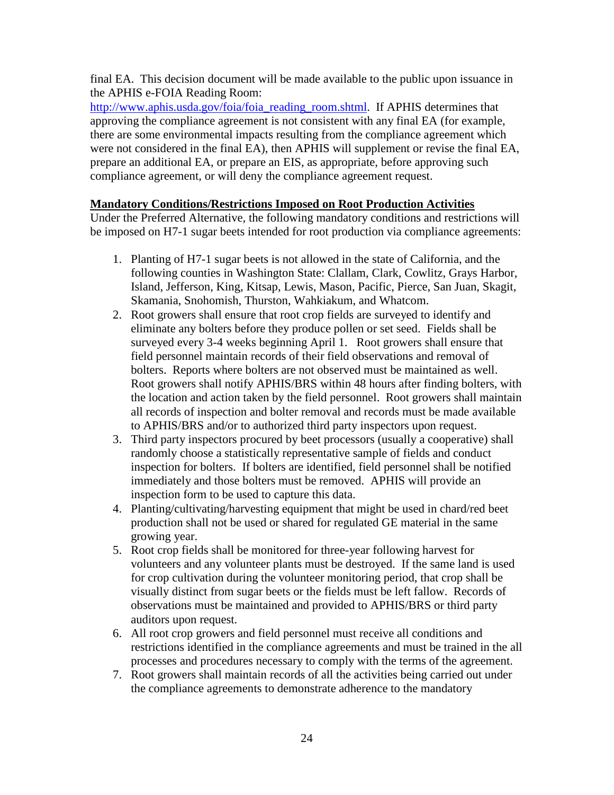final EA. This decision document will be made available to the public upon issuance in the APHIS e-FOIA Reading Room:

[http://www.aphis.usda.gov/foia/foia\\_reading\\_room.shtml.](http://www.aphis.usda.gov/foia/foia_reading_room.shtml) If APHIS determines that approving the compliance agreement is not consistent with any final EA (for example, there are some environmental impacts resulting from the compliance agreement which were not considered in the final EA), then APHIS will supplement or revise the final EA, prepare an additional EA, or prepare an EIS, as appropriate, before approving such compliance agreement, or will deny the compliance agreement request.

## **Mandatory Conditions/Restrictions Imposed on Root Production Activities**

Under the Preferred Alternative, the following mandatory conditions and restrictions will be imposed on H7-1 sugar beets intended for root production via compliance agreements:

- 1. Planting of H7-1 sugar beets is not allowed in the state of California, and the following counties in Washington State: Clallam, Clark, Cowlitz, Grays Harbor, Island, Jefferson, King, Kitsap, Lewis, Mason, Pacific, Pierce, San Juan, Skagit, Skamania, Snohomish, Thurston, Wahkiakum, and Whatcom.
- 2. Root growers shall ensure that root crop fields are surveyed to identify and eliminate any bolters before they produce pollen or set seed. Fields shall be surveyed every 3-4 weeks beginning April 1. Root growers shall ensure that field personnel maintain records of their field observations and removal of bolters. Reports where bolters are not observed must be maintained as well. Root growers shall notify APHIS/BRS within 48 hours after finding bolters, with the location and action taken by the field personnel. Root growers shall maintain all records of inspection and bolter removal and records must be made available to APHIS/BRS and/or to authorized third party inspectors upon request.
- 3. Third party inspectors procured by beet processors (usually a cooperative) shall randomly choose a statistically representative sample of fields and conduct inspection for bolters. If bolters are identified, field personnel shall be notified immediately and those bolters must be removed. APHIS will provide an inspection form to be used to capture this data.
- 4. Planting/cultivating/harvesting equipment that might be used in chard/red beet production shall not be used or shared for regulated GE material in the same growing year.
- 5. Root crop fields shall be monitored for three-year following harvest for volunteers and any volunteer plants must be destroyed. If the same land is used for crop cultivation during the volunteer monitoring period, that crop shall be visually distinct from sugar beets or the fields must be left fallow. Records of observations must be maintained and provided to APHIS/BRS or third party auditors upon request.
- 6. All root crop growers and field personnel must receive all conditions and restrictions identified in the compliance agreements and must be trained in the all processes and procedures necessary to comply with the terms of the agreement.
- 7. Root growers shall maintain records of all the activities being carried out under the compliance agreements to demonstrate adherence to the mandatory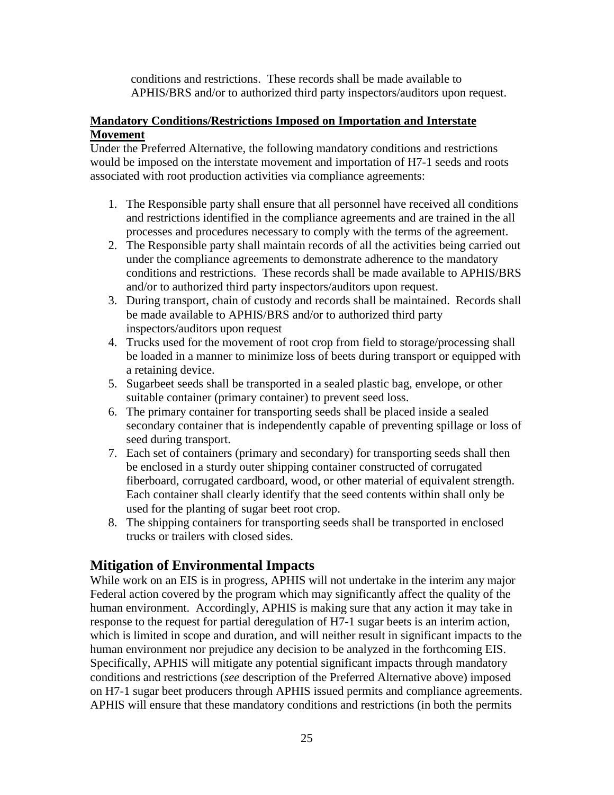conditions and restrictions. These records shall be made available to APHIS/BRS and/or to authorized third party inspectors/auditors upon request.

## **Mandatory Conditions/Restrictions Imposed on Importation and Interstate Movement**

Under the Preferred Alternative, the following mandatory conditions and restrictions would be imposed on the interstate movement and importation of H7-1 seeds and roots associated with root production activities via compliance agreements:

- 1. The Responsible party shall ensure that all personnel have received all conditions and restrictions identified in the compliance agreements and are trained in the all processes and procedures necessary to comply with the terms of the agreement.
- 2. The Responsible party shall maintain records of all the activities being carried out under the compliance agreements to demonstrate adherence to the mandatory conditions and restrictions. These records shall be made available to APHIS/BRS and/or to authorized third party inspectors/auditors upon request.
- 3. During transport, chain of custody and records shall be maintained. Records shall be made available to APHIS/BRS and/or to authorized third party inspectors/auditors upon request
- 4. Trucks used for the movement of root crop from field to storage/processing shall be loaded in a manner to minimize loss of beets during transport or equipped with a retaining device.
- 5. Sugarbeet seeds shall be transported in a sealed plastic bag, envelope, or other suitable container (primary container) to prevent seed loss.
- 6. The primary container for transporting seeds shall be placed inside a sealed secondary container that is independently capable of preventing spillage or loss of seed during transport.
- 7. Each set of containers (primary and secondary) for transporting seeds shall then be enclosed in a sturdy outer shipping container constructed of corrugated fiberboard, corrugated cardboard, wood, or other material of equivalent strength. Each container shall clearly identify that the seed contents within shall only be used for the planting of sugar beet root crop.
- 8. The shipping containers for transporting seeds shall be transported in enclosed trucks or trailers with closed sides.

# **Mitigation of Environmental Impacts**

While work on an EIS is in progress, APHIS will not undertake in the interim any major Federal action covered by the program which may significantly affect the quality of the human environment. Accordingly, APHIS is making sure that any action it may take in response to the request for partial deregulation of H7-1 sugar beets is an interim action, which is limited in scope and duration, and will neither result in significant impacts to the human environment nor prejudice any decision to be analyzed in the forthcoming EIS. Specifically, APHIS will mitigate any potential significant impacts through mandatory conditions and restrictions (*see* description of the Preferred Alternative above) imposed on H7-1 sugar beet producers through APHIS issued permits and compliance agreements. APHIS will ensure that these mandatory conditions and restrictions (in both the permits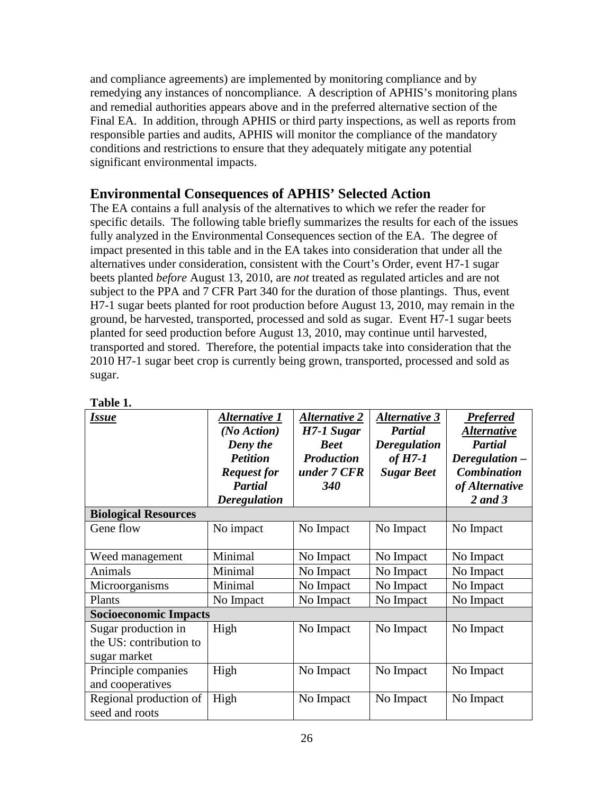and compliance agreements) are implemented by monitoring compliance and by remedying any instances of noncompliance. A description of APHIS's monitoring plans and remedial authorities appears above and in the preferred alternative section of the Final EA. In addition, through APHIS or third party inspections, as well as reports from responsible parties and audits, APHIS will monitor the compliance of the mandatory conditions and restrictions to ensure that they adequately mitigate any potential significant environmental impacts.

# **Environmental Consequences of APHIS' Selected Action**

The EA contains a full analysis of the alternatives to which we refer the reader for specific details. The following table briefly summarizes the results for each of the issues fully analyzed in the Environmental Consequences section of the EA. The degree of impact presented in this table and in the EA takes into consideration that under all the alternatives under consideration, consistent with the Court's Order, event H7-1 sugar beets planted *before* August 13, 2010, are *not* treated as regulated articles and are not subject to the PPA and 7 CFR Part 340 for the duration of those plantings. Thus, event H7-1 sugar beets planted for root production before August 13, 2010, may remain in the ground, be harvested, transported, processed and sold as sugar. Event H7-1 sugar beets planted for seed production before August 13, 2010, may continue until harvested, transported and stored. Therefore, the potential impacts take into consideration that the 2010 H7-1 sugar beet crop is currently being grown, transported, processed and sold as sugar.

| <b>Issue</b>                                                   | Alternative 1<br>(No Action)<br>Deny the<br><b>Petition</b><br><b>Request for</b><br><b>Partial</b><br><b>Deregulation</b> | <b>Alternative 2</b><br>H7-1 Sugar<br><b>Beet</b><br><b>Production</b><br>under 7 CFR<br><b>340</b> | <b>Alternative 3</b><br><b>Partial</b><br><b>Deregulation</b><br>of $H7-1$<br><b>Sugar Beet</b> | <b>Preferred</b><br><u>Alternative</u><br><b>Partial</b><br>Deregulation -<br><b>Combination</b><br>of Alternative<br>2 and 3 |
|----------------------------------------------------------------|----------------------------------------------------------------------------------------------------------------------------|-----------------------------------------------------------------------------------------------------|-------------------------------------------------------------------------------------------------|-------------------------------------------------------------------------------------------------------------------------------|
| <b>Biological Resources</b>                                    |                                                                                                                            |                                                                                                     |                                                                                                 |                                                                                                                               |
| Gene flow                                                      | No impact                                                                                                                  | No Impact                                                                                           | No Impact                                                                                       | No Impact                                                                                                                     |
| Weed management                                                | Minimal                                                                                                                    | No Impact                                                                                           | No Impact                                                                                       | No Impact                                                                                                                     |
| Animals                                                        | Minimal                                                                                                                    | No Impact                                                                                           | No Impact                                                                                       | No Impact                                                                                                                     |
| Microorganisms                                                 | Minimal                                                                                                                    | No Impact                                                                                           | No Impact                                                                                       | No Impact                                                                                                                     |
| Plants                                                         | No Impact                                                                                                                  | No Impact                                                                                           | No Impact                                                                                       | No Impact                                                                                                                     |
| <b>Socioeconomic Impacts</b>                                   |                                                                                                                            |                                                                                                     |                                                                                                 |                                                                                                                               |
| Sugar production in<br>the US: contribution to<br>sugar market | High                                                                                                                       | No Impact                                                                                           | No Impact                                                                                       | No Impact                                                                                                                     |
| Principle companies<br>and cooperatives                        | High                                                                                                                       | No Impact                                                                                           | No Impact                                                                                       | No Impact                                                                                                                     |
| Regional production of<br>seed and roots                       | High                                                                                                                       | No Impact                                                                                           | No Impact                                                                                       | No Impact                                                                                                                     |

**Table 1.**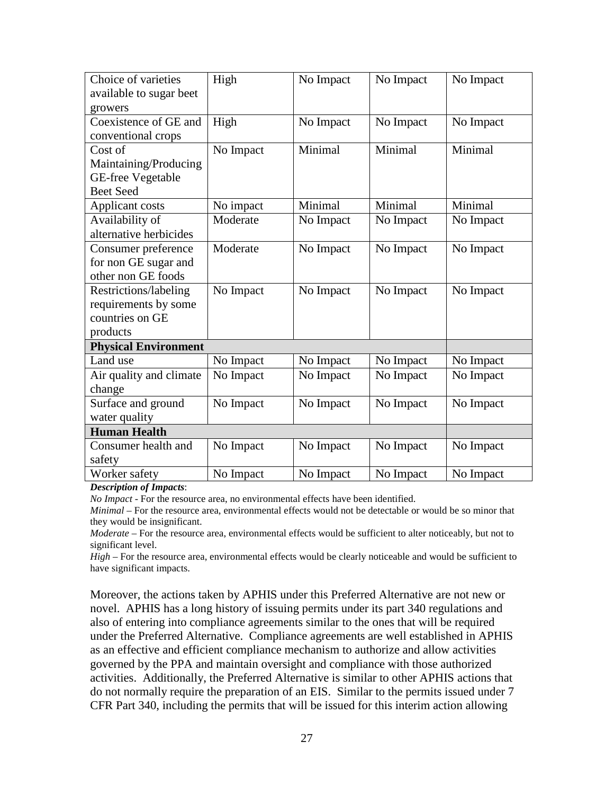| Choice of varieties         | High      | No Impact | No Impact | No Impact |
|-----------------------------|-----------|-----------|-----------|-----------|
| available to sugar beet     |           |           |           |           |
| growers                     |           |           |           |           |
| Coexistence of GE and       | High      | No Impact | No Impact | No Impact |
| conventional crops          |           |           |           |           |
| Cost of                     | No Impact | Minimal   | Minimal   | Minimal   |
| Maintaining/Producing       |           |           |           |           |
| <b>GE-free Vegetable</b>    |           |           |           |           |
| <b>Beet Seed</b>            |           |           |           |           |
| Applicant costs             | No impact | Minimal   | Minimal   | Minimal   |
| Availability of             | Moderate  | No Impact | No Impact | No Impact |
| alternative herbicides      |           |           |           |           |
| Consumer preference         | Moderate  | No Impact | No Impact | No Impact |
| for non GE sugar and        |           |           |           |           |
| other non GE foods          |           |           |           |           |
| Restrictions/labeling       | No Impact | No Impact | No Impact | No Impact |
| requirements by some        |           |           |           |           |
| countries on GE             |           |           |           |           |
| products                    |           |           |           |           |
| <b>Physical Environment</b> |           |           |           |           |
| Land use                    | No Impact | No Impact | No Impact | No Impact |
| Air quality and climate     | No Impact | No Impact | No Impact | No Impact |
| change                      |           |           |           |           |
| Surface and ground          | No Impact | No Impact | No Impact | No Impact |
| water quality               |           |           |           |           |
| <b>Human Health</b>         |           |           |           |           |
| Consumer health and         | No Impact | No Impact | No Impact | No Impact |
| safety                      |           |           |           |           |
| Worker safety               | No Impact | No Impact | No Impact | No Impact |

*Description of Impacts*:

*No Impact* - For the resource area, no environmental effects have been identified.

*Minimal* – For the resource area, environmental effects would not be detectable or would be so minor that they would be insignificant.

*Moderate* – For the resource area, environmental effects would be sufficient to alter noticeably, but not to significant level.

*High* – For the resource area, environmental effects would be clearly noticeable and would be sufficient to have significant impacts.

Moreover, the actions taken by APHIS under this Preferred Alternative are not new or novel. APHIS has a long history of issuing permits under its part 340 regulations and also of entering into compliance agreements similar to the ones that will be required under the Preferred Alternative. Compliance agreements are well established in APHIS as an effective and efficient compliance mechanism to authorize and allow activities governed by the PPA and maintain oversight and compliance with those authorized activities. Additionally, the Preferred Alternative is similar to other APHIS actions that do not normally require the preparation of an EIS. Similar to the permits issued under 7 CFR Part 340, including the permits that will be issued for this interim action allowing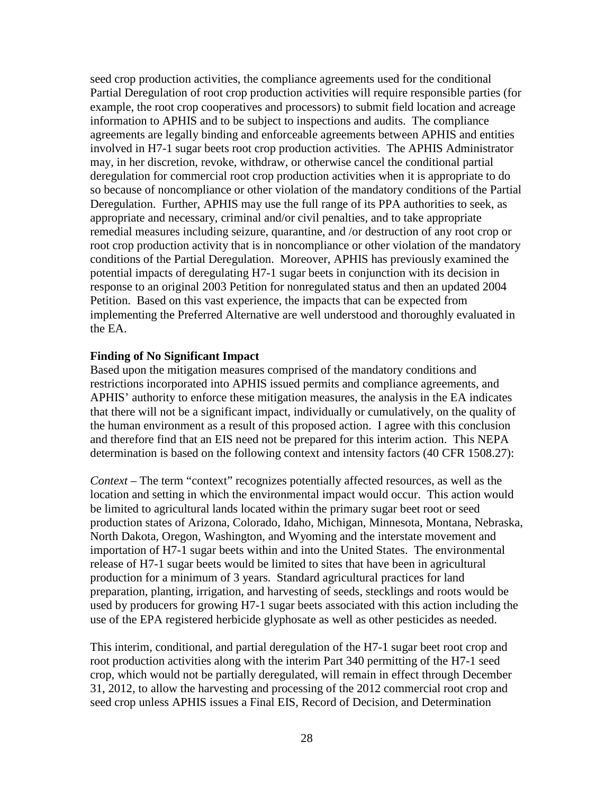seed crop production activities, the compliance agreements used for the conditional Partial Deregulation of root crop production activities will require responsible parties (for example, the root crop cooperatives and processors) to submit field location and acreage information to APHIS and to be subject to inspections and audits. The compliance agreements are legally binding and enforceable agreements between APHIS and entities involved in H7-1 sugar beets root crop production activities. The APHIS Administrator may, in her discretion, revoke, withdraw, or otherwise cancel the conditional partial deregulation for commercial root crop production activities when it is appropriate to do so because of noncompliance or other violation of the mandatory conditions of the Partial Deregulation. Further, APHIS may use the full range of its PPA authorities to seek, as appropriate and necessary, criminal and/or civil penalties, and to take appropriate remedial measures including seizure, quarantine, and /or destruction of any root crop or root crop production activity that is in noncompliance or other violation of the mandatory conditions of the Partial Deregulation. Moreover, APHIS has previously examined the potential impacts of deregulating H7-1 sugar beets in conjunction with its decision in response to an original 2003 Petition for nonregulated status and then an updated 2004 Petition. Based on this vast experience, the impacts that can be expected from implementing the Preferred Alternative are well understood and thoroughly evaluated in the EA.

#### **Finding of No Significant Impact**

Based upon the mitigation measures comprised of the mandatory conditions and restrictions incorporated into APHIS issued permits and compliance agreements, and APHIS' authority to enforce these mitigation measures, the analysis in the EA indicates that there will not be a significant impact, individually or cumulatively, on the quality of the human environment as a result of this proposed action. I agree with this conclusion and therefore find that an EIS need not be prepared for this interim action. This NEPA determination is based on the following context and intensity factors (40 CFR 1508.27):

*Context –* The term "context" recognizes potentially affected resources, as well as the location and setting in which the environmental impact would occur. This action would be limited to agricultural lands located within the primary sugar beet root or seed production states of Arizona, Colorado, Idaho, Michigan, Minnesota, Montana, Nebraska, North Dakota, Oregon, Washington, and Wyoming and the interstate movement and importation of H7-1 sugar beets within and into the United States. The environmental release of H7-1 sugar beets would be limited to sites that have been in agricultural production for a minimum of 3 years. Standard agricultural practices for land preparation, planting, irrigation, and harvesting of seeds, stecklings and roots would be used by producers for growing H7-1 sugar beets associated with this action including the use of the EPA registered herbicide glyphosate as well as other pesticides as needed.

This interim, conditional, and partial deregulation of the H7-1 sugar beet root crop and root production activities along with the interim Part 340 permitting of the H7-1 seed crop, which would not be partially deregulated, will remain in effect through December 31, 2012, to allow the harvesting and processing of the 2012 commercial root crop and seed crop unless APHIS issues a Final EIS, Record of Decision, and Determination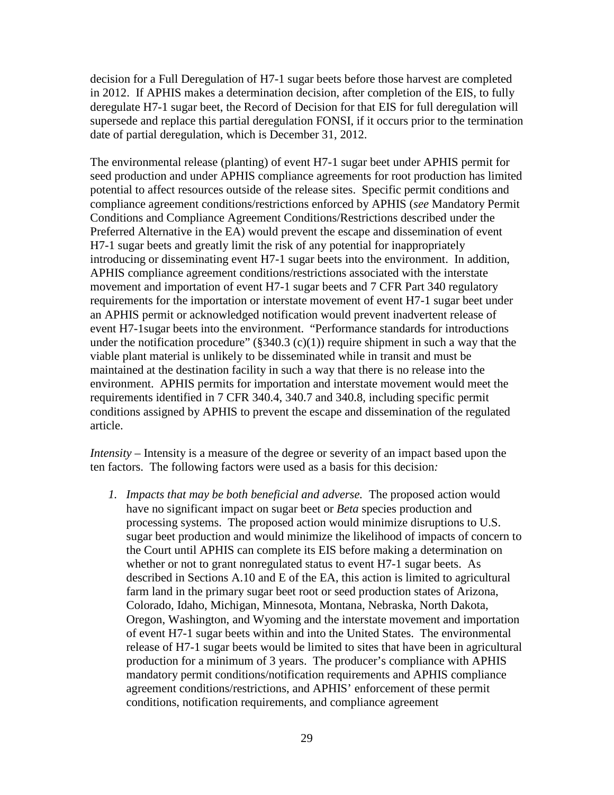decision for a Full Deregulation of H7-1 sugar beets before those harvest are completed in 2012. If APHIS makes a determination decision, after completion of the EIS, to fully deregulate H7-1 sugar beet, the Record of Decision for that EIS for full deregulation will supersede and replace this partial deregulation FONSI, if it occurs prior to the termination date of partial deregulation, which is December 31, 2012.

The environmental release (planting) of event H7-1 sugar beet under APHIS permit for seed production and under APHIS compliance agreements for root production has limited potential to affect resources outside of the release sites. Specific permit conditions and compliance agreement conditions/restrictions enforced by APHIS (*see* Mandatory Permit Conditions and Compliance Agreement Conditions/Restrictions described under the Preferred Alternative in the EA) would prevent the escape and dissemination of event H7-1 sugar beets and greatly limit the risk of any potential for inappropriately introducing or disseminating event H7-1 sugar beets into the environment. In addition, APHIS compliance agreement conditions/restrictions associated with the interstate movement and importation of event H7-1 sugar beets and 7 CFR Part 340 regulatory requirements for the importation or interstate movement of event H7-1 sugar beet under an APHIS permit or acknowledged notification would prevent inadvertent release of event H7-1sugar beets into the environment. "Performance standards for introductions under the notification procedure"  $(\frac{2340.3}{c})(1)$  require shipment in such a way that the viable plant material is unlikely to be disseminated while in transit and must be maintained at the destination facility in such a way that there is no release into the environment. APHIS permits for importation and interstate movement would meet the requirements identified in 7 CFR 340.4, 340.7 and 340.8, including specific permit conditions assigned by APHIS to prevent the escape and dissemination of the regulated article.

*Intensity –* Intensity is a measure of the degree or severity of an impact based upon the ten factors. The following factors were used as a basis for this decision*:*

*1. Impacts that may be both beneficial and adverse.* The proposed action would have no significant impact on sugar beet or *Beta* species production and processing systems. The proposed action would minimize disruptions to U.S. sugar beet production and would minimize the likelihood of impacts of concern to the Court until APHIS can complete its EIS before making a determination on whether or not to grant nonregulated status to event H7-1 sugar beets. As described in Sections A.10 and E of the EA, this action is limited to agricultural farm land in the primary sugar beet root or seed production states of Arizona, Colorado, Idaho, Michigan, Minnesota, Montana, Nebraska, North Dakota, Oregon, Washington, and Wyoming and the interstate movement and importation of event H7-1 sugar beets within and into the United States. The environmental release of H7-1 sugar beets would be limited to sites that have been in agricultural production for a minimum of 3 years. The producer's compliance with APHIS mandatory permit conditions/notification requirements and APHIS compliance agreement conditions/restrictions, and APHIS' enforcement of these permit conditions, notification requirements, and compliance agreement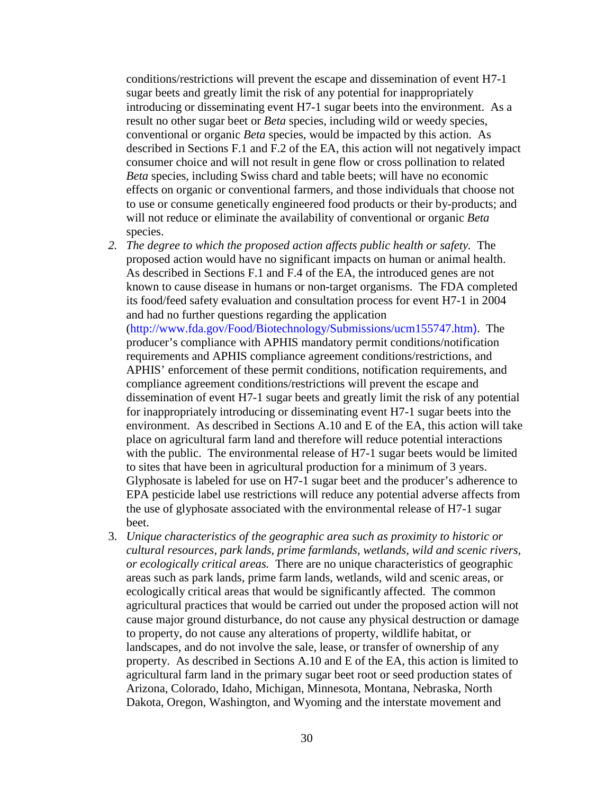conditions/restrictions will prevent the escape and dissemination of event H7-1 sugar beets and greatly limit the risk of any potential for inappropriately introducing or disseminating event H7-1 sugar beets into the environment. As a result no other sugar beet or *Beta* species, including wild or weedy species, conventional or organic *Beta* species, would be impacted by this action. As described in Sections F.1 and F.2 of the EA, this action will not negatively impact consumer choice and will not result in gene flow or cross pollination to related *Beta* species, including Swiss chard and table beets; will have no economic effects on organic or conventional farmers, and those individuals that choose not to use or consume genetically engineered food products or their by-products; and will not reduce or eliminate the availability of conventional or organic *Beta* species.

- *2. The degree to which the proposed action affects public health or safety.* The proposed action would have no significant impacts on human or animal health. As described in Sections F.1 and F.4 of the EA, the introduced genes are not known to cause disease in humans or non-target organisms. The FDA completed its food/feed safety evaluation and consultation process for event H7-1 in 2004 and had no further questions regarding the application (http://www.fda.gov/Food/Biotechnology/Submissions/ucm155747.htm). The producer's compliance with APHIS mandatory permit conditions/notification requirements and APHIS compliance agreement conditions/restrictions, and APHIS' enforcement of these permit conditions, notification requirements, and compliance agreement conditions/restrictions will prevent the escape and dissemination of event H7-1 sugar beets and greatly limit the risk of any potential for inappropriately introducing or disseminating event H7-1 sugar beets into the environment. As described in Sections A.10 and E of the EA, this action will take place on agricultural farm land and therefore will reduce potential interactions with the public. The environmental release of H7-1 sugar beets would be limited to sites that have been in agricultural production for a minimum of 3 years. Glyphosate is labeled for use on H7-1 sugar beet and the producer's adherence to EPA pesticide label use restrictions will reduce any potential adverse affects from the use of glyphosate associated with the environmental release of H7-1 sugar beet.
- 3. *Unique characteristics of the geographic area such as proximity to historic or cultural resources, park lands, prime farmlands, wetlands, wild and scenic rivers, or ecologically critical areas.* There are no unique characteristics of geographic areas such as park lands, prime farm lands, wetlands, wild and scenic areas, or ecologically critical areas that would be significantly affected. The common agricultural practices that would be carried out under the proposed action will not cause major ground disturbance, do not cause any physical destruction or damage to property, do not cause any alterations of property, wildlife habitat, or landscapes, and do not involve the sale, lease, or transfer of ownership of any property. As described in Sections A.10 and E of the EA, this action is limited to agricultural farm land in the primary sugar beet root or seed production states of Arizona, Colorado, Idaho, Michigan, Minnesota, Montana, Nebraska, North Dakota, Oregon, Washington, and Wyoming and the interstate movement and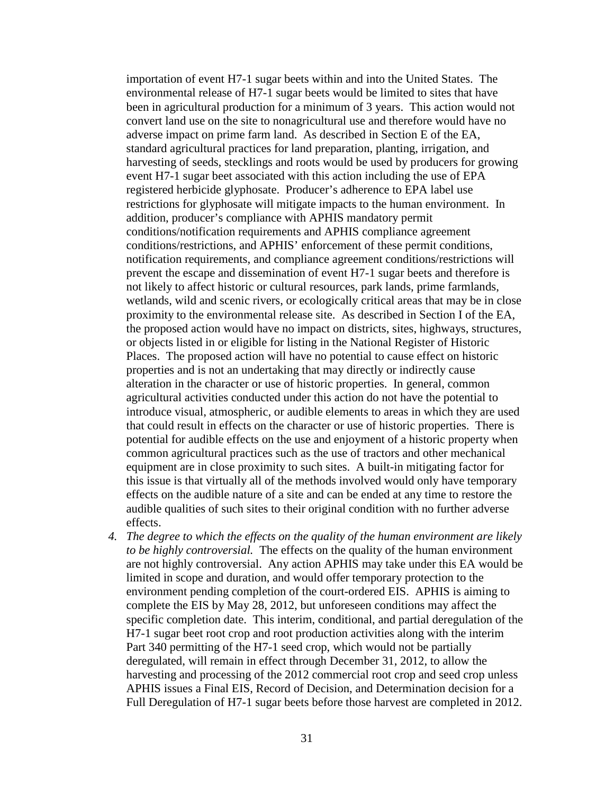importation of event H7-1 sugar beets within and into the United States. The environmental release of H7-1 sugar beets would be limited to sites that have been in agricultural production for a minimum of 3 years. This action would not convert land use on the site to nonagricultural use and therefore would have no adverse impact on prime farm land. As described in Section E of the EA, standard agricultural practices for land preparation, planting, irrigation, and harvesting of seeds, stecklings and roots would be used by producers for growing event H7-1 sugar beet associated with this action including the use of EPA registered herbicide glyphosate. Producer's adherence to EPA label use restrictions for glyphosate will mitigate impacts to the human environment. In addition, producer's compliance with APHIS mandatory permit conditions/notification requirements and APHIS compliance agreement conditions/restrictions, and APHIS' enforcement of these permit conditions, notification requirements, and compliance agreement conditions/restrictions will prevent the escape and dissemination of event H7-1 sugar beets and therefore is not likely to affect historic or cultural resources, park lands, prime farmlands, wetlands, wild and scenic rivers, or ecologically critical areas that may be in close proximity to the environmental release site. As described in Section I of the EA, the proposed action would have no impact on districts, sites, highways, structures, or objects listed in or eligible for listing in the National Register of Historic Places. The proposed action will have no potential to cause effect on historic properties and is not an undertaking that may directly or indirectly cause alteration in the character or use of historic properties. In general, common agricultural activities conducted under this action do not have the potential to introduce visual, atmospheric, or audible elements to areas in which they are used that could result in effects on the character or use of historic properties. There is potential for audible effects on the use and enjoyment of a historic property when common agricultural practices such as the use of tractors and other mechanical equipment are in close proximity to such sites. A built-in mitigating factor for this issue is that virtually all of the methods involved would only have temporary effects on the audible nature of a site and can be ended at any time to restore the audible qualities of such sites to their original condition with no further adverse effects.

*4. The degree to which the effects on the quality of the human environment are likely to be highly controversial.* The effects on the quality of the human environment are not highly controversial. Any action APHIS may take under this EA would be limited in scope and duration, and would offer temporary protection to the environment pending completion of the court-ordered EIS. APHIS is aiming to complete the EIS by May 28, 2012, but unforeseen conditions may affect the specific completion date. This interim, conditional, and partial deregulation of the H7-1 sugar beet root crop and root production activities along with the interim Part 340 permitting of the H7-1 seed crop, which would not be partially deregulated, will remain in effect through December 31, 2012, to allow the harvesting and processing of the 2012 commercial root crop and seed crop unless APHIS issues a Final EIS, Record of Decision, and Determination decision for a Full Deregulation of H7-1 sugar beets before those harvest are completed in 2012.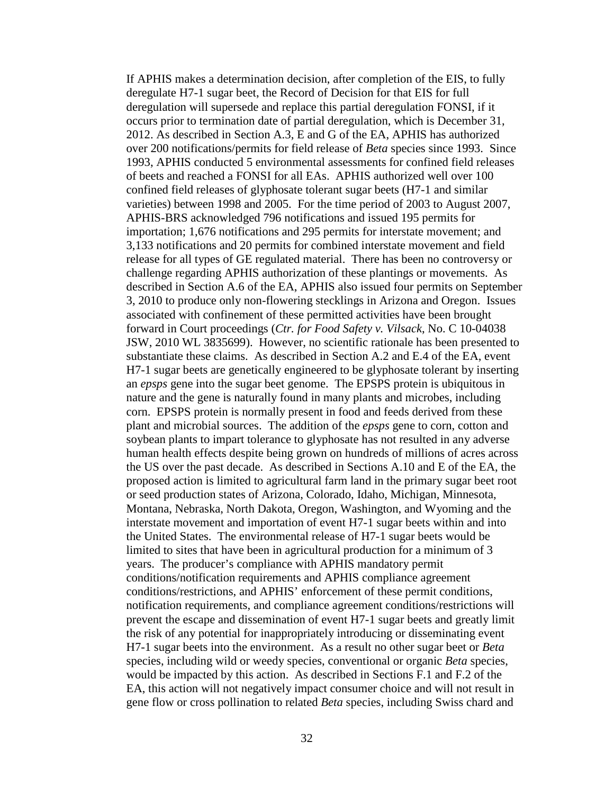If APHIS makes a determination decision, after completion of the EIS, to fully deregulate H7-1 sugar beet, the Record of Decision for that EIS for full deregulation will supersede and replace this partial deregulation FONSI, if it occurs prior to termination date of partial deregulation, which is December 31, 2012. As described in Section A.3, E and G of the EA, APHIS has authorized over 200 notifications/permits for field release of *Beta* species since 1993. Since 1993, APHIS conducted 5 environmental assessments for confined field releases of beets and reached a FONSI for all EAs. APHIS authorized well over 100 confined field releases of glyphosate tolerant sugar beets (H7-1 and similar varieties) between 1998 and 2005. For the time period of 2003 to August 2007, APHIS-BRS acknowledged 796 notifications and issued 195 permits for importation; 1,676 notifications and 295 permits for interstate movement; and 3,133 notifications and 20 permits for combined interstate movement and field release for all types of GE regulated material. There has been no controversy or challenge regarding APHIS authorization of these plantings or movements. As described in Section A.6 of the EA, APHIS also issued four permits on September 3, 2010 to produce only non-flowering stecklings in Arizona and Oregon. Issues associated with confinement of these permitted activities have been brought forward in Court proceedings (*Ctr. for Food Safety v. Vilsack*, No. C 10-04038 JSW, 2010 WL 3835699). However, no scientific rationale has been presented to substantiate these claims. As described in Section A.2 and E.4 of the EA, event H7-1 sugar beets are genetically engineered to be glyphosate tolerant by inserting an *epsps* gene into the sugar beet genome. The EPSPS protein is ubiquitous in nature and the gene is naturally found in many plants and microbes, including corn. EPSPS protein is normally present in food and feeds derived from these plant and microbial sources. The addition of the *epsps* gene to corn, cotton and soybean plants to impart tolerance to glyphosate has not resulted in any adverse human health effects despite being grown on hundreds of millions of acres across the US over the past decade. As described in Sections A.10 and E of the EA, the proposed action is limited to agricultural farm land in the primary sugar beet root or seed production states of Arizona, Colorado, Idaho, Michigan, Minnesota, Montana, Nebraska, North Dakota, Oregon, Washington, and Wyoming and the interstate movement and importation of event H7-1 sugar beets within and into the United States. The environmental release of H7-1 sugar beets would be limited to sites that have been in agricultural production for a minimum of 3 years. The producer's compliance with APHIS mandatory permit conditions/notification requirements and APHIS compliance agreement conditions/restrictions, and APHIS' enforcement of these permit conditions, notification requirements, and compliance agreement conditions/restrictions will prevent the escape and dissemination of event H7-1 sugar beets and greatly limit the risk of any potential for inappropriately introducing or disseminating event H7-1 sugar beets into the environment. As a result no other sugar beet or *Beta* species, including wild or weedy species, conventional or organic *Beta* species, would be impacted by this action. As described in Sections F.1 and F.2 of the EA, this action will not negatively impact consumer choice and will not result in gene flow or cross pollination to related *Beta* species, including Swiss chard and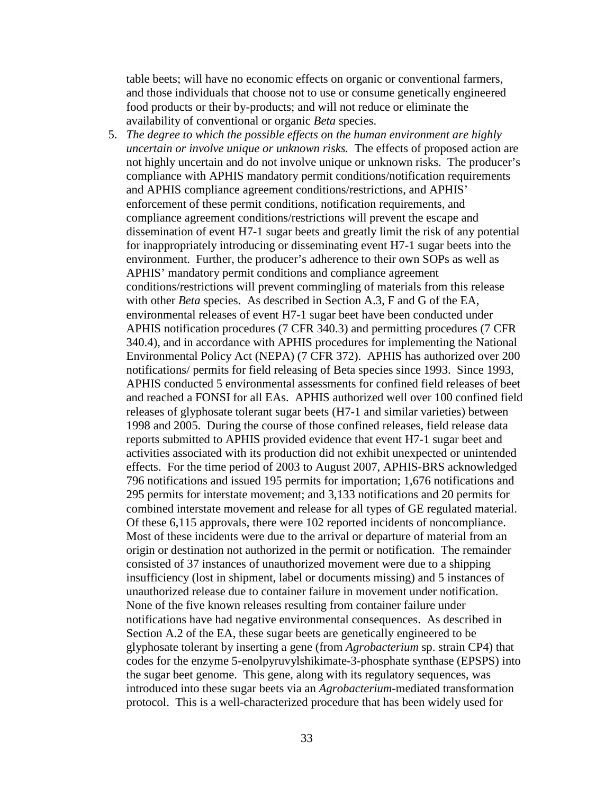table beets; will have no economic effects on organic or conventional farmers, and those individuals that choose not to use or consume genetically engineered food products or their by-products; and will not reduce or eliminate the availability of conventional or organic *Beta* species.

5. *The degree to which the possible effects on the human environment are highly uncertain or involve unique or unknown risks.* The effects of proposed action are not highly uncertain and do not involve unique or unknown risks. The producer's compliance with APHIS mandatory permit conditions/notification requirements and APHIS compliance agreement conditions/restrictions, and APHIS' enforcement of these permit conditions, notification requirements, and compliance agreement conditions/restrictions will prevent the escape and dissemination of event H7-1 sugar beets and greatly limit the risk of any potential for inappropriately introducing or disseminating event H7-1 sugar beets into the environment. Further, the producer's adherence to their own SOPs as well as APHIS' mandatory permit conditions and compliance agreement conditions/restrictions will prevent commingling of materials from this release with other *Beta* species. As described in Section A.3, F and G of the EA, environmental releases of event H7-1 sugar beet have been conducted under APHIS notification procedures (7 CFR 340.3) and permitting procedures (7 CFR 340.4), and in accordance with APHIS procedures for implementing the National Environmental Policy Act (NEPA) (7 CFR 372). APHIS has authorized over 200 notifications/ permits for field releasing of Beta species since 1993. Since 1993, APHIS conducted 5 environmental assessments for confined field releases of beet and reached a FONSI for all EAs. APHIS authorized well over 100 confined field releases of glyphosate tolerant sugar beets (H7-1 and similar varieties) between 1998 and 2005. During the course of those confined releases, field release data reports submitted to APHIS provided evidence that event H7-1 sugar beet and activities associated with its production did not exhibit unexpected or unintended effects. For the time period of 2003 to August 2007, APHIS-BRS acknowledged 796 notifications and issued 195 permits for importation; 1,676 notifications and 295 permits for interstate movement; and 3,133 notifications and 20 permits for combined interstate movement and release for all types of GE regulated material. Of these 6,115 approvals, there were 102 reported incidents of noncompliance. Most of these incidents were due to the arrival or departure of material from an origin or destination not authorized in the permit or notification. The remainder consisted of 37 instances of unauthorized movement were due to a shipping insufficiency (lost in shipment, label or documents missing) and 5 instances of unauthorized release due to container failure in movement under notification. None of the five known releases resulting from container failure under notifications have had negative environmental consequences. As described in Section A.2 of the EA, these sugar beets are genetically engineered to be glyphosate tolerant by inserting a gene (from *Agrobacterium* sp. strain CP4) that codes for the enzyme 5-enolpyruvylshikimate-3-phosphate synthase (EPSPS) into the sugar beet genome. This gene, along with its regulatory sequences, was introduced into these sugar beets via an *Agrobacterium*-mediated transformation protocol. This is a well-characterized procedure that has been widely used for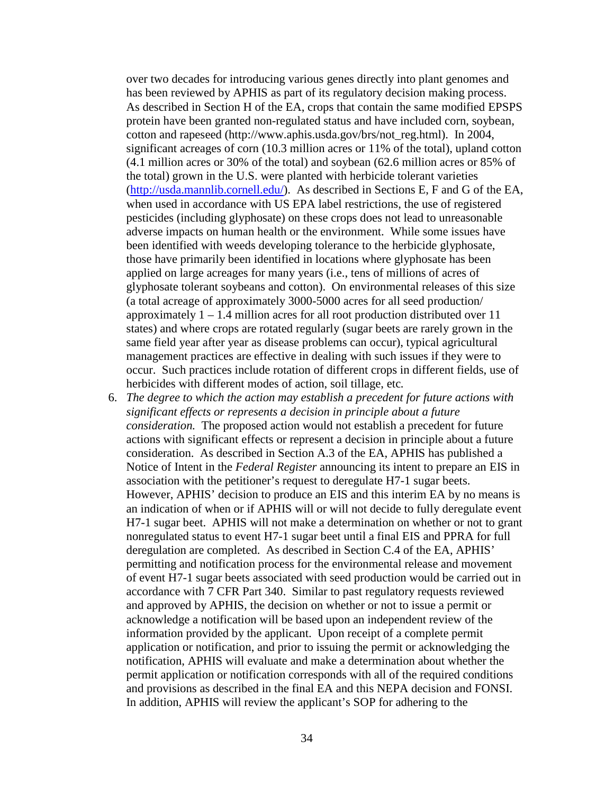over two decades for introducing various genes directly into plant genomes and has been reviewed by APHIS as part of its regulatory decision making process. As described in Section H of the EA, crops that contain the same modified EPSPS protein have been granted non-regulated status and have included corn, soybean, cotton and rapeseed (http://www.aphis.usda.gov/brs/not\_reg.html). In 2004, significant acreages of corn (10.3 million acres or 11% of the total), upland cotton (4.1 million acres or 30% of the total) and soybean (62.6 million acres or 85% of the total) grown in the U.S. were planted with herbicide tolerant varieties [\(http://usda.mannlib.cornell.edu/\)](http://usda.mannlib.cornell.edu/). As described in Sections E, F and G of the EA, when used in accordance with US EPA label restrictions, the use of registered pesticides (including glyphosate) on these crops does not lead to unreasonable adverse impacts on human health or the environment. While some issues have been identified with weeds developing tolerance to the herbicide glyphosate, those have primarily been identified in locations where glyphosate has been applied on large acreages for many years (i.e., tens of millions of acres of glyphosate tolerant soybeans and cotton). On environmental releases of this size (a total acreage of approximately 3000-5000 acres for all seed production/ approximately 1 – 1.4 million acres for all root production distributed over 11 states) and where crops are rotated regularly (sugar beets are rarely grown in the same field year after year as disease problems can occur), typical agricultural management practices are effective in dealing with such issues if they were to occur. Such practices include rotation of different crops in different fields, use of herbicides with different modes of action, soil tillage, etc*.*

6. *The degree to which the action may establish a precedent for future actions with significant effects or represents a decision in principle about a future consideration.* The proposed action would not establish a precedent for future actions with significant effects or represent a decision in principle about a future consideration. As described in Section A.3 of the EA, APHIS has published a Notice of Intent in the *Federal Register* announcing its intent to prepare an EIS in association with the petitioner's request to deregulate H7-1 sugar beets. However, APHIS' decision to produce an EIS and this interim EA by no means is an indication of when or if APHIS will or will not decide to fully deregulate event H7-1 sugar beet. APHIS will not make a determination on whether or not to grant nonregulated status to event H7-1 sugar beet until a final EIS and PPRA for full deregulation are completed. As described in Section C.4 of the EA, APHIS' permitting and notification process for the environmental release and movement of event H7-1 sugar beets associated with seed production would be carried out in accordance with 7 CFR Part 340. Similar to past regulatory requests reviewed and approved by APHIS, the decision on whether or not to issue a permit or acknowledge a notification will be based upon an independent review of the information provided by the applicant. Upon receipt of a complete permit application or notification, and prior to issuing the permit or acknowledging the notification, APHIS will evaluate and make a determination about whether the permit application or notification corresponds with all of the required conditions and provisions as described in the final EA and this NEPA decision and FONSI. In addition, APHIS will review the applicant's SOP for adhering to the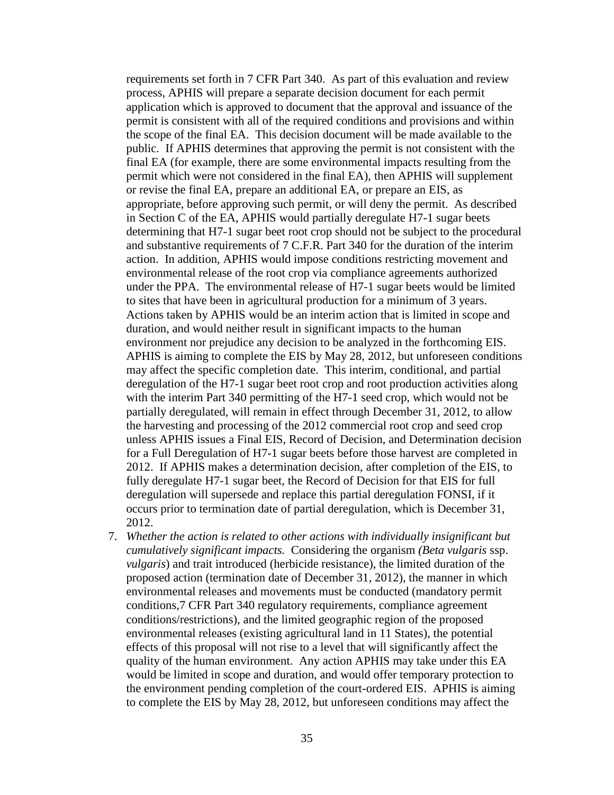requirements set forth in 7 CFR Part 340. As part of this evaluation and review process, APHIS will prepare a separate decision document for each permit application which is approved to document that the approval and issuance of the permit is consistent with all of the required conditions and provisions and within the scope of the final EA. This decision document will be made available to the public. If APHIS determines that approving the permit is not consistent with the final EA (for example, there are some environmental impacts resulting from the permit which were not considered in the final EA), then APHIS will supplement or revise the final EA, prepare an additional EA, or prepare an EIS, as appropriate, before approving such permit, or will deny the permit. As described in Section C of the EA, APHIS would partially deregulate H7-1 sugar beets determining that H7-1 sugar beet root crop should not be subject to the procedural and substantive requirements of 7 C.F.R. Part 340 for the duration of the interim action. In addition, APHIS would impose conditions restricting movement and environmental release of the root crop via compliance agreements authorized under the PPA. The environmental release of H7-1 sugar beets would be limited to sites that have been in agricultural production for a minimum of 3 years. Actions taken by APHIS would be an interim action that is limited in scope and duration, and would neither result in significant impacts to the human environment nor prejudice any decision to be analyzed in the forthcoming EIS. APHIS is aiming to complete the EIS by May 28, 2012, but unforeseen conditions may affect the specific completion date. This interim, conditional, and partial deregulation of the H7-1 sugar beet root crop and root production activities along with the interim Part 340 permitting of the H7-1 seed crop, which would not be partially deregulated, will remain in effect through December 31, 2012, to allow the harvesting and processing of the 2012 commercial root crop and seed crop unless APHIS issues a Final EIS, Record of Decision, and Determination decision for a Full Deregulation of H7-1 sugar beets before those harvest are completed in 2012. If APHIS makes a determination decision, after completion of the EIS, to fully deregulate H7-1 sugar beet, the Record of Decision for that EIS for full deregulation will supersede and replace this partial deregulation FONSI, if it occurs prior to termination date of partial deregulation, which is December 31, 2012.

7. *Whether the action is related to other actions with individually insignificant but cumulatively significant impacts.* Considering the organism *(Beta vulgaris* ssp. *vulgaris*) and trait introduced (herbicide resistance), the limited duration of the proposed action (termination date of December 31, 2012), the manner in which environmental releases and movements must be conducted (mandatory permit conditions,7 CFR Part 340 regulatory requirements, compliance agreement conditions/restrictions), and the limited geographic region of the proposed environmental releases (existing agricultural land in 11 States), the potential effects of this proposal will not rise to a level that will significantly affect the quality of the human environment. Any action APHIS may take under this EA would be limited in scope and duration, and would offer temporary protection to the environment pending completion of the court-ordered EIS. APHIS is aiming to complete the EIS by May 28, 2012, but unforeseen conditions may affect the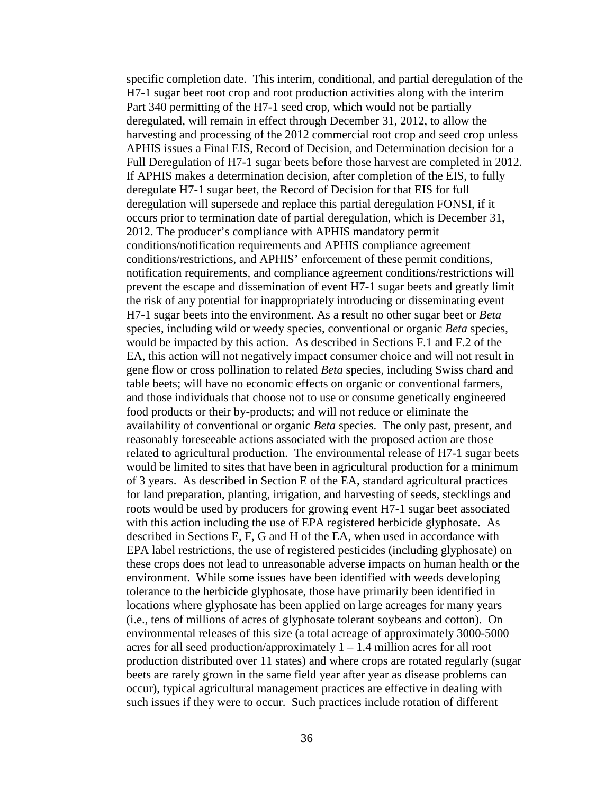specific completion date. This interim, conditional, and partial deregulation of the H7-1 sugar beet root crop and root production activities along with the interim Part 340 permitting of the H7-1 seed crop, which would not be partially deregulated, will remain in effect through December 31, 2012, to allow the harvesting and processing of the 2012 commercial root crop and seed crop unless APHIS issues a Final EIS, Record of Decision, and Determination decision for a Full Deregulation of H7-1 sugar beets before those harvest are completed in 2012. If APHIS makes a determination decision, after completion of the EIS, to fully deregulate H7-1 sugar beet, the Record of Decision for that EIS for full deregulation will supersede and replace this partial deregulation FONSI, if it occurs prior to termination date of partial deregulation, which is December 31, 2012. The producer's compliance with APHIS mandatory permit conditions/notification requirements and APHIS compliance agreement conditions/restrictions, and APHIS' enforcement of these permit conditions, notification requirements, and compliance agreement conditions/restrictions will prevent the escape and dissemination of event H7-1 sugar beets and greatly limit the risk of any potential for inappropriately introducing or disseminating event H7-1 sugar beets into the environment. As a result no other sugar beet or *Beta* species, including wild or weedy species, conventional or organic *Beta* species, would be impacted by this action. As described in Sections F.1 and F.2 of the EA, this action will not negatively impact consumer choice and will not result in gene flow or cross pollination to related *Beta* species, including Swiss chard and table beets; will have no economic effects on organic or conventional farmers, and those individuals that choose not to use or consume genetically engineered food products or their by-products; and will not reduce or eliminate the availability of conventional or organic *Beta* species. The only past, present, and reasonably foreseeable actions associated with the proposed action are those related to agricultural production. The environmental release of H7-1 sugar beets would be limited to sites that have been in agricultural production for a minimum of 3 years. As described in Section E of the EA, standard agricultural practices for land preparation, planting, irrigation, and harvesting of seeds, stecklings and roots would be used by producers for growing event H7-1 sugar beet associated with this action including the use of EPA registered herbicide glyphosate. As described in Sections E, F, G and H of the EA, when used in accordance with EPA label restrictions, the use of registered pesticides (including glyphosate) on these crops does not lead to unreasonable adverse impacts on human health or the environment. While some issues have been identified with weeds developing tolerance to the herbicide glyphosate, those have primarily been identified in locations where glyphosate has been applied on large acreages for many years (i.e., tens of millions of acres of glyphosate tolerant soybeans and cotton). On environmental releases of this size (a total acreage of approximately 3000-5000 acres for all seed production/approximately  $1 - 1.4$  million acres for all root production distributed over 11 states) and where crops are rotated regularly (sugar beets are rarely grown in the same field year after year as disease problems can occur), typical agricultural management practices are effective in dealing with such issues if they were to occur. Such practices include rotation of different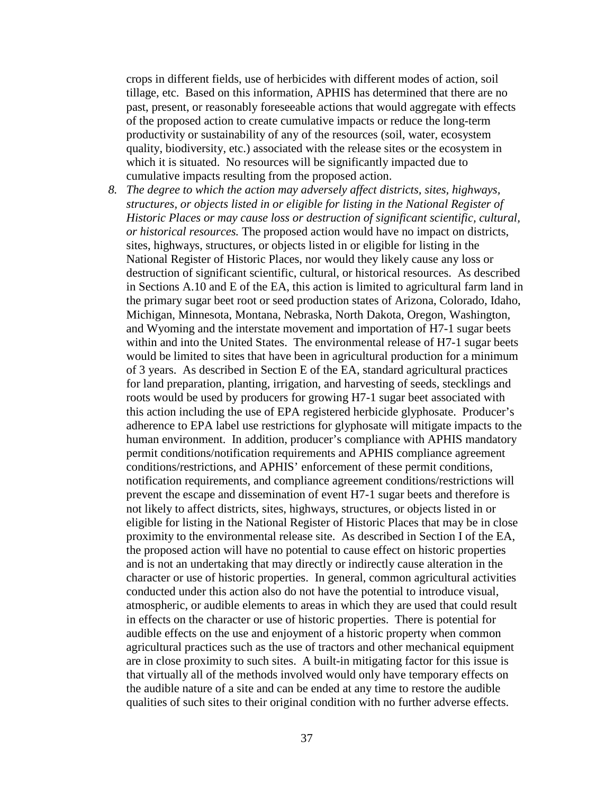crops in different fields, use of herbicides with different modes of action, soil tillage, etc. Based on this information, APHIS has determined that there are no past, present, or reasonably foreseeable actions that would aggregate with effects of the proposed action to create cumulative impacts or reduce the long-term productivity or sustainability of any of the resources (soil, water, ecosystem quality, biodiversity, etc.) associated with the release sites or the ecosystem in which it is situated. No resources will be significantly impacted due to cumulative impacts resulting from the proposed action.

*8. The degree to which the action may adversely affect districts, sites, highways, structures, or objects listed in or eligible for listing in the National Register of Historic Places or may cause loss or destruction of significant scientific, cultural, or historical resources.* The proposed action would have no impact on districts, sites, highways, structures, or objects listed in or eligible for listing in the National Register of Historic Places, nor would they likely cause any loss or destruction of significant scientific, cultural, or historical resources. As described in Sections A.10 and E of the EA, this action is limited to agricultural farm land in the primary sugar beet root or seed production states of Arizona, Colorado, Idaho, Michigan, Minnesota, Montana, Nebraska, North Dakota, Oregon, Washington, and Wyoming and the interstate movement and importation of H7-1 sugar beets within and into the United States. The environmental release of H7-1 sugar beets would be limited to sites that have been in agricultural production for a minimum of 3 years. As described in Section E of the EA, standard agricultural practices for land preparation, planting, irrigation, and harvesting of seeds, stecklings and roots would be used by producers for growing H7-1 sugar beet associated with this action including the use of EPA registered herbicide glyphosate. Producer's adherence to EPA label use restrictions for glyphosate will mitigate impacts to the human environment. In addition, producer's compliance with APHIS mandatory permit conditions/notification requirements and APHIS compliance agreement conditions/restrictions, and APHIS' enforcement of these permit conditions, notification requirements, and compliance agreement conditions/restrictions will prevent the escape and dissemination of event H7-1 sugar beets and therefore is not likely to affect districts, sites, highways, structures, or objects listed in or eligible for listing in the National Register of Historic Places that may be in close proximity to the environmental release site. As described in Section I of the EA, the proposed action will have no potential to cause effect on historic properties and is not an undertaking that may directly or indirectly cause alteration in the character or use of historic properties. In general, common agricultural activities conducted under this action also do not have the potential to introduce visual, atmospheric, or audible elements to areas in which they are used that could result in effects on the character or use of historic properties. There is potential for audible effects on the use and enjoyment of a historic property when common agricultural practices such as the use of tractors and other mechanical equipment are in close proximity to such sites. A built-in mitigating factor for this issue is that virtually all of the methods involved would only have temporary effects on the audible nature of a site and can be ended at any time to restore the audible qualities of such sites to their original condition with no further adverse effects.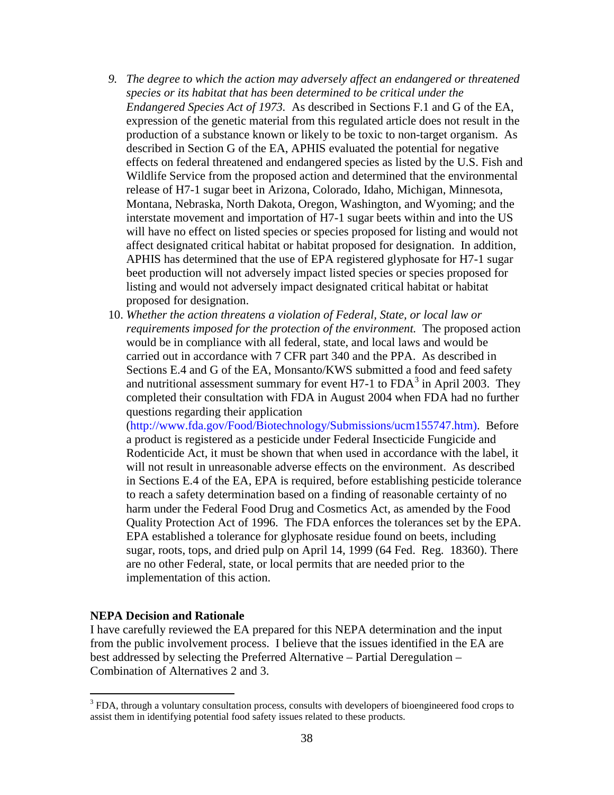- *9. The degree to which the action may adversely affect an endangered or threatened species or its habitat that has been determined to be critical under the Endangered Species Act of 1973.* As described in Sections F.1 and G of the EA, expression of the genetic material from this regulated article does not result in the production of a substance known or likely to be toxic to non-target organism. As described in Section G of the EA, APHIS evaluated the potential for negative effects on federal threatened and endangered species as listed by the U.S. Fish and Wildlife Service from the proposed action and determined that the environmental release of H7-1 sugar beet in Arizona, Colorado, Idaho, Michigan, Minnesota, Montana, Nebraska, North Dakota, Oregon, Washington, and Wyoming; and the interstate movement and importation of H7-1 sugar beets within and into the US will have no effect on listed species or species proposed for listing and would not affect designated critical habitat or habitat proposed for designation. In addition, APHIS has determined that the use of EPA registered glyphosate for H7-1 sugar beet production will not adversely impact listed species or species proposed for listing and would not adversely impact designated critical habitat or habitat proposed for designation.
- 10. *Whether the action threatens a violation of Federal, State, or local law or requirements imposed for the protection of the environment.* The proposed action would be in compliance with all federal, state, and local laws and would be carried out in accordance with 7 CFR part 340 and the PPA. As described in Sections E.4 and G of the EA, Monsanto/KWS submitted a food and feed safety and nutritional assessment summary for event H7-1 to  $FDA<sup>3</sup>$  $FDA<sup>3</sup>$  $FDA<sup>3</sup>$  in April 2003. They completed their consultation with FDA in August 2004 when FDA had no further questions regarding their application

(http://www.fda.gov/Food/Biotechnology/Submissions/ucm155747.htm). Before a product is registered as a pesticide under Federal Insecticide Fungicide and Rodenticide Act, it must be shown that when used in accordance with the label, it will not result in unreasonable adverse effects on the environment. As described in Sections E.4 of the EA, EPA is required, before establishing pesticide tolerance to reach a safety determination based on a finding of reasonable certainty of no harm under the Federal Food Drug and Cosmetics Act, as amended by the Food Quality Protection Act of 1996. The FDA enforces the tolerances set by the EPA. EPA established a tolerance for glyphosate residue found on beets, including sugar, roots, tops, and dried pulp on April 14, 1999 (64 Fed. Reg. 18360). There are no other Federal, state, or local permits that are needed prior to the implementation of this action.

#### **NEPA Decision and Rationale**

I have carefully reviewed the EA prepared for this NEPA determination and the input from the public involvement process. I believe that the issues identified in the EA are best addressed by selecting the Preferred Alternative – Partial Deregulation – Combination of Alternatives 2 and 3.

<span id="page-37-0"></span><sup>&</sup>lt;sup>3</sup> FDA, through a voluntary consultation process, consults with developers of bioengineered food crops to assist them in identifying potential food safety issues related to these products.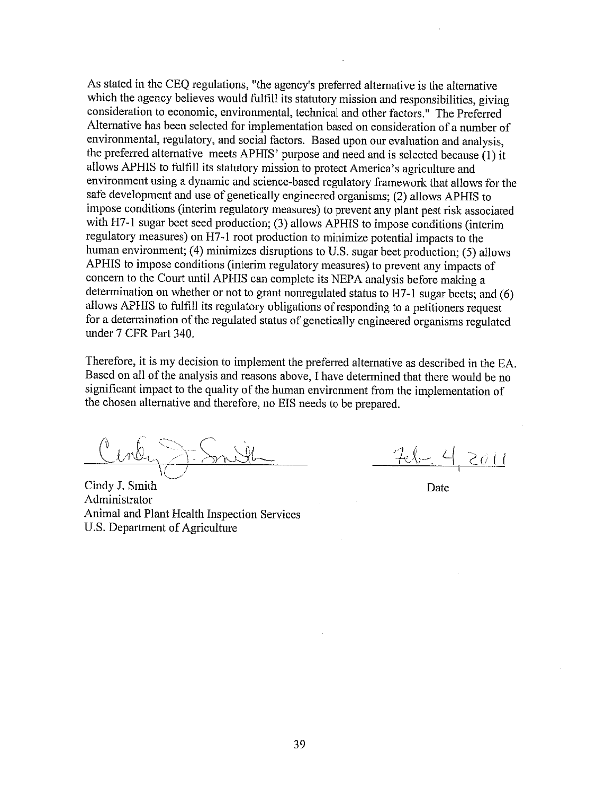As stated in the CEQ regulations, "the agency's preferred alternative is the alternative which the agency believes would fulfill its statutory mission and responsibilities, giving consideration to economic, environmental, technical and other factors." The Preferred Alternative has been selected for implementation based on consideration of a number of environmental, regulatory, and social factors. Based upon our evaluation and analysis, the preferred alternative meets APHIS' purpose and need and is selected because (1) it allows APHIS to fulfill its statutory mission to protect America's agriculture and environment using a dynamic and science-based regulatory framework that allows for the safe development and use of genetically engineered organisms; (2) allows APHIS to impose conditions (interim regulatory measures) to prevent any plant pest risk associated with H7-1 sugar beet seed production; (3) allows APHIS to impose conditions (interim regulatory measures) on H7-1 root production to minimize potential impacts to the human environment; (4) minimizes disruptions to U.S. sugar beet production; (5) allows APHIS to impose conditions (interim regulatory measures) to prevent any impacts of concern to the Court until APHIS can complete its NEPA analysis before making a determination on whether or not to grant nonregulated status to H7-1 sugar beets; and (6) allows APHIS to fulfill its regulatory obligations of responding to a petitioners request for a determination of the regulated status of genetically engineered organisms regulated under 7 CFR Part 340.

Therefore, it is my decision to implement the preferred alternative as described in the EA. Based on all of the analysis and reasons above, I have determined that there would be no significant impact to the quality of the human environment from the implementation of the chosen alternative and therefore, no EIS needs to be prepared.

Cindy J. Smith Administrator Animal and Plant Health Inspection Services U.S. Department of Agriculture

2011

Date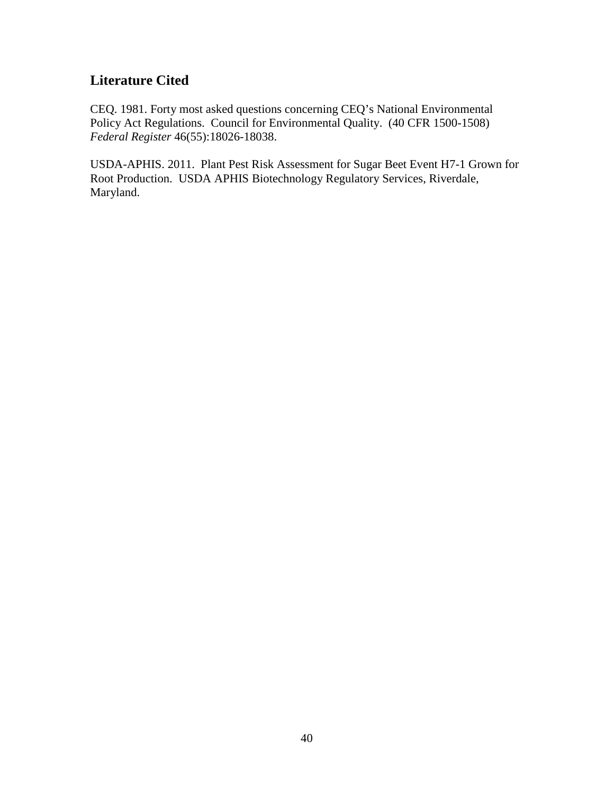# **Literature Cited**

CEQ. 1981. Forty most asked questions concerning CEQ's National Environmental Policy Act Regulations. Council for Environmental Quality. (40 CFR 1500-1508) *Federal Register* 46(55):18026-18038.

USDA-APHIS. 2011. Plant Pest Risk Assessment for Sugar Beet Event H7-1 Grown for Root Production. USDA APHIS Biotechnology Regulatory Services, Riverdale, Maryland.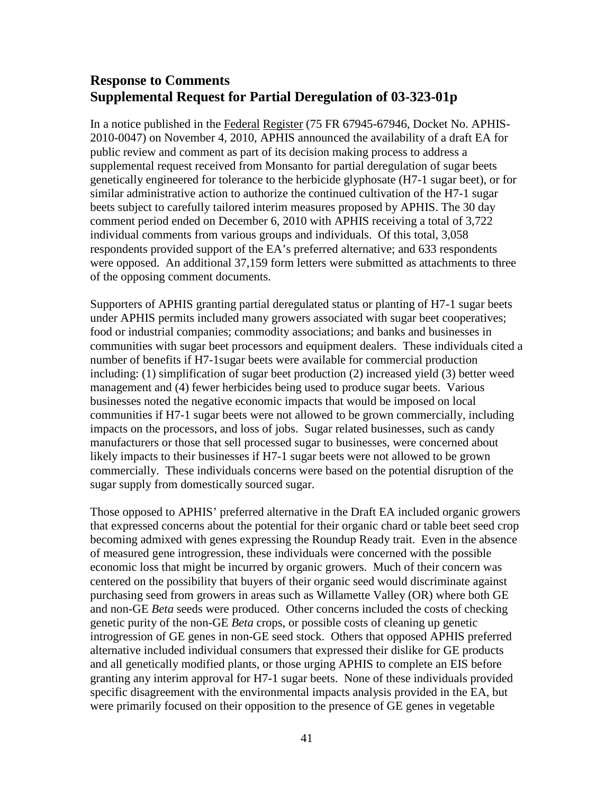## **Response to Comments Supplemental Request for Partial Deregulation of 03-323-01p**

In a notice published in the Federal Register (75 FR 67945-67946, Docket No. APHIS-2010-0047) on November 4, 2010, APHIS announced the availability of a draft EA for public review and comment as part of its decision making process to address a supplemental request received from Monsanto for partial deregulation of sugar beets genetically engineered for tolerance to the herbicide glyphosate (H7-1 sugar beet), or for similar administrative action to authorize the continued cultivation of the H7-1 sugar beets subject to carefully tailored interim measures proposed by APHIS. The 30 day comment period ended on December 6, 2010 with APHIS receiving a total of 3,722 individual comments from various groups and individuals. Of this total, 3,058 respondents provided support of the EA's preferred alternative; and 633 respondents were opposed. An additional 37,159 form letters were submitted as attachments to three of the opposing comment documents.

Supporters of APHIS granting partial deregulated status or planting of H7-1 sugar beets under APHIS permits included many growers associated with sugar beet cooperatives; food or industrial companies; commodity associations; and banks and businesses in communities with sugar beet processors and equipment dealers. These individuals cited a number of benefits if H7-1sugar beets were available for commercial production including: (1) simplification of sugar beet production (2) increased yield (3) better weed management and (4) fewer herbicides being used to produce sugar beets. Various businesses noted the negative economic impacts that would be imposed on local communities if H7-1 sugar beets were not allowed to be grown commercially, including impacts on the processors, and loss of jobs. Sugar related businesses, such as candy manufacturers or those that sell processed sugar to businesses, were concerned about likely impacts to their businesses if H7-1 sugar beets were not allowed to be grown commercially. These individuals concerns were based on the potential disruption of the sugar supply from domestically sourced sugar.

Those opposed to APHIS' preferred alternative in the Draft EA included organic growers that expressed concerns about the potential for their organic chard or table beet seed crop becoming admixed with genes expressing the Roundup Ready trait. Even in the absence of measured gene introgression, these individuals were concerned with the possible economic loss that might be incurred by organic growers. Much of their concern was centered on the possibility that buyers of their organic seed would discriminate against purchasing seed from growers in areas such as Willamette Valley (OR) where both GE and non-GE *Beta* seeds were produced. Other concerns included the costs of checking genetic purity of the non-GE *Beta* crops, or possible costs of cleaning up genetic introgression of GE genes in non-GE seed stock. Others that opposed APHIS preferred alternative included individual consumers that expressed their dislike for GE products and all genetically modified plants, or those urging APHIS to complete an EIS before granting any interim approval for H7-1 sugar beets. None of these individuals provided specific disagreement with the environmental impacts analysis provided in the EA, but were primarily focused on their opposition to the presence of GE genes in vegetable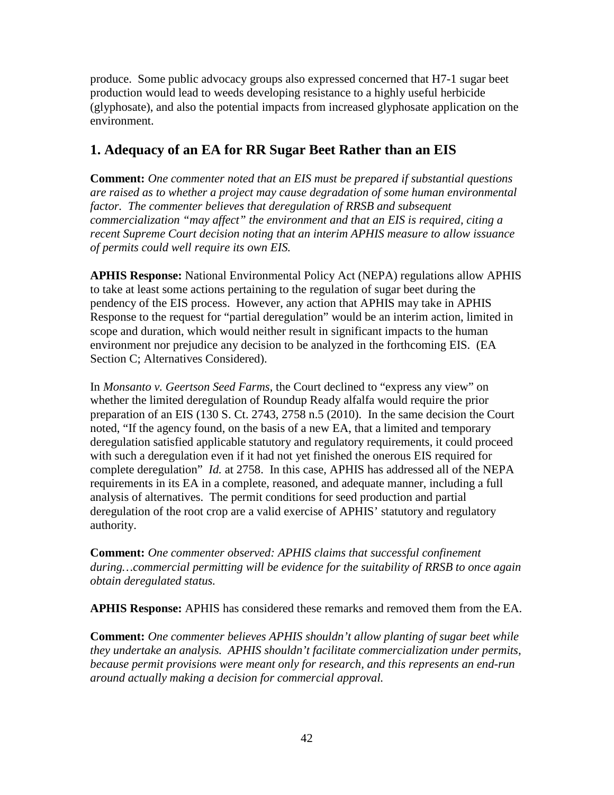produce. Some public advocacy groups also expressed concerned that H7-1 sugar beet production would lead to weeds developing resistance to a highly useful herbicide (glyphosate), and also the potential impacts from increased glyphosate application on the environment.

## **1. Adequacy of an EA for RR Sugar Beet Rather than an EIS**

**Comment:** *One commenter noted that an EIS must be prepared if substantial questions are raised as to whether a project may cause degradation of some human environmental factor. The commenter believes that deregulation of RRSB and subsequent commercialization "may affect" the environment and that an EIS is required, citing a recent Supreme Court decision noting that an interim APHIS measure to allow issuance of permits could well require its own EIS.*

**APHIS Response:** National Environmental Policy Act (NEPA) regulations allow APHIS to take at least some actions pertaining to the regulation of sugar beet during the pendency of the EIS process. However, any action that APHIS may take in APHIS Response to the request for "partial deregulation" would be an interim action, limited in scope and duration, which would neither result in significant impacts to the human environment nor prejudice any decision to be analyzed in the forthcoming EIS. (EA Section C; Alternatives Considered).

In *Monsanto v. Geertson Seed Farms*, the Court declined to "express any view" on whether the limited deregulation of Roundup Ready alfalfa would require the prior preparation of an EIS (130 S. Ct. 2743, 2758 n.5 (2010). In the same decision the Court noted, "If the agency found, on the basis of a new EA, that a limited and temporary deregulation satisfied applicable statutory and regulatory requirements, it could proceed with such a deregulation even if it had not yet finished the onerous EIS required for complete deregulation" *Id.* at 2758. In this case, APHIS has addressed all of the NEPA requirements in its EA in a complete, reasoned, and adequate manner, including a full analysis of alternatives. The permit conditions for seed production and partial deregulation of the root crop are a valid exercise of APHIS' statutory and regulatory authority.

**Comment:** *One commenter observed: APHIS claims that successful confinement during…commercial permitting will be evidence for the suitability of RRSB to once again obtain deregulated status.*

**APHIS Response:** APHIS has considered these remarks and removed them from the EA.

**Comment:** *One commenter believes APHIS shouldn't allow planting of sugar beet while they undertake an analysis. APHIS shouldn't facilitate commercialization under permits, because permit provisions were meant only for research, and this represents an end-run around actually making a decision for commercial approval.*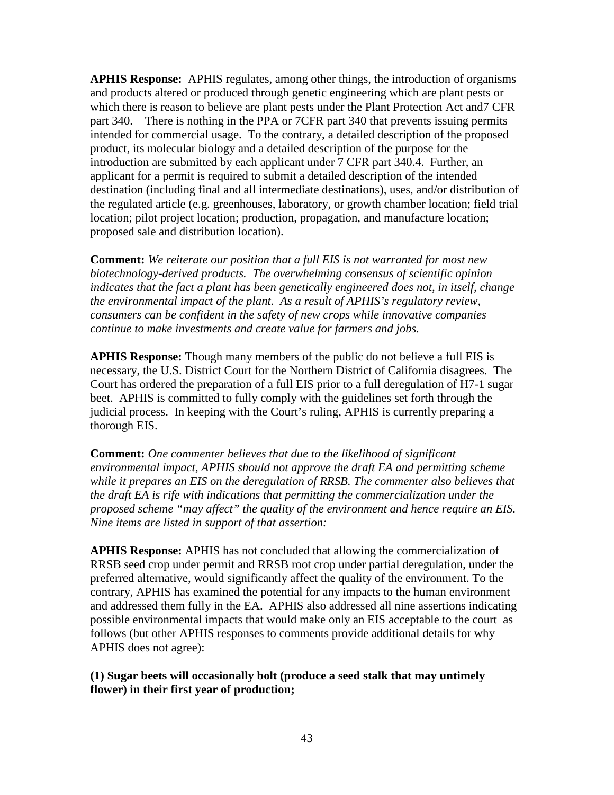**APHIS Response:** APHIS regulates, among other things, the introduction of organisms and products altered or produced through genetic engineering which are plant pests or which there is reason to believe are plant pests under the Plant Protection Act and7 CFR part 340. There is nothing in the PPA or 7CFR part 340 that prevents issuing permits intended for commercial usage. To the contrary, a detailed description of the proposed product, its molecular biology and a detailed description of the purpose for the introduction are submitted by each applicant under 7 CFR part 340.4. Further, an applicant for a permit is required to submit a detailed description of the intended destination (including final and all intermediate destinations), uses, and/or distribution of the regulated article (e.g. greenhouses, laboratory, or growth chamber location; field trial location; pilot project location; production, propagation, and manufacture location; proposed sale and distribution location).

**Comment:** *We reiterate our position that a full EIS is not warranted for most new biotechnology-derived products. The overwhelming consensus of scientific opinion indicates that the fact a plant has been genetically engineered does not, in itself, change the environmental impact of the plant. As a result of APHIS's regulatory review, consumers can be confident in the safety of new crops while innovative companies continue to make investments and create value for farmers and jobs.* 

**APHIS Response:** Though many members of the public do not believe a full EIS is necessary, the U.S. District Court for the Northern District of California disagrees. The Court has ordered the preparation of a full EIS prior to a full deregulation of H7-1 sugar beet. APHIS is committed to fully comply with the guidelines set forth through the judicial process. In keeping with the Court's ruling, APHIS is currently preparing a thorough EIS.

**Comment:** *One commenter believes that due to the likelihood of significant environmental impact, APHIS should not approve the draft EA and permitting scheme while it prepares an EIS on the deregulation of RRSB. The commenter also believes that the draft EA is rife with indications that permitting the commercialization under the proposed scheme "may affect" the quality of the environment and hence require an EIS. Nine items are listed in support of that assertion:*

**APHIS Response:** APHIS has not concluded that allowing the commercialization of RRSB seed crop under permit and RRSB root crop under partial deregulation, under the preferred alternative, would significantly affect the quality of the environment. To the contrary, APHIS has examined the potential for any impacts to the human environment and addressed them fully in the EA. APHIS also addressed all nine assertions indicating possible environmental impacts that would make only an EIS acceptable to the court as follows (but other APHIS responses to comments provide additional details for why APHIS does not agree):

**(1) Sugar beets will occasionally bolt (produce a seed stalk that may untimely flower) in their first year of production;**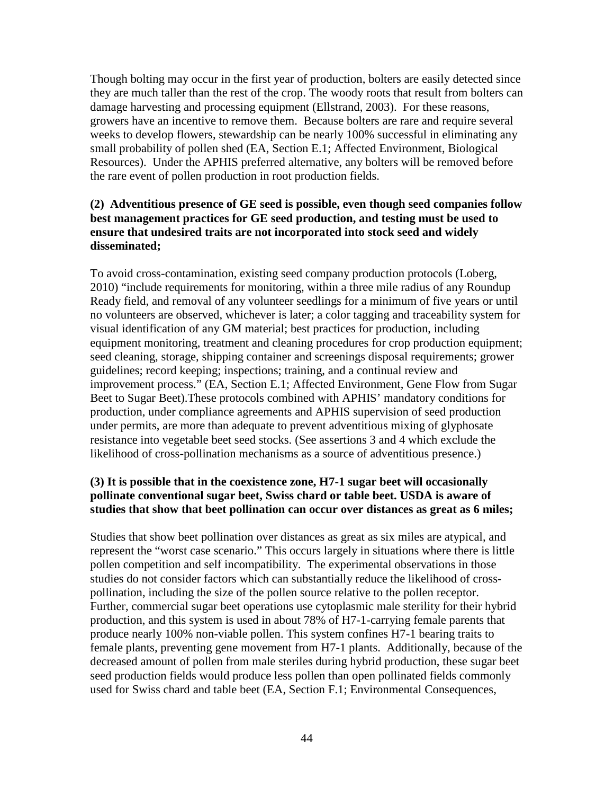Though bolting may occur in the first year of production, bolters are easily detected since they are much taller than the rest of the crop. The woody roots that result from bolters can damage harvesting and processing equipment (Ellstrand, 2003). For these reasons, growers have an incentive to remove them. Because bolters are rare and require several weeks to develop flowers, stewardship can be nearly 100% successful in eliminating any small probability of pollen shed (EA, Section E.1; Affected Environment, Biological Resources). Under the APHIS preferred alternative, any bolters will be removed before the rare event of pollen production in root production fields.

### **(2) Adventitious presence of GE seed is possible, even though seed companies follow best management practices for GE seed production, and testing must be used to ensure that undesired traits are not incorporated into stock seed and widely disseminated;**

To avoid cross-contamination, existing seed company production protocols (Loberg, 2010) "include requirements for monitoring, within a three mile radius of any Roundup Ready field, and removal of any volunteer seedlings for a minimum of five years or until no volunteers are observed, whichever is later; a color tagging and traceability system for visual identification of any GM material; best practices for production, including equipment monitoring, treatment and cleaning procedures for crop production equipment; seed cleaning, storage, shipping container and screenings disposal requirements; grower guidelines; record keeping; inspections; training, and a continual review and improvement process." (EA, Section E.1; Affected Environment, Gene Flow from Sugar Beet to Sugar Beet).These protocols combined with APHIS' mandatory conditions for production, under compliance agreements and APHIS supervision of seed production under permits, are more than adequate to prevent adventitious mixing of glyphosate resistance into vegetable beet seed stocks. (See assertions 3 and 4 which exclude the likelihood of cross-pollination mechanisms as a source of adventitious presence.)

### **(3) It is possible that in the coexistence zone, H7-1 sugar beet will occasionally pollinate conventional sugar beet, Swiss chard or table beet. USDA is aware of studies that show that beet pollination can occur over distances as great as 6 miles;**

Studies that show beet pollination over distances as great as six miles are atypical, and represent the "worst case scenario." This occurs largely in situations where there is little pollen competition and self incompatibility. The experimental observations in those studies do not consider factors which can substantially reduce the likelihood of crosspollination, including the size of the pollen source relative to the pollen receptor. Further, commercial sugar beet operations use cytoplasmic male sterility for their hybrid production, and this system is used in about 78% of H7-1-carrying female parents that produce nearly 100% non-viable pollen. This system confines H7-1 bearing traits to female plants, preventing gene movement from H7-1 plants. Additionally, because of the decreased amount of pollen from male steriles during hybrid production, these sugar beet seed production fields would produce less pollen than open pollinated fields commonly used for Swiss chard and table beet (EA, Section F.1; Environmental Consequences,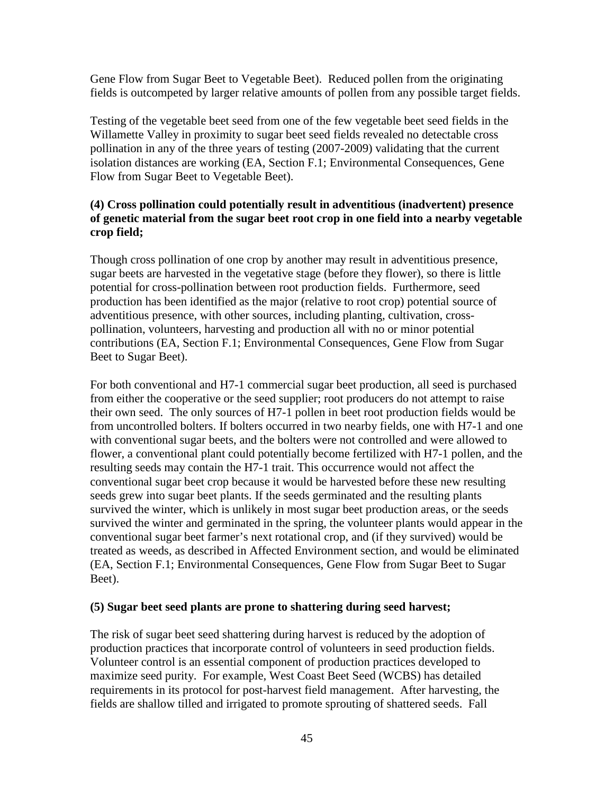Gene Flow from Sugar Beet to Vegetable Beet). Reduced pollen from the originating fields is outcompeted by larger relative amounts of pollen from any possible target fields.

Testing of the vegetable beet seed from one of the few vegetable beet seed fields in the Willamette Valley in proximity to sugar beet seed fields revealed no detectable cross pollination in any of the three years of testing (2007-2009) validating that the current isolation distances are working (EA, Section F.1; Environmental Consequences, Gene Flow from Sugar Beet to Vegetable Beet).

### **(4) Cross pollination could potentially result in adventitious (inadvertent) presence of genetic material from the sugar beet root crop in one field into a nearby vegetable crop field;**

Though cross pollination of one crop by another may result in adventitious presence, sugar beets are harvested in the vegetative stage (before they flower), so there is little potential for cross-pollination between root production fields. Furthermore, seed production has been identified as the major (relative to root crop) potential source of adventitious presence, with other sources, including planting, cultivation, crosspollination, volunteers, harvesting and production all with no or minor potential contributions (EA, Section F.1; Environmental Consequences, Gene Flow from Sugar Beet to Sugar Beet).

For both conventional and H7-1 commercial sugar beet production, all seed is purchased from either the cooperative or the seed supplier; root producers do not attempt to raise their own seed. The only sources of H7-1 pollen in beet root production fields would be from uncontrolled bolters. If bolters occurred in two nearby fields, one with H7-1 and one with conventional sugar beets, and the bolters were not controlled and were allowed to flower, a conventional plant could potentially become fertilized with H7-1 pollen, and the resulting seeds may contain the H7-1 trait. This occurrence would not affect the conventional sugar beet crop because it would be harvested before these new resulting seeds grew into sugar beet plants. If the seeds germinated and the resulting plants survived the winter, which is unlikely in most sugar beet production areas, or the seeds survived the winter and germinated in the spring, the volunteer plants would appear in the conventional sugar beet farmer's next rotational crop, and (if they survived) would be treated as weeds, as described in Affected Environment section, and would be eliminated (EA, Section F.1; Environmental Consequences, Gene Flow from Sugar Beet to Sugar Beet).

#### **(5) Sugar beet seed plants are prone to shattering during seed harvest;**

The risk of sugar beet seed shattering during harvest is reduced by the adoption of production practices that incorporate control of volunteers in seed production fields. Volunteer control is an essential component of production practices developed to maximize seed purity. For example, West Coast Beet Seed (WCBS) has detailed requirements in its protocol for post-harvest field management. After harvesting, the fields are shallow tilled and irrigated to promote sprouting of shattered seeds. Fall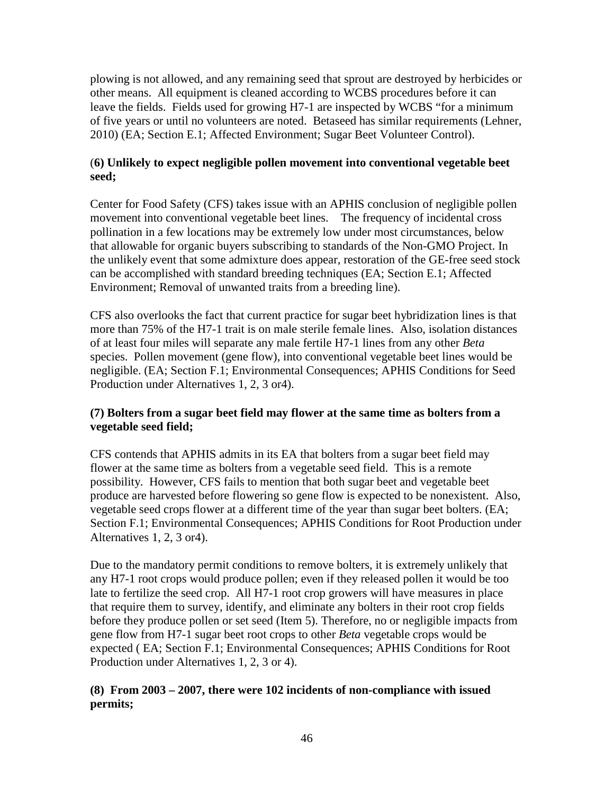plowing is not allowed, and any remaining seed that sprout are destroyed by herbicides or other means. All equipment is cleaned according to WCBS procedures before it can leave the fields. Fields used for growing H7-1 are inspected by WCBS "for a minimum of five years or until no volunteers are noted. Betaseed has similar requirements (Lehner, 2010) (EA; Section E.1; Affected Environment; Sugar Beet Volunteer Control).

### (**6) Unlikely to expect negligible pollen movement into conventional vegetable beet seed;**

Center for Food Safety (CFS) takes issue with an APHIS conclusion of negligible pollen movement into conventional vegetable beet lines. The frequency of incidental cross pollination in a few locations may be extremely low under most circumstances, below that allowable for organic buyers subscribing to standards of the Non-GMO Project. In the unlikely event that some admixture does appear, restoration of the GE-free seed stock can be accomplished with standard breeding techniques (EA; Section E.1; Affected Environment; Removal of unwanted traits from a breeding line).

CFS also overlooks the fact that current practice for sugar beet hybridization lines is that more than 75% of the H7-1 trait is on male sterile female lines. Also, isolation distances of at least four miles will separate any male fertile H7-1 lines from any other *Beta*  species. Pollen movement (gene flow), into conventional vegetable beet lines would be negligible. (EA; Section F.1; Environmental Consequences; APHIS Conditions for Seed Production under Alternatives 1, 2, 3 or4).

### **(7) Bolters from a sugar beet field may flower at the same time as bolters from a vegetable seed field;**

CFS contends that APHIS admits in its EA that bolters from a sugar beet field may flower at the same time as bolters from a vegetable seed field. This is a remote possibility. However, CFS fails to mention that both sugar beet and vegetable beet produce are harvested before flowering so gene flow is expected to be nonexistent. Also, vegetable seed crops flower at a different time of the year than sugar beet bolters. (EA; Section F.1; Environmental Consequences; APHIS Conditions for Root Production under Alternatives 1, 2, 3 or4).

Due to the mandatory permit conditions to remove bolters, it is extremely unlikely that any H7-1 root crops would produce pollen; even if they released pollen it would be too late to fertilize the seed crop. All H7-1 root crop growers will have measures in place that require them to survey, identify, and eliminate any bolters in their root crop fields before they produce pollen or set seed (Item 5). Therefore, no or negligible impacts from gene flow from H7-1 sugar beet root crops to other *Beta* vegetable crops would be expected ( EA; Section F.1; Environmental Consequences; APHIS Conditions for Root Production under Alternatives 1, 2, 3 or 4).

### **(8) From 2003 – 2007, there were 102 incidents of non-compliance with issued permits;**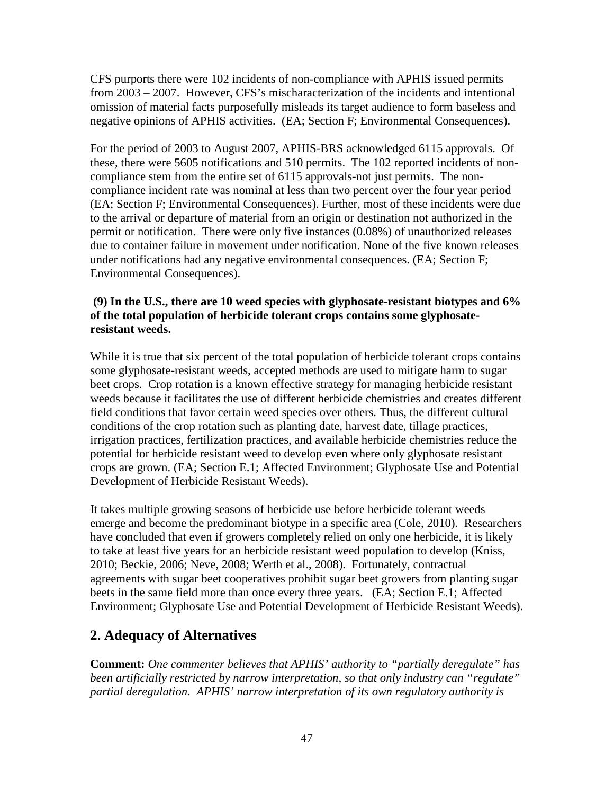CFS purports there were 102 incidents of non-compliance with APHIS issued permits from 2003 – 2007. However, CFS's mischaracterization of the incidents and intentional omission of material facts purposefully misleads its target audience to form baseless and negative opinions of APHIS activities. (EA; Section F; Environmental Consequences).

For the period of 2003 to August 2007, APHIS-BRS acknowledged 6115 approvals. Of these, there were 5605 notifications and 510 permits. The 102 reported incidents of noncompliance stem from the entire set of 6115 approvals-not just permits. The noncompliance incident rate was nominal at less than two percent over the four year period (EA; Section F; Environmental Consequences). Further, most of these incidents were due to the arrival or departure of material from an origin or destination not authorized in the permit or notification. There were only five instances (0.08%) of unauthorized releases due to container failure in movement under notification. None of the five known releases under notifications had any negative environmental consequences. (EA; Section F; Environmental Consequences).

### **(9) In the U.S., there are 10 weed species with glyphosate-resistant biotypes and 6% of the total population of herbicide tolerant crops contains some glyphosateresistant weeds.**

While it is true that six percent of the total population of herbicide tolerant crops contains some glyphosate-resistant weeds, accepted methods are used to mitigate harm to sugar beet crops. Crop rotation is a known effective strategy for managing herbicide resistant weeds because it facilitates the use of different herbicide chemistries and creates different field conditions that favor certain weed species over others. Thus, the different cultural conditions of the crop rotation such as planting date, harvest date, tillage practices, irrigation practices, fertilization practices, and available herbicide chemistries reduce the potential for herbicide resistant weed to develop even where only glyphosate resistant crops are grown. (EA; Section E.1; Affected Environment; Glyphosate Use and Potential Development of Herbicide Resistant Weeds).

It takes multiple growing seasons of herbicide use before herbicide tolerant weeds emerge and become the predominant biotype in a specific area (Cole, 2010). Researchers have concluded that even if growers completely relied on only one herbicide, it is likely to take at least five years for an herbicide resistant weed population to develop (Kniss, 2010; Beckie, 2006; Neve, 2008; Werth et al., 2008). Fortunately, contractual agreements with sugar beet cooperatives prohibit sugar beet growers from planting sugar beets in the same field more than once every three years. (EA; Section E.1; Affected Environment; Glyphosate Use and Potential Development of Herbicide Resistant Weeds).

## **2. Adequacy of Alternatives**

**Comment:** *One commenter believes that APHIS' authority to "partially deregulate" has been artificially restricted by narrow interpretation, so that only industry can "regulate" partial deregulation. APHIS' narrow interpretation of its own regulatory authority is*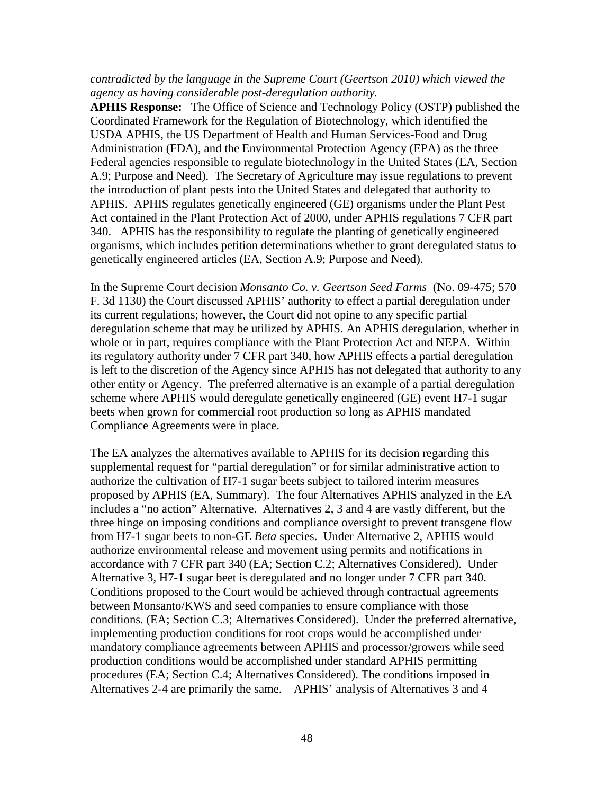#### *contradicted by the language in the Supreme Court (Geertson 2010) which viewed the agency as having considerable post-deregulation authority.*

**APHIS Response:** The Office of Science and Technology Policy (OSTP) published the Coordinated Framework for the Regulation of Biotechnology, which identified the USDA APHIS, the US Department of Health and Human Services-Food and Drug Administration (FDA), and the Environmental Protection Agency (EPA) as the three Federal agencies responsible to regulate biotechnology in the United States (EA, Section A.9; Purpose and Need). The Secretary of Agriculture may issue regulations to prevent the introduction of plant pests into the United States and delegated that authority to APHIS. APHIS regulates genetically engineered (GE) organisms under the Plant Pest Act contained in the Plant Protection Act of 2000, under APHIS regulations 7 CFR part 340. APHIS has the responsibility to regulate the planting of genetically engineered organisms, which includes petition determinations whether to grant deregulated status to genetically engineered articles (EA, Section A.9; Purpose and Need).

In the Supreme Court decision *Monsanto Co. v. Geertson Seed Farms* (No. 09-475; 570 F. 3d 1130) the Court discussed APHIS' authority to effect a partial deregulation under its current regulations; however, the Court did not opine to any specific partial deregulation scheme that may be utilized by APHIS. An APHIS deregulation, whether in whole or in part, requires compliance with the Plant Protection Act and NEPA. Within its regulatory authority under 7 CFR part 340, how APHIS effects a partial deregulation is left to the discretion of the Agency since APHIS has not delegated that authority to any other entity or Agency. The preferred alternative is an example of a partial deregulation scheme where APHIS would deregulate genetically engineered (GE) event H7-1 sugar beets when grown for commercial root production so long as APHIS mandated Compliance Agreements were in place.

The EA analyzes the alternatives available to APHIS for its decision regarding this supplemental request for "partial deregulation" or for similar administrative action to authorize the cultivation of H7-1 sugar beets subject to tailored interim measures proposed by APHIS (EA, Summary). The four Alternatives APHIS analyzed in the EA includes a "no action" Alternative. Alternatives 2, 3 and 4 are vastly different, but the three hinge on imposing conditions and compliance oversight to prevent transgene flow from H7-1 sugar beets to non-GE *Beta* species. Under Alternative 2, APHIS would authorize environmental release and movement using permits and notifications in accordance with 7 CFR part 340 (EA; Section C.2; Alternatives Considered). Under Alternative 3, H7-1 sugar beet is deregulated and no longer under 7 CFR part 340. Conditions proposed to the Court would be achieved through contractual agreements between Monsanto/KWS and seed companies to ensure compliance with those conditions. (EA; Section C.3; Alternatives Considered). Under the preferred alternative, implementing production conditions for root crops would be accomplished under mandatory compliance agreements between APHIS and processor/growers while seed production conditions would be accomplished under standard APHIS permitting procedures (EA; Section C.4; Alternatives Considered). The conditions imposed in Alternatives 2-4 are primarily the same. APHIS' analysis of Alternatives 3 and 4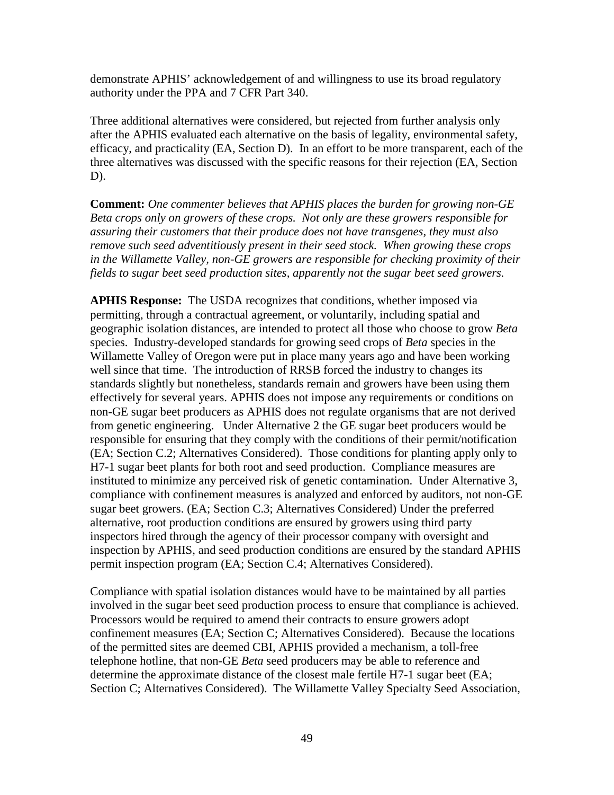demonstrate APHIS' acknowledgement of and willingness to use its broad regulatory authority under the PPA and 7 CFR Part 340.

Three additional alternatives were considered, but rejected from further analysis only after the APHIS evaluated each alternative on the basis of legality, environmental safety, efficacy, and practicality (EA, Section D). In an effort to be more transparent, each of the three alternatives was discussed with the specific reasons for their rejection (EA, Section D).

**Comment:** *One commenter believes that APHIS places the burden for growing non-GE Beta crops only on growers of these crops. Not only are these growers responsible for assuring their customers that their produce does not have transgenes, they must also remove such seed adventitiously present in their seed stock. When growing these crops in the Willamette Valley, non-GE growers are responsible for checking proximity of their fields to sugar beet seed production sites, apparently not the sugar beet seed growers.*

**APHIS Response:** The USDA recognizes that conditions, whether imposed via permitting, through a contractual agreement, or voluntarily, including spatial and geographic isolation distances, are intended to protect all those who choose to grow *Beta* species. Industry-developed standards for growing seed crops of *Beta* species in the Willamette Valley of Oregon were put in place many years ago and have been working well since that time. The introduction of RRSB forced the industry to changes its standards slightly but nonetheless, standards remain and growers have been using them effectively for several years. APHIS does not impose any requirements or conditions on non-GE sugar beet producers as APHIS does not regulate organisms that are not derived from genetic engineering. Under Alternative 2 the GE sugar beet producers would be responsible for ensuring that they comply with the conditions of their permit/notification (EA; Section C.2; Alternatives Considered). Those conditions for planting apply only to H7-1 sugar beet plants for both root and seed production. Compliance measures are instituted to minimize any perceived risk of genetic contamination. Under Alternative 3, compliance with confinement measures is analyzed and enforced by auditors, not non-GE sugar beet growers. (EA; Section C.3; Alternatives Considered) Under the preferred alternative, root production conditions are ensured by growers using third party inspectors hired through the agency of their processor company with oversight and inspection by APHIS, and seed production conditions are ensured by the standard APHIS permit inspection program (EA; Section C.4; Alternatives Considered).

Compliance with spatial isolation distances would have to be maintained by all parties involved in the sugar beet seed production process to ensure that compliance is achieved. Processors would be required to amend their contracts to ensure growers adopt confinement measures (EA; Section C; Alternatives Considered). Because the locations of the permitted sites are deemed CBI, APHIS provided a mechanism, a toll-free telephone hotline, that non-GE *Beta* seed producers may be able to reference and determine the approximate distance of the closest male fertile H7-1 sugar beet (EA; Section C; Alternatives Considered). The Willamette Valley Specialty Seed Association,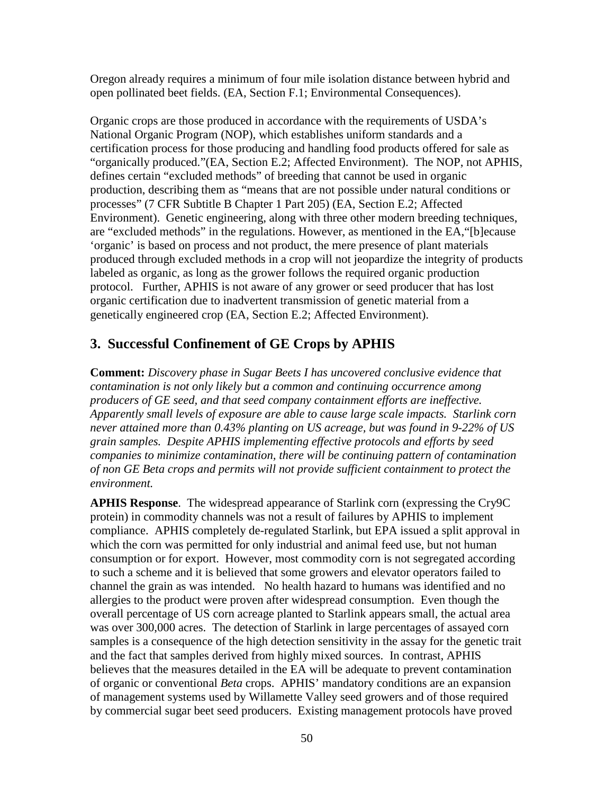Oregon already requires a minimum of four mile isolation distance between hybrid and open pollinated beet fields. (EA, Section F.1; Environmental Consequences).

Organic crops are those produced in accordance with the requirements of USDA's National Organic Program (NOP), which establishes uniform standards and a certification process for those producing and handling food products offered for sale as "organically produced."(EA, Section E.2; Affected Environment). The NOP, not APHIS, defines certain "excluded methods" of breeding that cannot be used in organic production, describing them as "means that are not possible under natural conditions or processes" (7 CFR Subtitle B Chapter 1 Part 205) (EA, Section E.2; Affected Environment). Genetic engineering, along with three other modern breeding techniques, are "excluded methods" in the regulations. However, as mentioned in the EA,"[b]ecause 'organic' is based on process and not product, the mere presence of plant materials produced through excluded methods in a crop will not jeopardize the integrity of products labeled as organic, as long as the grower follows the required organic production protocol. Further, APHIS is not aware of any grower or seed producer that has lost organic certification due to inadvertent transmission of genetic material from a genetically engineered crop (EA, Section E.2; Affected Environment).

## **3. Successful Confinement of GE Crops by APHIS**

**Comment:** *Discovery phase in Sugar Beets I has uncovered conclusive evidence that contamination is not only likely but a common and continuing occurrence among producers of GE seed, and that seed company containment efforts are ineffective. Apparently small levels of exposure are able to cause large scale impacts. Starlink corn never attained more than 0.43% planting on US acreage, but was found in 9-22% of US grain samples. Despite APHIS implementing effective protocols and efforts by seed companies to minimize contamination, there will be continuing pattern of contamination of non GE Beta crops and permits will not provide sufficient containment to protect the environment.*

**APHIS Response**. The widespread appearance of Starlink corn (expressing the Cry9C protein) in commodity channels was not a result of failures by APHIS to implement compliance. APHIS completely de-regulated Starlink, but EPA issued a split approval in which the corn was permitted for only industrial and animal feed use, but not human consumption or for export. However, most commodity corn is not segregated according to such a scheme and it is believed that some growers and elevator operators failed to channel the grain as was intended. No health hazard to humans was identified and no allergies to the product were proven after widespread consumption. Even though the overall percentage of US corn acreage planted to Starlink appears small, the actual area was over 300,000 acres. The detection of Starlink in large percentages of assayed corn samples is a consequence of the high detection sensitivity in the assay for the genetic trait and the fact that samples derived from highly mixed sources. In contrast, APHIS believes that the measures detailed in the EA will be adequate to prevent contamination of organic or conventional *Beta* crops. APHIS' mandatory conditions are an expansion of management systems used by Willamette Valley seed growers and of those required by commercial sugar beet seed producers. Existing management protocols have proved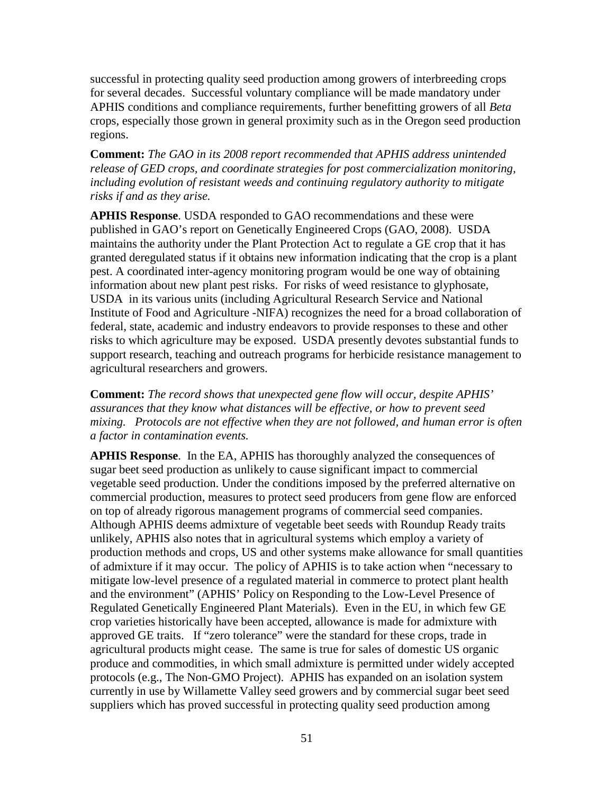successful in protecting quality seed production among growers of interbreeding crops for several decades. Successful voluntary compliance will be made mandatory under APHIS conditions and compliance requirements, further benefitting growers of all *Beta* crops, especially those grown in general proximity such as in the Oregon seed production regions.

**Comment:** *The GAO in its 2008 report recommended that APHIS address unintended release of GED crops, and coordinate strategies for post commercialization monitoring, including evolution of resistant weeds and continuing regulatory authority to mitigate risks if and as they arise.* 

**APHIS Response**. USDA responded to GAO recommendations and these were published in GAO's report on Genetically Engineered Crops (GAO, 2008). USDA maintains the authority under the Plant Protection Act to regulate a GE crop that it has granted deregulated status if it obtains new information indicating that the crop is a plant pest. A coordinated inter-agency monitoring program would be one way of obtaining information about new plant pest risks. For risks of weed resistance to glyphosate, USDA in its various units (including Agricultural Research Service and National Institute of Food and Agriculture -NIFA) recognizes the need for a broad collaboration of federal, state, academic and industry endeavors to provide responses to these and other risks to which agriculture may be exposed. USDA presently devotes substantial funds to support research, teaching and outreach programs for herbicide resistance management to agricultural researchers and growers.

**Comment:** *The record shows that unexpected gene flow will occur, despite APHIS' assurances that they know what distances will be effective, or how to prevent seed mixing. Protocols are not effective when they are not followed, and human error is often a factor in contamination events.*

**APHIS Response**. In the EA, APHIS has thoroughly analyzed the consequences of sugar beet seed production as unlikely to cause significant impact to commercial vegetable seed production. Under the conditions imposed by the preferred alternative on commercial production, measures to protect seed producers from gene flow are enforced on top of already rigorous management programs of commercial seed companies. Although APHIS deems admixture of vegetable beet seeds with Roundup Ready traits unlikely, APHIS also notes that in agricultural systems which employ a variety of production methods and crops, US and other systems make allowance for small quantities of admixture if it may occur. The policy of APHIS is to take action when "necessary to mitigate low-level presence of a regulated material in commerce to protect plant health and the environment" (APHIS' Policy on Responding to the Low-Level Presence of Regulated Genetically Engineered Plant Materials). Even in the EU, in which few GE crop varieties historically have been accepted, allowance is made for admixture with approved GE traits. If "zero tolerance" were the standard for these crops, trade in agricultural products might cease. The same is true for sales of domestic US organic produce and commodities, in which small admixture is permitted under widely accepted protocols (e.g., The Non-GMO Project). APHIS has expanded on an isolation system currently in use by Willamette Valley seed growers and by commercial sugar beet seed suppliers which has proved successful in protecting quality seed production among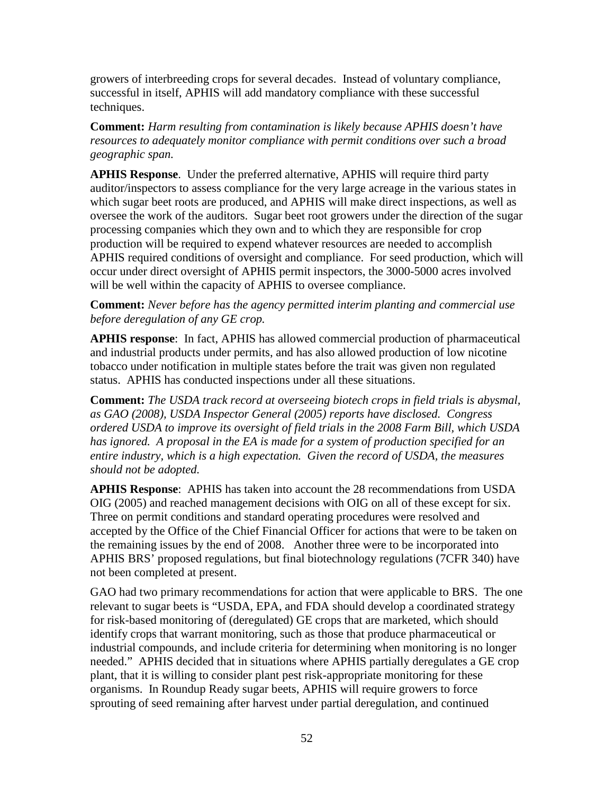growers of interbreeding crops for several decades. Instead of voluntary compliance, successful in itself, APHIS will add mandatory compliance with these successful techniques.

**Comment:** *Harm resulting from contamination is likely because APHIS doesn't have resources to adequately monitor compliance with permit conditions over such a broad geographic span.*

**APHIS Response**. Under the preferred alternative, APHIS will require third party auditor/inspectors to assess compliance for the very large acreage in the various states in which sugar beet roots are produced, and APHIS will make direct inspections, as well as oversee the work of the auditors. Sugar beet root growers under the direction of the sugar processing companies which they own and to which they are responsible for crop production will be required to expend whatever resources are needed to accomplish APHIS required conditions of oversight and compliance. For seed production, which will occur under direct oversight of APHIS permit inspectors, the 3000-5000 acres involved will be well within the capacity of APHIS to oversee compliance.

### **Comment:** *Never before has the agency permitted interim planting and commercial use before deregulation of any GE crop.*

**APHIS response**: In fact, APHIS has allowed commercial production of pharmaceutical and industrial products under permits, and has also allowed production of low nicotine tobacco under notification in multiple states before the trait was given non regulated status. APHIS has conducted inspections under all these situations.

**Comment:** *The USDA track record at overseeing biotech crops in field trials is abysmal, as GAO (2008), USDA Inspector General (2005) reports have disclosed. Congress ordered USDA to improve its oversight of field trials in the 2008 Farm Bill, which USDA has ignored. A proposal in the EA is made for a system of production specified for an entire industry, which is a high expectation. Given the record of USDA, the measures should not be adopted.* 

**APHIS Response**: APHIS has taken into account the 28 recommendations from USDA OIG (2005) and reached management decisions with OIG on all of these except for six. Three on permit conditions and standard operating procedures were resolved and accepted by the Office of the Chief Financial Officer for actions that were to be taken on the remaining issues by the end of 2008. Another three were to be incorporated into APHIS BRS' proposed regulations, but final biotechnology regulations (7CFR 340) have not been completed at present.

GAO had two primary recommendations for action that were applicable to BRS. The one relevant to sugar beets is "USDA, EPA, and FDA should develop a coordinated strategy for risk-based monitoring of (deregulated) GE crops that are marketed, which should identify crops that warrant monitoring, such as those that produce pharmaceutical or industrial compounds, and include criteria for determining when monitoring is no longer needed." APHIS decided that in situations where APHIS partially deregulates a GE crop plant, that it is willing to consider plant pest risk-appropriate monitoring for these organisms. In Roundup Ready sugar beets, APHIS will require growers to force sprouting of seed remaining after harvest under partial deregulation, and continued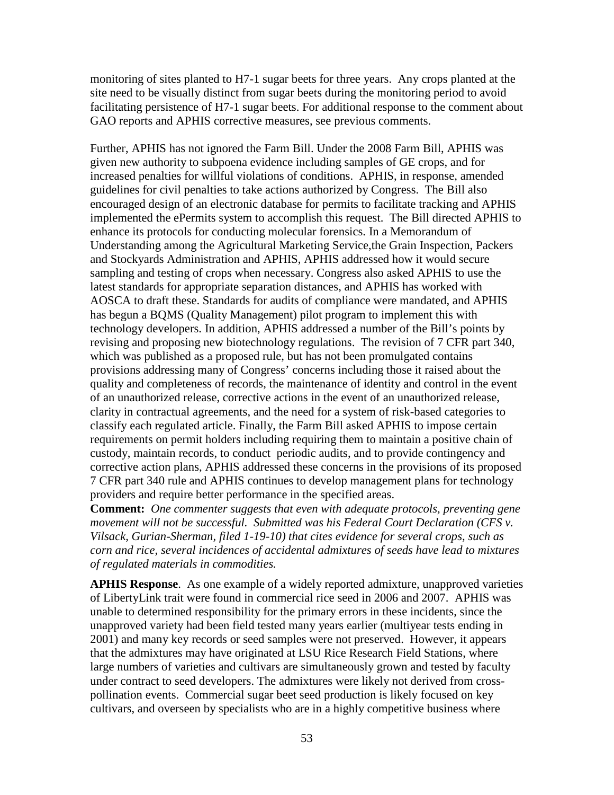monitoring of sites planted to H7-1 sugar beets for three years. Any crops planted at the site need to be visually distinct from sugar beets during the monitoring period to avoid facilitating persistence of H7-1 sugar beets. For additional response to the comment about GAO reports and APHIS corrective measures, see previous comments.

Further, APHIS has not ignored the Farm Bill. Under the 2008 Farm Bill, APHIS was given new authority to subpoena evidence including samples of GE crops, and for increased penalties for willful violations of conditions. APHIS, in response, amended guidelines for civil penalties to take actions authorized by Congress. The Bill also encouraged design of an electronic database for permits to facilitate tracking and APHIS implemented the ePermits system to accomplish this request. The Bill directed APHIS to enhance its protocols for conducting molecular forensics. In a Memorandum of Understanding among the Agricultural Marketing Service,the Grain Inspection, Packers and Stockyards Administration and APHIS, APHIS addressed how it would secure sampling and testing of crops when necessary. Congress also asked APHIS to use the latest standards for appropriate separation distances, and APHIS has worked with AOSCA to draft these. Standards for audits of compliance were mandated, and APHIS has begun a BQMS (Quality Management) pilot program to implement this with technology developers. In addition, APHIS addressed a number of the Bill's points by revising and proposing new biotechnology regulations. The revision of 7 CFR part 340, which was published as a proposed rule, but has not been promulgated contains provisions addressing many of Congress' concerns including those it raised about the quality and completeness of records, the maintenance of identity and control in the event of an unauthorized release, corrective actions in the event of an unauthorized release, clarity in contractual agreements, and the need for a system of risk-based categories to classify each regulated article. Finally, the Farm Bill asked APHIS to impose certain requirements on permit holders including requiring them to maintain a positive chain of custody, maintain records, to conduct periodic audits, and to provide contingency and corrective action plans, APHIS addressed these concerns in the provisions of its proposed 7 CFR part 340 rule and APHIS continues to develop management plans for technology providers and require better performance in the specified areas.

**Comment:** *One commenter suggests that even with adequate protocols, preventing gene movement will not be successful. Submitted was his Federal Court Declaration (CFS v. Vilsack, Gurian-Sherman, filed 1-19-10) that cites evidence for several crops, such as corn and rice, several incidences of accidental admixtures of seeds have lead to mixtures of regulated materials in commodities.* 

**APHIS Response**. As one example of a widely reported admixture, unapproved varieties of LibertyLink trait were found in commercial rice seed in 2006 and 2007. APHIS was unable to determined responsibility for the primary errors in these incidents, since the unapproved variety had been field tested many years earlier (multiyear tests ending in 2001) and many key records or seed samples were not preserved. However, it appears that the admixtures may have originated at LSU Rice Research Field Stations, where large numbers of varieties and cultivars are simultaneously grown and tested by faculty under contract to seed developers. The admixtures were likely not derived from crosspollination events. Commercial sugar beet seed production is likely focused on key cultivars, and overseen by specialists who are in a highly competitive business where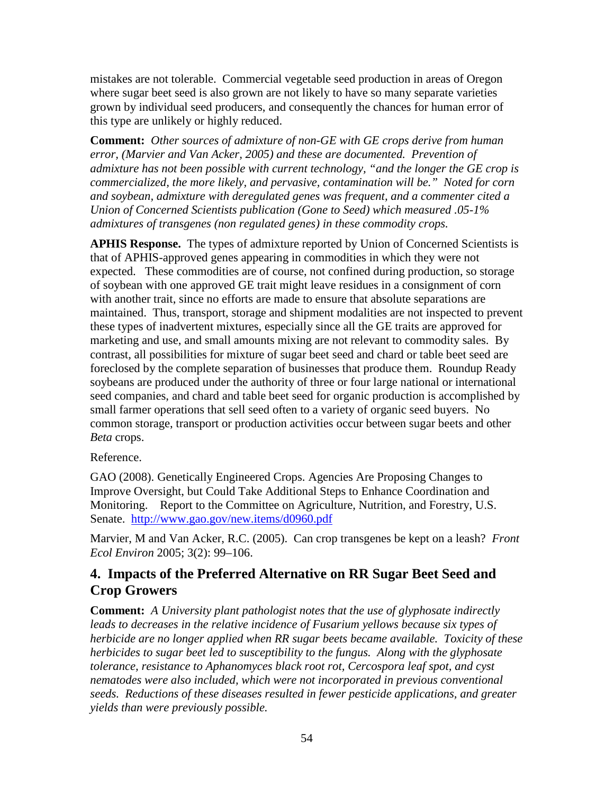mistakes are not tolerable. Commercial vegetable seed production in areas of Oregon where sugar beet seed is also grown are not likely to have so many separate varieties grown by individual seed producers, and consequently the chances for human error of this type are unlikely or highly reduced.

**Comment:** *Other sources of admixture of non-GE with GE crops derive from human error, (Marvier and Van Acker, 2005) and these are documented. Prevention of admixture has not been possible with current technology, "and the longer the GE crop is commercialized, the more likely, and pervasive, contamination will be." Noted for corn and soybean, admixture with deregulated genes was frequent, and a commenter cited a Union of Concerned Scientists publication (Gone to Seed) which measured .05-1% admixtures of transgenes (non regulated genes) in these commodity crops.*

**APHIS Response.** The types of admixture reported by Union of Concerned Scientists is that of APHIS-approved genes appearing in commodities in which they were not expected. These commodities are of course, not confined during production, so storage of soybean with one approved GE trait might leave residues in a consignment of corn with another trait, since no efforts are made to ensure that absolute separations are maintained. Thus, transport, storage and shipment modalities are not inspected to prevent these types of inadvertent mixtures, especially since all the GE traits are approved for marketing and use, and small amounts mixing are not relevant to commodity sales. By contrast, all possibilities for mixture of sugar beet seed and chard or table beet seed are foreclosed by the complete separation of businesses that produce them. Roundup Ready soybeans are produced under the authority of three or four large national or international seed companies, and chard and table beet seed for organic production is accomplished by small farmer operations that sell seed often to a variety of organic seed buyers. No common storage, transport or production activities occur between sugar beets and other *Beta* crops.

#### Reference.

GAO (2008). Genetically Engineered Crops. Agencies Are Proposing Changes to Improve Oversight, but Could Take Additional Steps to Enhance Coordination and Monitoring. Report to the Committee on Agriculture, Nutrition, and Forestry, U.S. Senate. <http://www.gao.gov/new.items/d0960.pdf>

Marvier, M and Van Acker, R.C. (2005). Can crop transgenes be kept on a leash? *Front Ecol Environ* 2005; 3(2): 99–106.

## **4. Impacts of the Preferred Alternative on RR Sugar Beet Seed and Crop Growers**

**Comment:** *A University plant pathologist notes that the use of glyphosate indirectly leads to decreases in the relative incidence of Fusarium yellows because six types of herbicide are no longer applied when RR sugar beets became available. Toxicity of these herbicides to sugar beet led to susceptibility to the fungus. Along with the glyphosate tolerance, resistance to Aphanomyces black root rot, Cercospora leaf spot, and cyst nematodes were also included, which were not incorporated in previous conventional seeds. Reductions of these diseases resulted in fewer pesticide applications, and greater yields than were previously possible.*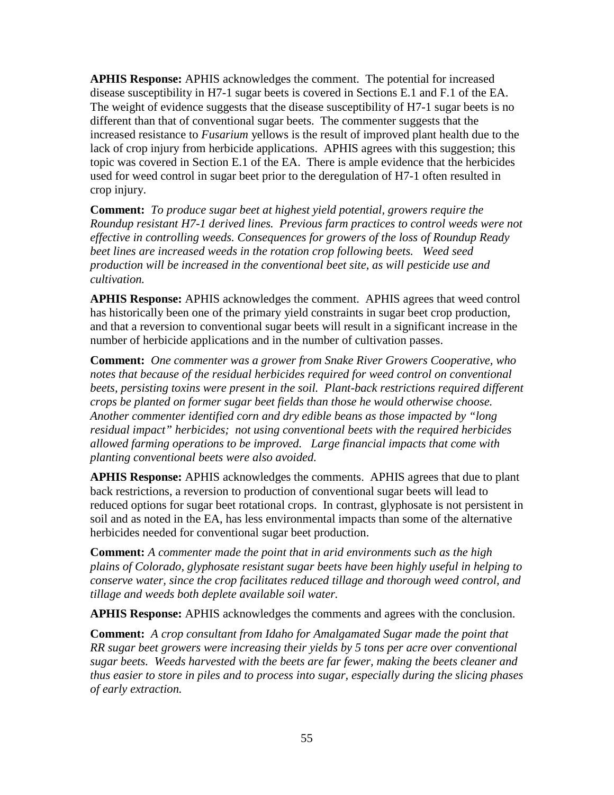**APHIS Response:** APHIS acknowledges the comment. The potential for increased disease susceptibility in H7-1 sugar beets is covered in Sections E.1 and F.1 of the EA. The weight of evidence suggests that the disease susceptibility of H7-1 sugar beets is no different than that of conventional sugar beets. The commenter suggests that the increased resistance to *Fusarium* yellows is the result of improved plant health due to the lack of crop injury from herbicide applications. APHIS agrees with this suggestion; this topic was covered in Section E.1 of the EA. There is ample evidence that the herbicides used for weed control in sugar beet prior to the deregulation of H7-1 often resulted in crop injury.

**Comment:** *To produce sugar beet at highest yield potential, growers require the Roundup resistant H7-1 derived lines. Previous farm practices to control weeds were not effective in controlling weeds. Consequences for growers of the loss of Roundup Ready beet lines are increased weeds in the rotation crop following beets. Weed seed production will be increased in the conventional beet site, as will pesticide use and cultivation.*

**APHIS Response:** APHIS acknowledges the comment. APHIS agrees that weed control has historically been one of the primary yield constraints in sugar beet crop production, and that a reversion to conventional sugar beets will result in a significant increase in the number of herbicide applications and in the number of cultivation passes.

**Comment:** *One commenter was a grower from Snake River Growers Cooperative, who notes that because of the residual herbicides required for weed control on conventional beets, persisting toxins were present in the soil. Plant-back restrictions required different crops be planted on former sugar beet fields than those he would otherwise choose. Another commenter identified corn and dry edible beans as those impacted by "long residual impact" herbicides; not using conventional beets with the required herbicides allowed farming operations to be improved. Large financial impacts that come with planting conventional beets were also avoided.*

**APHIS Response:** APHIS acknowledges the comments. APHIS agrees that due to plant back restrictions, a reversion to production of conventional sugar beets will lead to reduced options for sugar beet rotational crops. In contrast, glyphosate is not persistent in soil and as noted in the EA, has less environmental impacts than some of the alternative herbicides needed for conventional sugar beet production.

**Comment:** *A commenter made the point that in arid environments such as the high plains of Colorado, glyphosate resistant sugar beets have been highly useful in helping to conserve water, since the crop facilitates reduced tillage and thorough weed control, and tillage and weeds both deplete available soil water.*

**APHIS Response:** APHIS acknowledges the comments and agrees with the conclusion.

**Comment:** *A crop consultant from Idaho for Amalgamated Sugar made the point that RR sugar beet growers were increasing their yields by 5 tons per acre over conventional sugar beets. Weeds harvested with the beets are far fewer, making the beets cleaner and thus easier to store in piles and to process into sugar, especially during the slicing phases of early extraction.*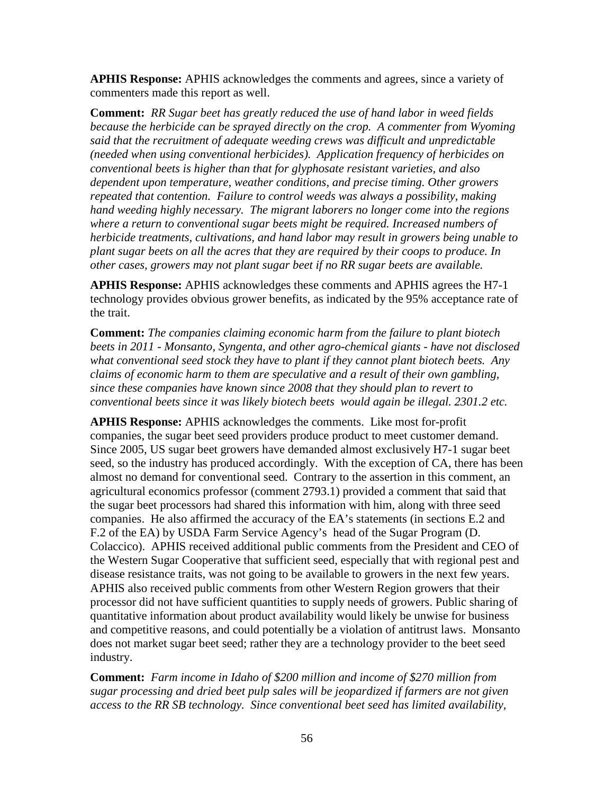**APHIS Response:** APHIS acknowledges the comments and agrees, since a variety of commenters made this report as well.

**Comment:** *RR Sugar beet has greatly reduced the use of hand labor in weed fields because the herbicide can be sprayed directly on the crop. A commenter from Wyoming said that the recruitment of adequate weeding crews was difficult and unpredictable (needed when using conventional herbicides). Application frequency of herbicides on conventional beets is higher than that for glyphosate resistant varieties, and also dependent upon temperature, weather conditions, and precise timing. Other growers repeated that contention. Failure to control weeds was always a possibility, making hand weeding highly necessary. The migrant laborers no longer come into the regions where a return to conventional sugar beets might be required. Increased numbers of herbicide treatments, cultivations, and hand labor may result in growers being unable to plant sugar beets on all the acres that they are required by their coops to produce. In other cases, growers may not plant sugar beet if no RR sugar beets are available.*

**APHIS Response:** APHIS acknowledges these comments and APHIS agrees the H7-1 technology provides obvious grower benefits, as indicated by the 95% acceptance rate of the trait.

**Comment:** *The companies claiming economic harm from the failure to plant biotech beets in 2011 - Monsanto, Syngenta, and other agro-chemical giants - have not disclosed what conventional seed stock they have to plant if they cannot plant biotech beets. Any claims of economic harm to them are speculative and a result of their own gambling, since these companies have known since 2008 that they should plan to revert to conventional beets since it was likely biotech beets would again be illegal. 2301.2 etc.* 

**APHIS Response:** APHIS acknowledges the comments. Like most for-profit companies, the sugar beet seed providers produce product to meet customer demand. Since 2005, US sugar beet growers have demanded almost exclusively H7-1 sugar beet seed, so the industry has produced accordingly. With the exception of CA, there has been almost no demand for conventional seed. Contrary to the assertion in this comment, an agricultural economics professor (comment 2793.1) provided a comment that said that the sugar beet processors had shared this information with him, along with three seed companies. He also affirmed the accuracy of the EA's statements (in sections E.2 and F.2 of the EA) by USDA Farm Service Agency's head of the Sugar Program (D. Colaccico). APHIS received additional public comments from the President and CEO of the Western Sugar Cooperative that sufficient seed, especially that with regional pest and disease resistance traits, was not going to be available to growers in the next few years. APHIS also received public comments from other Western Region growers that their processor did not have sufficient quantities to supply needs of growers. Public sharing of quantitative information about product availability would likely be unwise for business and competitive reasons, and could potentially be a violation of antitrust laws. Monsanto does not market sugar beet seed; rather they are a technology provider to the beet seed industry.

**Comment:** *Farm income in Idaho of \$200 million and income of \$270 million from sugar processing and dried beet pulp sales will be jeopardized if farmers are not given access to the RR SB technology. Since conventional beet seed has limited availability,*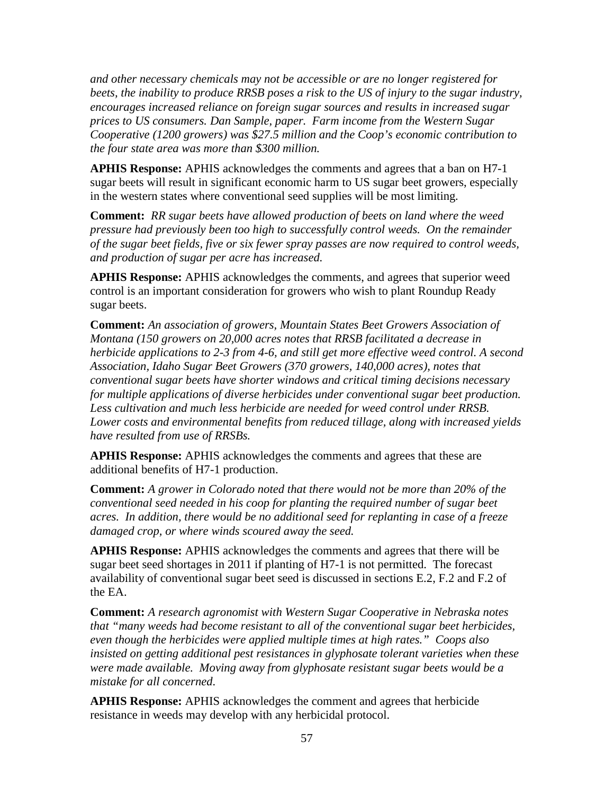*and other necessary chemicals may not be accessible or are no longer registered for beets, the inability to produce RRSB poses a risk to the US of injury to the sugar industry, encourages increased reliance on foreign sugar sources and results in increased sugar prices to US consumers. Dan Sample, paper. Farm income from the Western Sugar Cooperative (1200 growers) was \$27.5 million and the Coop's economic contribution to the four state area was more than \$300 million.* 

**APHIS Response:** APHIS acknowledges the comments and agrees that a ban on H7-1 sugar beets will result in significant economic harm to US sugar beet growers, especially in the western states where conventional seed supplies will be most limiting.

**Comment:** *RR sugar beets have allowed production of beets on land where the weed pressure had previously been too high to successfully control weeds. On the remainder of the sugar beet fields, five or six fewer spray passes are now required to control weeds, and production of sugar per acre has increased.*

**APHIS Response:** APHIS acknowledges the comments, and agrees that superior weed control is an important consideration for growers who wish to plant Roundup Ready sugar beets.

**Comment:** *An association of growers, Mountain States Beet Growers Association of Montana (150 growers on 20,000 acres notes that RRSB facilitated a decrease in herbicide applications to 2-3 from 4-6, and still get more effective weed control. A second Association, Idaho Sugar Beet Growers (370 growers, 140,000 acres), notes that conventional sugar beets have shorter windows and critical timing decisions necessary for multiple applications of diverse herbicides under conventional sugar beet production. Less cultivation and much less herbicide are needed for weed control under RRSB. Lower costs and environmental benefits from reduced tillage, along with increased yields have resulted from use of RRSBs.* 

**APHIS Response:** APHIS acknowledges the comments and agrees that these are additional benefits of H7-1 production.

**Comment:** *A grower in Colorado noted that there would not be more than 20% of the conventional seed needed in his coop for planting the required number of sugar beet acres. In addition, there would be no additional seed for replanting in case of a freeze damaged crop, or where winds scoured away the seed.*

**APHIS Response:** APHIS acknowledges the comments and agrees that there will be sugar beet seed shortages in 2011 if planting of H7-1 is not permitted. The forecast availability of conventional sugar beet seed is discussed in sections E.2, F.2 and F.2 of the EA.

**Comment:** *A research agronomist with Western Sugar Cooperative in Nebraska notes that "many weeds had become resistant to all of the conventional sugar beet herbicides, even though the herbicides were applied multiple times at high rates." Coops also insisted on getting additional pest resistances in glyphosate tolerant varieties when these were made available. Moving away from glyphosate resistant sugar beets would be a mistake for all concerned.* 

**APHIS Response:** APHIS acknowledges the comment and agrees that herbicide resistance in weeds may develop with any herbicidal protocol.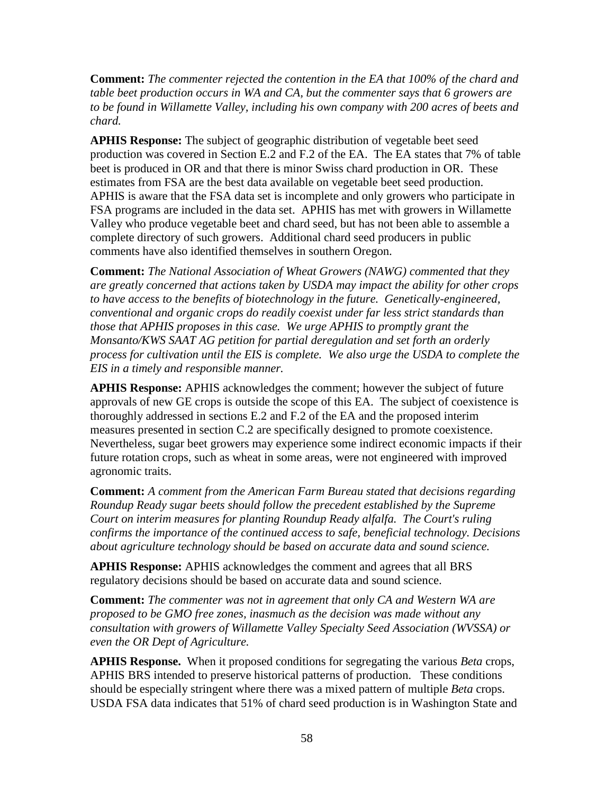**Comment:** *The commenter rejected the contention in the EA that 100% of the chard and table beet production occurs in WA and CA, but the commenter says that 6 growers are to be found in Willamette Valley, including his own company with 200 acres of beets and chard.* 

**APHIS Response:** The subject of geographic distribution of vegetable beet seed production was covered in Section E.2 and F.2 of the EA. The EA states that 7% of table beet is produced in OR and that there is minor Swiss chard production in OR. These estimates from FSA are the best data available on vegetable beet seed production. APHIS is aware that the FSA data set is incomplete and only growers who participate in FSA programs are included in the data set. APHIS has met with growers in Willamette Valley who produce vegetable beet and chard seed, but has not been able to assemble a complete directory of such growers. Additional chard seed producers in public comments have also identified themselves in southern Oregon.

**Comment:** *The National Association of Wheat Growers (NAWG) commented that they are greatly concerned that actions taken by USDA may impact the ability for other crops to have access to the benefits of biotechnology in the future. Genetically-engineered, conventional and organic crops do readily coexist under far less strict standards than those that APHIS proposes in this case. We urge APHIS to promptly grant the Monsanto/KWS SAAT AG petition for partial deregulation and set forth an orderly process for cultivation until the EIS is complete. We also urge the USDA to complete the EIS in a timely and responsible manner.*

**APHIS Response:** APHIS acknowledges the comment; however the subject of future approvals of new GE crops is outside the scope of this EA. The subject of coexistence is thoroughly addressed in sections E.2 and F.2 of the EA and the proposed interim measures presented in section C.2 are specifically designed to promote coexistence. Nevertheless, sugar beet growers may experience some indirect economic impacts if their future rotation crops, such as wheat in some areas, were not engineered with improved agronomic traits.

**Comment:** *A comment from the American Farm Bureau stated that decisions regarding Roundup Ready sugar beets should follow the precedent established by the Supreme Court on interim measures for planting Roundup Ready alfalfa. The Court's ruling confirms the importance of the continued access to safe, beneficial technology. Decisions about agriculture technology should be based on accurate data and sound science.*

**APHIS Response:** APHIS acknowledges the comment and agrees that all BRS regulatory decisions should be based on accurate data and sound science.

**Comment:** *The commenter was not in agreement that only CA and Western WA are proposed to be GMO free zones, inasmuch as the decision was made without any consultation with growers of Willamette Valley Specialty Seed Association (WVSSA) or even the OR Dept of Agriculture.*

**APHIS Response.** When it proposed conditions for segregating the various *Beta* crops, APHIS BRS intended to preserve historical patterns of production. These conditions should be especially stringent where there was a mixed pattern of multiple *Beta* crops. USDA FSA data indicates that 51% of chard seed production is in Washington State and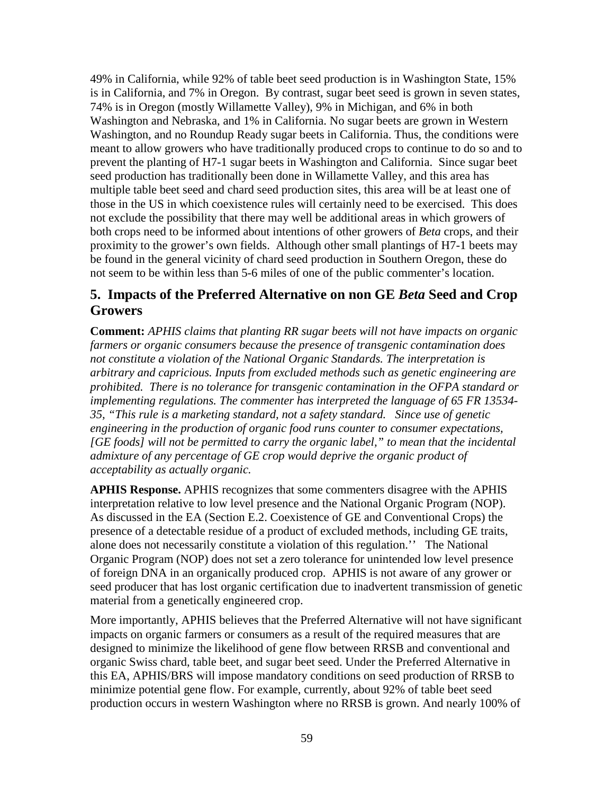49% in California, while 92% of table beet seed production is in Washington State, 15% is in California, and 7% in Oregon. By contrast, sugar beet seed is grown in seven states, 74% is in Oregon (mostly Willamette Valley), 9% in Michigan, and 6% in both Washington and Nebraska, and 1% in California. No sugar beets are grown in Western Washington, and no Roundup Ready sugar beets in California. Thus, the conditions were meant to allow growers who have traditionally produced crops to continue to do so and to prevent the planting of H7-1 sugar beets in Washington and California. Since sugar beet seed production has traditionally been done in Willamette Valley, and this area has multiple table beet seed and chard seed production sites, this area will be at least one of those in the US in which coexistence rules will certainly need to be exercised. This does not exclude the possibility that there may well be additional areas in which growers of both crops need to be informed about intentions of other growers of *Beta* crops, and their proximity to the grower's own fields. Although other small plantings of H7-1 beets may be found in the general vicinity of chard seed production in Southern Oregon, these do not seem to be within less than 5-6 miles of one of the public commenter's location.

## **5. Impacts of the Preferred Alternative on non GE** *Beta* **Seed and Crop Growers**

**Comment:** *APHIS claims that planting RR sugar beets will not have impacts on organic farmers or organic consumers because the presence of transgenic contamination does not constitute a violation of the National Organic Standards. The interpretation is arbitrary and capricious. Inputs from excluded methods such as genetic engineering are prohibited. There is no tolerance for transgenic contamination in the OFPA standard or implementing regulations. The commenter has interpreted the language of 65 FR 13534- 35, "This rule is a marketing standard, not a safety standard. Since use of genetic engineering in the production of organic food runs counter to consumer expectations, [GE foods] will not be permitted to carry the organic label," to mean that the incidental admixture of any percentage of GE crop would deprive the organic product of acceptability as actually organic.* 

**APHIS Response.** APHIS recognizes that some commenters disagree with the APHIS interpretation relative to low level presence and the National Organic Program (NOP). As discussed in the EA (Section E.2. Coexistence of GE and Conventional Crops) the presence of a detectable residue of a product of excluded methods, including GE traits, alone does not necessarily constitute a violation of this regulation.'' The National Organic Program (NOP) does not set a zero tolerance for unintended low level presence of foreign DNA in an organically produced crop. APHIS is not aware of any grower or seed producer that has lost organic certification due to inadvertent transmission of genetic material from a genetically engineered crop.

More importantly, APHIS believes that the Preferred Alternative will not have significant impacts on organic farmers or consumers as a result of the required measures that are designed to minimize the likelihood of gene flow between RRSB and conventional and organic Swiss chard, table beet, and sugar beet seed. Under the Preferred Alternative in this EA, APHIS/BRS will impose mandatory conditions on seed production of RRSB to minimize potential gene flow. For example, currently, about 92% of table beet seed production occurs in western Washington where no RRSB is grown. And nearly 100% of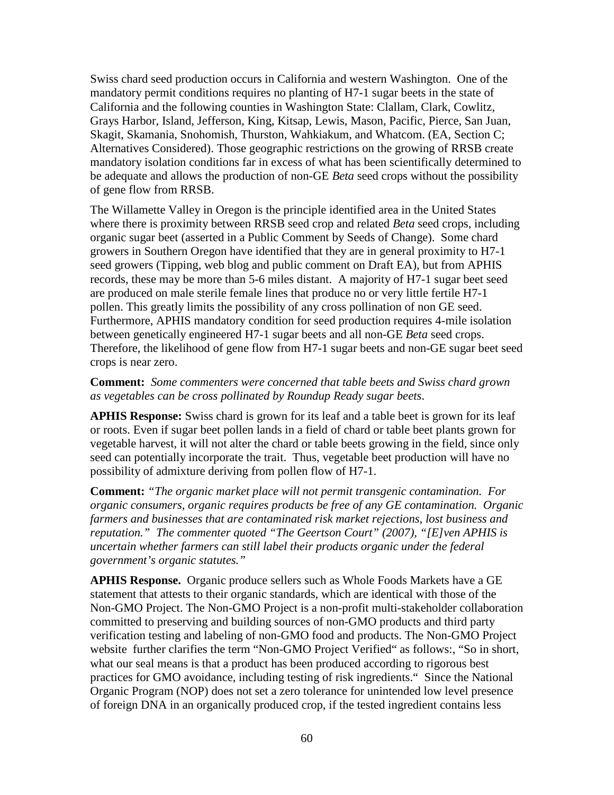Swiss chard seed production occurs in California and western Washington. One of the mandatory permit conditions requires no planting of H7-1 sugar beets in the state of California and the following counties in Washington State: Clallam, Clark, Cowlitz, Grays Harbor, Island, Jefferson, King, Kitsap, Lewis, Mason, Pacific, Pierce, San Juan, Skagit, Skamania, Snohomish, Thurston, Wahkiakum, and Whatcom. (EA, Section C; Alternatives Considered). Those geographic restrictions on the growing of RRSB create mandatory isolation conditions far in excess of what has been scientifically determined to be adequate and allows the production of non-GE *Beta* seed crops without the possibility of gene flow from RRSB.

The Willamette Valley in Oregon is the principle identified area in the United States where there is proximity between RRSB seed crop and related *Beta* seed crops, including organic sugar beet (asserted in a Public Comment by Seeds of Change). Some chard growers in Southern Oregon have identified that they are in general proximity to H7-1 seed growers (Tipping, web blog and public comment on Draft EA), but from APHIS records, these may be more than 5-6 miles distant. A majority of H7-1 sugar beet seed are produced on male sterile female lines that produce no or very little fertile H7-1 pollen. This greatly limits the possibility of any cross pollination of non GE seed. Furthermore, APHIS mandatory condition for seed production requires 4-mile isolation between genetically engineered H7-1 sugar beets and all non-GE *Beta* seed crops. Therefore, the likelihood of gene flow from H7-1 sugar beets and non-GE sugar beet seed crops is near zero.

#### **Comment:** *Some commenters were concerned that table beets and Swiss chard grown as vegetables can be cross pollinated by Roundup Ready sugar beets*.

**APHIS Response:** Swiss chard is grown for its leaf and a table beet is grown for its leaf or roots. Even if sugar beet pollen lands in a field of chard or table beet plants grown for vegetable harvest, it will not alter the chard or table beets growing in the field, since only seed can potentially incorporate the trait. Thus, vegetable beet production will have no possibility of admixture deriving from pollen flow of H7-1.

**Comment:** *"The organic market place will not permit transgenic contamination. For organic consumers, organic requires products be free of any GE contamination. Organic farmers and businesses that are contaminated risk market rejections, lost business and reputation." The commenter quoted "The Geertson Court" (2007), "[E]ven APHIS is uncertain whether farmers can still label their products organic under the federal government's organic statutes."*

**APHIS Response.** Organic produce sellers such as Whole Foods Markets have a GE statement that attests to their organic standards, which are identical with those of the Non-GMO Project. The Non-GMO Project is a non-profit multi-stakeholder collaboration committed to preserving and building sources of non-GMO products and third party verification testing and labeling of non-GMO food and products. The Non-GMO Project website further clarifies the term "Non-GMO Project Verified" as follows:, "So in short, what our seal means is that a product has been produced according to rigorous best practices for GMO avoidance, including testing of risk ingredients." Since the National Organic Program (NOP) does not set a zero tolerance for unintended low level presence of foreign DNA in an organically produced crop, if the tested ingredient contains less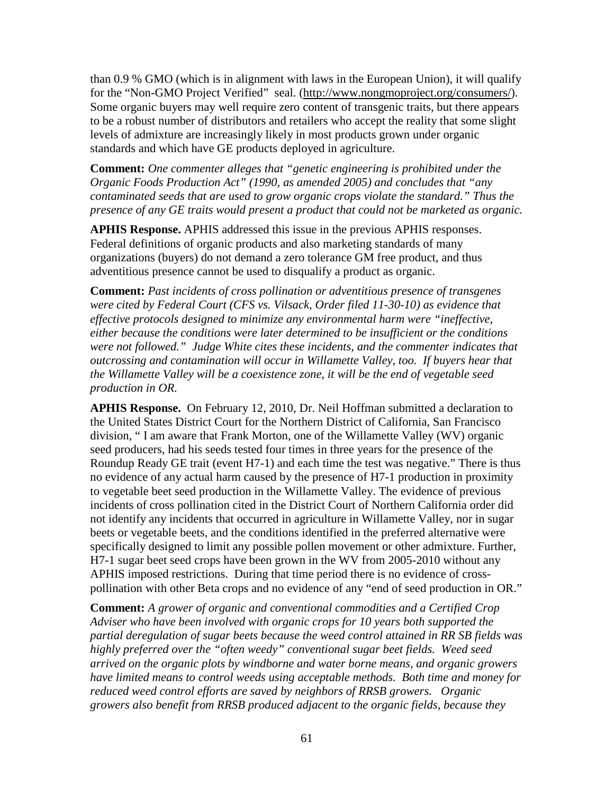than 0.9 % GMO (which is in alignment with laws in the European Union), it will qualify for the "Non-GMO Project Verified" seal. [\(http://www.nongmoproject.org/consumers/\)](http://www.nongmoproject.org/consumers/). Some organic buyers may well require zero content of transgenic traits, but there appears to be a robust number of distributors and retailers who accept the reality that some slight levels of admixture are increasingly likely in most products grown under organic standards and which have GE products deployed in agriculture.

**Comment:** *One commenter alleges that "genetic engineering is prohibited under the Organic Foods Production Act" (1990, as amended 2005) and concludes that "any contaminated seeds that are used to grow organic crops violate the standard." Thus the presence of any GE traits would present a product that could not be marketed as organic.*

**APHIS Response.** APHIS addressed this issue in the previous APHIS responses. Federal definitions of organic products and also marketing standards of many organizations (buyers) do not demand a zero tolerance GM free product, and thus adventitious presence cannot be used to disqualify a product as organic.

**Comment:** *Past incidents of cross pollination or adventitious presence of transgenes were cited by Federal Court (CFS vs. Vilsack, Order filed 11-30-10) as evidence that effective protocols designed to minimize any environmental harm were "ineffective, either because the conditions were later determined to be insufficient or the conditions were not followed." Judge White cites these incidents, and the commenter indicates that outcrossing and contamination will occur in Willamette Valley, too. If buyers hear that the Willamette Valley will be a coexistence zone, it will be the end of vegetable seed production in OR.*

**APHIS Response.** On February 12, 2010, Dr. Neil Hoffman submitted a declaration to the United States District Court for the Northern District of California, San Francisco division, " I am aware that Frank Morton, one of the Willamette Valley (WV) organic seed producers, had his seeds tested four times in three years for the presence of the Roundup Ready GE trait (event H7-1) and each time the test was negative." There is thus no evidence of any actual harm caused by the presence of H7-1 production in proximity to vegetable beet seed production in the Willamette Valley. The evidence of previous incidents of cross pollination cited in the District Court of Northern California order did not identify any incidents that occurred in agriculture in Willamette Valley, nor in sugar beets or vegetable beets, and the conditions identified in the preferred alternative were specifically designed to limit any possible pollen movement or other admixture. Further, H7-1 sugar beet seed crops have been grown in the WV from 2005-2010 without any APHIS imposed restrictions. During that time period there is no evidence of crosspollination with other Beta crops and no evidence of any "end of seed production in OR."

**Comment:** *A grower of organic and conventional commodities and a Certified Crop Adviser who have been involved with organic crops for 10 years both supported the partial deregulation of sugar beets because the weed control attained in RR SB fields was highly preferred over the "often weedy" conventional sugar beet fields. Weed seed arrived on the organic plots by windborne and water borne means, and organic growers have limited means to control weeds using acceptable methods. Both time and money for reduced weed control efforts are saved by neighbors of RRSB growers. Organic growers also benefit from RRSB produced adjacent to the organic fields, because they*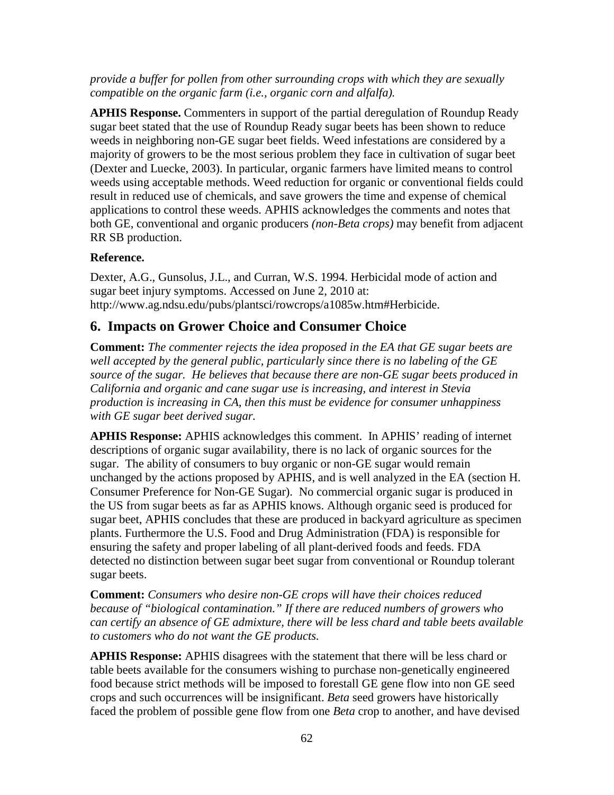### *provide a buffer for pollen from other surrounding crops with which they are sexually compatible on the organic farm (i.e., organic corn and alfalfa).*

**APHIS Response.** Commenters in support of the partial deregulation of Roundup Ready sugar beet stated that the use of Roundup Ready sugar beets has been shown to reduce weeds in neighboring non-GE sugar beet fields. Weed infestations are considered by a majority of growers to be the most serious problem they face in cultivation of sugar beet (Dexter and Luecke, 2003). In particular, organic farmers have limited means to control weeds using acceptable methods. Weed reduction for organic or conventional fields could result in reduced use of chemicals, and save growers the time and expense of chemical applications to control these weeds. APHIS acknowledges the comments and notes that both GE, conventional and organic producers *(non-Beta crops)* may benefit from adjacent RR SB production.

### **Reference.**

Dexter, A.G., Gunsolus, J.L., and Curran, W.S. 1994. Herbicidal mode of action and sugar beet injury symptoms. Accessed on June 2, 2010 at: http://www.ag.ndsu.edu/pubs/plantsci/rowcrops/a1085w.htm#Herbicide.

### **6. Impacts on Grower Choice and Consumer Choice**

**Comment:** *The commenter rejects the idea proposed in the EA that GE sugar beets are well accepted by the general public, particularly since there is no labeling of the GE source of the sugar. He believes that because there are non-GE sugar beets produced in California and organic and cane sugar use is increasing, and interest in Stevia production is increasing in CA, then this must be evidence for consumer unhappiness with GE sugar beet derived sugar.*

**APHIS Response:** APHIS acknowledges this comment. In APHIS' reading of internet descriptions of organic sugar availability, there is no lack of organic sources for the sugar. The ability of consumers to buy organic or non-GE sugar would remain unchanged by the actions proposed by APHIS, and is well analyzed in the EA (section H. Consumer Preference for Non-GE Sugar). No commercial organic sugar is produced in the US from sugar beets as far as APHIS knows. Although organic seed is produced for sugar beet, APHIS concludes that these are produced in backyard agriculture as specimen plants. Furthermore the U.S. Food and Drug Administration (FDA) is responsible for ensuring the safety and proper labeling of all plant-derived foods and feeds. FDA detected no distinction between sugar beet sugar from conventional or Roundup tolerant sugar beets.

**Comment:** *Consumers who desire non-GE crops will have their choices reduced because of "biological contamination." If there are reduced numbers of growers who can certify an absence of GE admixture, there will be less chard and table beets available to customers who do not want the GE products.*

**APHIS Response:** APHIS disagrees with the statement that there will be less chard or table beets available for the consumers wishing to purchase non-genetically engineered food because strict methods will be imposed to forestall GE gene flow into non GE seed crops and such occurrences will be insignificant. *Beta* seed growers have historically faced the problem of possible gene flow from one *Beta* crop to another, and have devised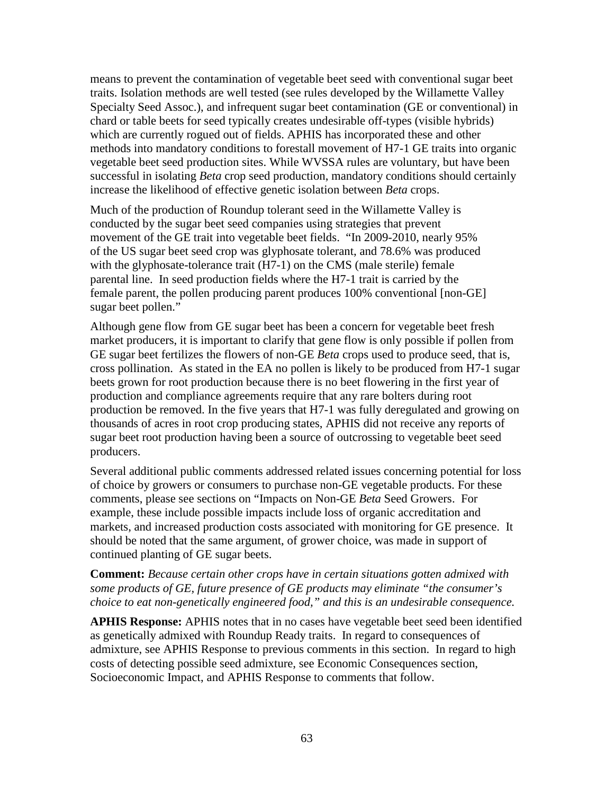means to prevent the contamination of vegetable beet seed with conventional sugar beet traits. Isolation methods are well tested (see rules developed by the Willamette Valley Specialty Seed Assoc.), and infrequent sugar beet contamination (GE or conventional) in chard or table beets for seed typically creates undesirable off-types (visible hybrids) which are currently rogued out of fields. APHIS has incorporated these and other methods into mandatory conditions to forestall movement of H7-1 GE traits into organic vegetable beet seed production sites. While WVSSA rules are voluntary, but have been successful in isolating *Beta* crop seed production, mandatory conditions should certainly increase the likelihood of effective genetic isolation between *Beta* crops.

Much of the production of Roundup tolerant seed in the Willamette Valley is conducted by the sugar beet seed companies using strategies that prevent movement of the GE trait into vegetable beet fields. "In 2009-2010, nearly 95% of the US sugar beet seed crop was glyphosate tolerant, and 78.6% was produced with the glyphosate-tolerance trait (H7-1) on the CMS (male sterile) female parental line. In seed production fields where the H7-1 trait is carried by the female parent, the pollen producing parent produces 100% conventional [non-GE] sugar beet pollen."

Although gene flow from GE sugar beet has been a concern for vegetable beet fresh market producers, it is important to clarify that gene flow is only possible if pollen from GE sugar beet fertilizes the flowers of non-GE *Beta* crops used to produce seed, that is, cross pollination. As stated in the EA no pollen is likely to be produced from H7-1 sugar beets grown for root production because there is no beet flowering in the first year of production and compliance agreements require that any rare bolters during root production be removed. In the five years that H7-1 was fully deregulated and growing on thousands of acres in root crop producing states, APHIS did not receive any reports of sugar beet root production having been a source of outcrossing to vegetable beet seed producers.

Several additional public comments addressed related issues concerning potential for loss of choice by growers or consumers to purchase non-GE vegetable products. For these comments, please see sections on "Impacts on Non-GE *Beta* Seed Growers. For example, these include possible impacts include loss of organic accreditation and markets, and increased production costs associated with monitoring for GE presence. It should be noted that the same argument, of grower choice, was made in support of continued planting of GE sugar beets.

#### **Comment:** *Because certain other crops have in certain situations gotten admixed with some products of GE, future presence of GE products may eliminate "the consumer's choice to eat non-genetically engineered food," and this is an undesirable consequence.*

**APHIS Response:** APHIS notes that in no cases have vegetable beet seed been identified as genetically admixed with Roundup Ready traits.In regard to consequences of admixture, see APHIS Response to previous comments in this section. In regard to high costs of detecting possible seed admixture, see Economic Consequences section, Socioeconomic Impact, and APHIS Response to comments that follow.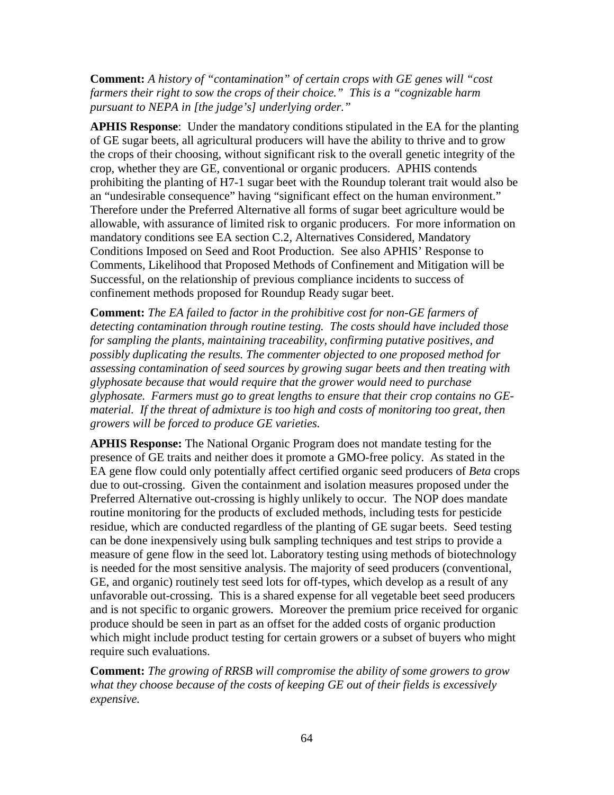**Comment:** *A history of "contamination" of certain crops with GE genes will "cost farmers their right to sow the crops of their choice." This is a "cognizable harm pursuant to NEPA in [the judge's] underlying order."*

**APHIS Response**: Under the mandatory conditions stipulated in the EA for the planting of GE sugar beets, all agricultural producers will have the ability to thrive and to grow the crops of their choosing, without significant risk to the overall genetic integrity of the crop, whether they are GE, conventional or organic producers. APHIS contends prohibiting the planting of H7-1 sugar beet with the Roundup tolerant trait would also be an "undesirable consequence" having "significant effect on the human environment." Therefore under the Preferred Alternative all forms of sugar beet agriculture would be allowable, with assurance of limited risk to organic producers. For more information on mandatory conditions see EA section C.2, Alternatives Considered, Mandatory Conditions Imposed on Seed and Root Production. See also APHIS' Response to Comments, Likelihood that Proposed Methods of Confinement and Mitigation will be Successful, on the relationship of previous compliance incidents to success of confinement methods proposed for Roundup Ready sugar beet.

**Comment:** *The EA failed to factor in the prohibitive cost for non-GE farmers of detecting contamination through routine testing. The costs should have included those for sampling the plants, maintaining traceability, confirming putative positives, and possibly duplicating the results. The commenter objected to one proposed method for assessing contamination of seed sources by growing sugar beets and then treating with glyphosate because that would require that the grower would need to purchase glyphosate. Farmers must go to great lengths to ensure that their crop contains no GEmaterial. If the threat of admixture is too high and costs of monitoring too great, then growers will be forced to produce GE varieties.*

**APHIS Response:** The National Organic Program does not mandate testing for the presence of GE traits and neither does it promote a GMO-free policy. As stated in the EA gene flow could only potentially affect certified organic seed producers of *Beta* crops due to out-crossing. Given the containment and isolation measures proposed under the Preferred Alternative out-crossing is highly unlikely to occur. The NOP does mandate routine monitoring for the products of excluded methods, including tests for pesticide residue, which are conducted regardless of the planting of GE sugar beets. Seed testing can be done inexpensively using bulk sampling techniques and test strips to provide a measure of gene flow in the seed lot. Laboratory testing using methods of biotechnology is needed for the most sensitive analysis. The majority of seed producers (conventional, GE, and organic) routinely test seed lots for off-types, which develop as a result of any unfavorable out-crossing. This is a shared expense for all vegetable beet seed producers and is not specific to organic growers. Moreover the premium price received for organic produce should be seen in part as an offset for the added costs of organic production which might include product testing for certain growers or a subset of buyers who might require such evaluations.

**Comment:** *The growing of RRSB will compromise the ability of some growers to grow what they choose because of the costs of keeping GE out of their fields is excessively expensive.*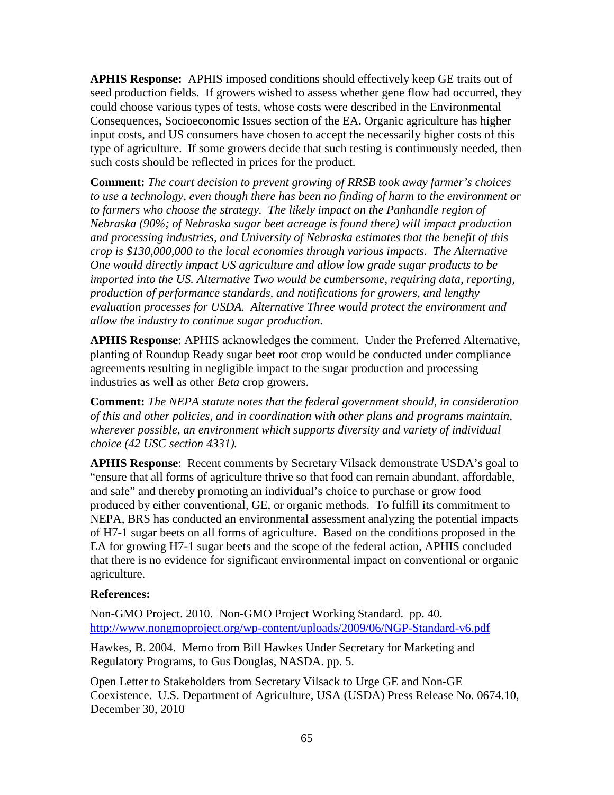**APHIS Response:** APHIS imposed conditions should effectively keep GE traits out of seed production fields. If growers wished to assess whether gene flow had occurred, they could choose various types of tests, whose costs were described in the Environmental Consequences, Socioeconomic Issues section of the EA. Organic agriculture has higher input costs, and US consumers have chosen to accept the necessarily higher costs of this type of agriculture. If some growers decide that such testing is continuously needed, then such costs should be reflected in prices for the product.

**Comment:** *The court decision to prevent growing of RRSB took away farmer's choices to use a technology, even though there has been no finding of harm to the environment or to farmers who choose the strategy. The likely impact on the Panhandle region of Nebraska (90%; of Nebraska sugar beet acreage is found there) will impact production and processing industries, and University of Nebraska estimates that the benefit of this crop is \$130,000,000 to the local economies through various impacts. The Alternative One would directly impact US agriculture and allow low grade sugar products to be imported into the US. Alternative Two would be cumbersome, requiring data, reporting, production of performance standards, and notifications for growers, and lengthy evaluation processes for USDA. Alternative Three would protect the environment and allow the industry to continue sugar production.*

**APHIS Response**: APHIS acknowledges the comment. Under the Preferred Alternative, planting of Roundup Ready sugar beet root crop would be conducted under compliance agreements resulting in negligible impact to the sugar production and processing industries as well as other *Beta* crop growers.

**Comment:** *The NEPA statute notes that the federal government should, in consideration of this and other policies, and in coordination with other plans and programs maintain, wherever possible, an environment which supports diversity and variety of individual choice (42 USC section 4331).*

**APHIS Response**: Recent comments by Secretary Vilsack demonstrate USDA's goal to "ensure that all forms of agriculture thrive so that food can remain abundant, affordable, and safe" and thereby promoting an individual's choice to purchase or grow food produced by either conventional, GE, or organic methods. To fulfill its commitment to NEPA, BRS has conducted an environmental assessment analyzing the potential impacts of H7-1 sugar beets on all forms of agriculture. Based on the conditions proposed in the EA for growing H7-1 sugar beets and the scope of the federal action, APHIS concluded that there is no evidence for significant environmental impact on conventional or organic agriculture.

### **References:**

Non-GMO Project. 2010. Non-GMO Project Working Standard. pp. 40. <http://www.nongmoproject.org/wp-content/uploads/2009/06/NGP-Standard-v6.pdf>

Hawkes, B. 2004. Memo from Bill Hawkes Under Secretary for Marketing and Regulatory Programs, to Gus Douglas, NASDA. pp. 5.

Open Letter to Stakeholders from Secretary Vilsack to Urge GE and Non-GE Coexistence. U.S. Department of Agriculture, USA (USDA) Press Release No. 0674.10, December 30, 2010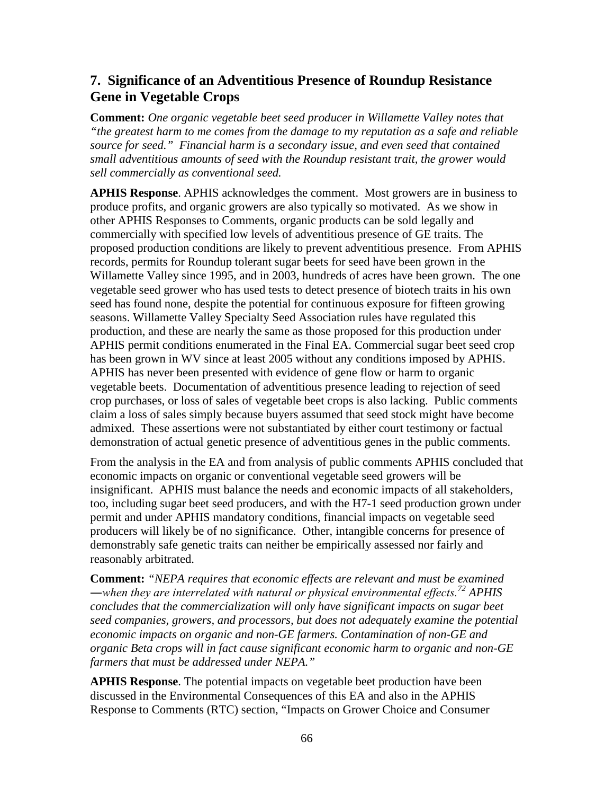## **7. Significance of an Adventitious Presence of Roundup Resistance Gene in Vegetable Crops**

**Comment:** *One organic vegetable beet seed producer in Willamette Valley notes that "the greatest harm to me comes from the damage to my reputation as a safe and reliable source for seed." Financial harm is a secondary issue, and even seed that contained small adventitious amounts of seed with the Roundup resistant trait, the grower would sell commercially as conventional seed.*

**APHIS Response**. APHIS acknowledges the comment. Most growers are in business to produce profits, and organic growers are also typically so motivated. As we show in other APHIS Responses to Comments, organic products can be sold legally and commercially with specified low levels of adventitious presence of GE traits. The proposed production conditions are likely to prevent adventitious presence. From APHIS records, permits for Roundup tolerant sugar beets for seed have been grown in the Willamette Valley since 1995, and in 2003, hundreds of acres have been grown. The one vegetable seed grower who has used tests to detect presence of biotech traits in his own seed has found none, despite the potential for continuous exposure for fifteen growing seasons. Willamette Valley Specialty Seed Association rules have regulated this production, and these are nearly the same as those proposed for this production under APHIS permit conditions enumerated in the Final EA. Commercial sugar beet seed crop has been grown in WV since at least 2005 without any conditions imposed by APHIS. APHIS has never been presented with evidence of gene flow or harm to organic vegetable beets. Documentation of adventitious presence leading to rejection of seed crop purchases, or loss of sales of vegetable beet crops is also lacking. Public comments claim a loss of sales simply because buyers assumed that seed stock might have become admixed. These assertions were not substantiated by either court testimony or factual demonstration of actual genetic presence of adventitious genes in the public comments.

From the analysis in the EA and from analysis of public comments APHIS concluded that economic impacts on organic or conventional vegetable seed growers will be insignificant. APHIS must balance the needs and economic impacts of all stakeholders, too, including sugar beet seed producers, and with the H7-1 seed production grown under permit and under APHIS mandatory conditions, financial impacts on vegetable seed producers will likely be of no significance. Other, intangible concerns for presence of demonstrably safe genetic traits can neither be empirically assessed nor fairly and reasonably arbitrated.

**Comment:** *"NEPA requires that economic effects are relevant and must be examined ―when they are interrelated with natural or physical environmental effects.<sup>72</sup> APHIS concludes that the commercialization will only have significant impacts on sugar beet seed companies, growers, and processors, but does not adequately examine the potential economic impacts on organic and non-GE farmers. Contamination of non-GE and organic Beta crops will in fact cause significant economic harm to organic and non-GE farmers that must be addressed under NEPA."*

**APHIS Response**. The potential impacts on vegetable beet production have been discussed in the Environmental Consequences of this EA and also in the APHIS Response to Comments (RTC) section, "Impacts on Grower Choice and Consumer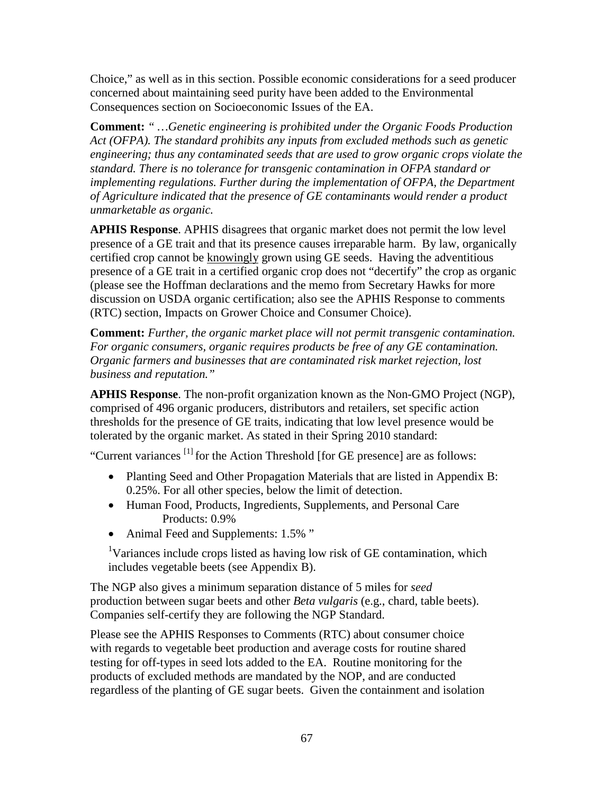Choice," as well as in this section. Possible economic considerations for a seed producer concerned about maintaining seed purity have been added to the Environmental Consequences section on Socioeconomic Issues of the EA.

**Comment:** *" …Genetic engineering is prohibited under the Organic Foods Production Act (OFPA). The standard prohibits any inputs from excluded methods such as genetic engineering; thus any contaminated seeds that are used to grow organic crops violate the standard. There is no tolerance for transgenic contamination in OFPA standard or implementing regulations. Further during the implementation of OFPA, the Department of Agriculture indicated that the presence of GE contaminants would render a product unmarketable as organic.*

**APHIS Response**. APHIS disagrees that organic market does not permit the low level presence of a GE trait and that its presence causes irreparable harm. By law, organically certified crop cannot be knowingly grown using GE seeds. Having the adventitious presence of a GE trait in a certified organic crop does not "decertify" the crop as organic (please see the Hoffman declarations and the memo from Secretary Hawks for more discussion on USDA organic certification; also see the APHIS Response to comments (RTC) section, Impacts on Grower Choice and Consumer Choice).

**Comment:** *Further, the organic market place will not permit transgenic contamination. For organic consumers, organic requires products be free of any GE contamination. Organic farmers and businesses that are contaminated risk market rejection, lost business and reputation."*

**APHIS Response**. The non-profit organization known as the Non-GMO Project (NGP), comprised of 496 organic producers, distributors and retailers, set specific action thresholds for the presence of GE traits, indicating that low level presence would be tolerated by the organic market. As stated in their Spring 2010 standard:

"Current variances [1] for the Action Threshold [for GE presence] are as follows:

- Planting Seed and Other Propagation Materials that are listed in Appendix B: 0.25%. For all other species, below the limit of detection.
- Human Food, Products, Ingredients, Supplements, and Personal Care Products: 0.9%
- Animal Feed and Supplements: 1.5%"

<sup>1</sup>Variances include crops listed as having low risk of GE contamination, which includes vegetable beets (see Appendix B).

The NGP also gives a minimum separation distance of 5 miles for *seed* production between sugar beets and other *Beta vulgaris* (e.g., chard, table beets). Companies self-certify they are following the NGP Standard.

Please see the APHIS Responses to Comments (RTC) about consumer choice with regards to vegetable beet production and average costs for routine shared testing for off-types in seed lots added to the EA. Routine monitoring for the products of excluded methods are mandated by the NOP, and are conducted regardless of the planting of GE sugar beets. Given the containment and isolation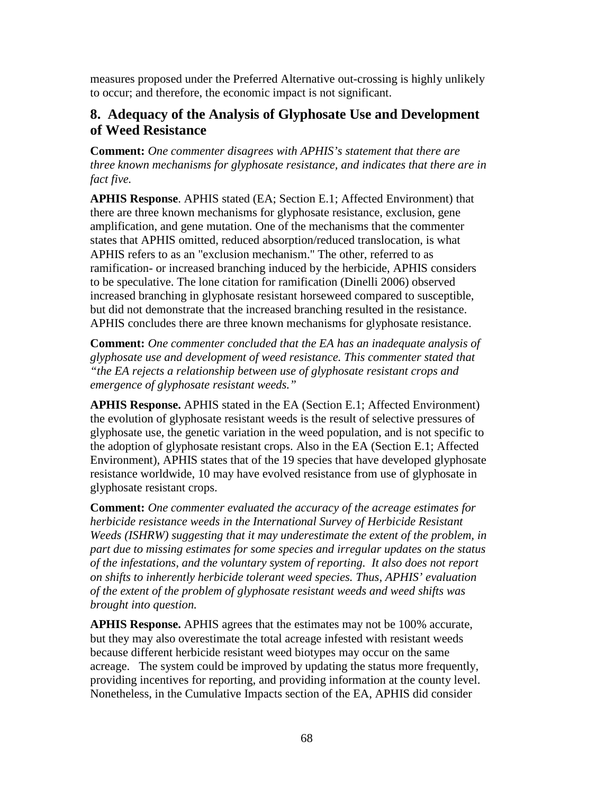measures proposed under the Preferred Alternative out-crossing is highly unlikely to occur; and therefore, the economic impact is not significant.

## **8. Adequacy of the Analysis of Glyphosate Use and Development of Weed Resistance**

**Comment:** *One commenter disagrees with APHIS's statement that there are three known mechanisms for glyphosate resistance, and indicates that there are in fact five.*

**APHIS Response**. APHIS stated (EA; Section E.1; Affected Environment) that there are three known mechanisms for glyphosate resistance, exclusion, gene amplification, and gene mutation. One of the mechanisms that the commenter states that APHIS omitted, reduced absorption/reduced translocation, is what APHIS refers to as an "exclusion mechanism." The other, referred to as ramification- or increased branching induced by the herbicide, APHIS considers to be speculative. The lone citation for ramification (Dinelli 2006) observed increased branching in glyphosate resistant horseweed compared to susceptible, but did not demonstrate that the increased branching resulted in the resistance. APHIS concludes there are three known mechanisms for glyphosate resistance.

**Comment:** *One commenter concluded that the EA has an inadequate analysis of glyphosate use and development of weed resistance. This commenter stated that "the EA rejects a relationship between use of glyphosate resistant crops and emergence of glyphosate resistant weeds."*

**APHIS Response.** APHIS stated in the EA (Section E.1; Affected Environment) the evolution of glyphosate resistant weeds is the result of selective pressures of glyphosate use, the genetic variation in the weed population, and is not specific to the adoption of glyphosate resistant crops. Also in the EA (Section E.1; Affected Environment), APHIS states that of the 19 species that have developed glyphosate resistance worldwide, 10 may have evolved resistance from use of glyphosate in glyphosate resistant crops.

**Comment:** *One commenter evaluated the accuracy of the acreage estimates for herbicide resistance weeds in the International Survey of Herbicide Resistant Weeds (ISHRW) suggesting that it may underestimate the extent of the problem, in part due to missing estimates for some species and irregular updates on the status of the infestations, and the voluntary system of reporting. It also does not report on shifts to inherently herbicide tolerant weed species. Thus, APHIS' evaluation of the extent of the problem of glyphosate resistant weeds and weed shifts was brought into question.* 

**APHIS Response.** APHIS agrees that the estimates may not be 100% accurate, but they may also overestimate the total acreage infested with resistant weeds because different herbicide resistant weed biotypes may occur on the same acreage. The system could be improved by updating the status more frequently, providing incentives for reporting, and providing information at the county level. Nonetheless, in the Cumulative Impacts section of the EA, APHIS did consider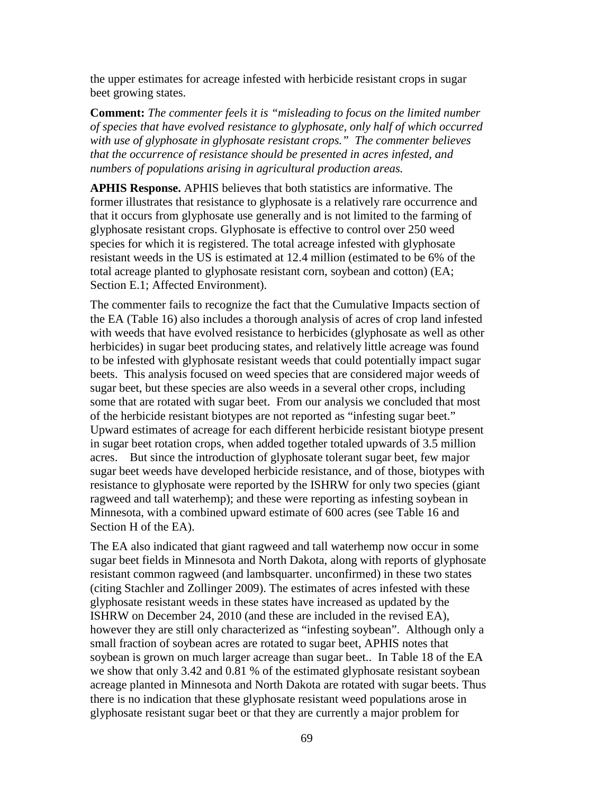the upper estimates for acreage infested with herbicide resistant crops in sugar beet growing states.

**Comment:** *The commenter feels it is "misleading to focus on the limited number of species that have evolved resistance to glyphosate, only half of which occurred with use of glyphosate in glyphosate resistant crops." The commenter believes that the occurrence of resistance should be presented in acres infested, and numbers of populations arising in agricultural production areas.*

**APHIS Response.** APHIS believes that both statistics are informative. The former illustrates that resistance to glyphosate is a relatively rare occurrence and that it occurs from glyphosate use generally and is not limited to the farming of glyphosate resistant crops. Glyphosate is effective to control over 250 weed species for which it is registered. The total acreage infested with glyphosate resistant weeds in the US is estimated at 12.4 million (estimated to be 6% of the total acreage planted to glyphosate resistant corn, soybean and cotton) (EA; Section E.1; Affected Environment).

The commenter fails to recognize the fact that the Cumulative Impacts section of the EA (Table 16) also includes a thorough analysis of acres of crop land infested with weeds that have evolved resistance to herbicides (glyphosate as well as other herbicides) in sugar beet producing states, and relatively little acreage was found to be infested with glyphosate resistant weeds that could potentially impact sugar beets. This analysis focused on weed species that are considered major weeds of sugar beet, but these species are also weeds in a several other crops, including some that are rotated with sugar beet. From our analysis we concluded that most of the herbicide resistant biotypes are not reported as "infesting sugar beet." Upward estimates of acreage for each different herbicide resistant biotype present in sugar beet rotation crops, when added together totaled upwards of 3.5 million acres. But since the introduction of glyphosate tolerant sugar beet, few major sugar beet weeds have developed herbicide resistance, and of those, biotypes with resistance to glyphosate were reported by the ISHRW for only two species (giant ragweed and tall waterhemp); and these were reporting as infesting soybean in Minnesota, with a combined upward estimate of 600 acres (see Table 16 and Section H of the EA).

The EA also indicated that giant ragweed and tall waterhemp now occur in some sugar beet fields in Minnesota and North Dakota, along with reports of glyphosate resistant common ragweed (and lambsquarter. unconfirmed) in these two states (citing Stachler and Zollinger 2009). The estimates of acres infested with these glyphosate resistant weeds in these states have increased as updated by the ISHRW on December 24, 2010 (and these are included in the revised EA), however they are still only characterized as "infesting soybean". Although only a small fraction of soybean acres are rotated to sugar beet, APHIS notes that soybean is grown on much larger acreage than sugar beet.. In Table 18 of the EA we show that only 3.42 and 0.81 % of the estimated glyphosate resistant soybean acreage planted in Minnesota and North Dakota are rotated with sugar beets. Thus there is no indication that these glyphosate resistant weed populations arose in glyphosate resistant sugar beet or that they are currently a major problem for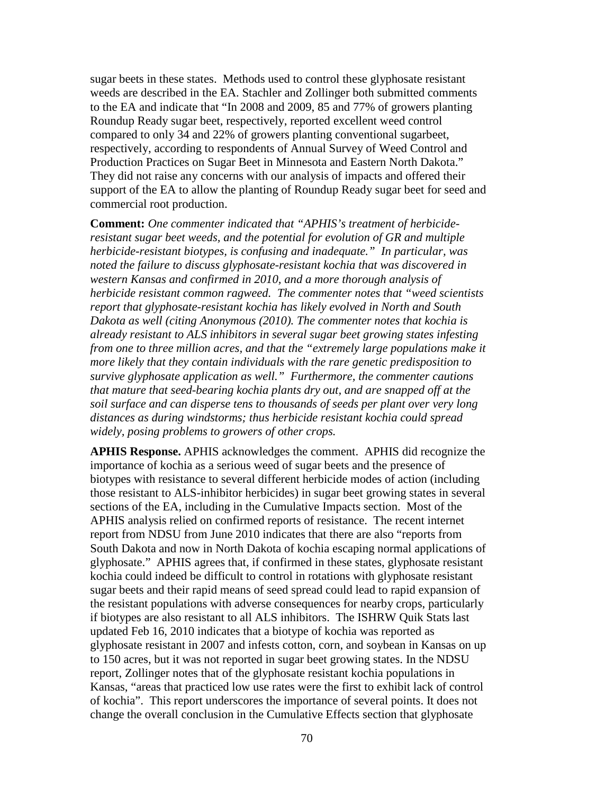sugar beets in these states. Methods used to control these glyphosate resistant weeds are described in the EA. Stachler and Zollinger both submitted comments to the EA and indicate that "In 2008 and 2009, 85 and 77% of growers planting Roundup Ready sugar beet, respectively, reported excellent weed control compared to only 34 and 22% of growers planting conventional sugarbeet, respectively, according to respondents of Annual Survey of Weed Control and Production Practices on Sugar Beet in Minnesota and Eastern North Dakota." They did not raise any concerns with our analysis of impacts and offered their support of the EA to allow the planting of Roundup Ready sugar beet for seed and commercial root production.

**Comment:** *One commenter indicated that "APHIS's treatment of herbicideresistant sugar beet weeds, and the potential for evolution of GR and multiple herbicide-resistant biotypes, is confusing and inadequate." In particular, was noted the failure to discuss glyphosate-resistant kochia that was discovered in western Kansas and confirmed in 2010, and a more thorough analysis of herbicide resistant common ragweed. The commenter notes that "weed scientists report that glyphosate-resistant kochia has likely evolved in North and South Dakota as well (citing Anonymous (2010). The commenter notes that kochia is already resistant to ALS inhibitors in several sugar beet growing states infesting from one to three million acres, and that the "extremely large populations make it more likely that they contain individuals with the rare genetic predisposition to survive glyphosate application as well." Furthermore, the commenter cautions that mature that seed-bearing kochia plants dry out, and are snapped off at the soil surface and can disperse tens to thousands of seeds per plant over very long distances as during windstorms; thus herbicide resistant kochia could spread widely, posing problems to growers of other crops.*

**APHIS Response.** APHIS acknowledges the comment. APHIS did recognize the importance of kochia as a serious weed of sugar beets and the presence of biotypes with resistance to several different herbicide modes of action (including those resistant to ALS-inhibitor herbicides) in sugar beet growing states in several sections of the EA, including in the Cumulative Impacts section. Most of the APHIS analysis relied on confirmed reports of resistance. The recent internet report from NDSU from June 2010 indicates that there are also "reports from South Dakota and now in North Dakota of kochia escaping normal applications of glyphosate." APHIS agrees that, if confirmed in these states, glyphosate resistant kochia could indeed be difficult to control in rotations with glyphosate resistant sugar beets and their rapid means of seed spread could lead to rapid expansion of the resistant populations with adverse consequences for nearby crops, particularly if biotypes are also resistant to all ALS inhibitors. The ISHRW Quik Stats last updated Feb 16, 2010 indicates that a biotype of kochia was reported as glyphosate resistant in 2007 and infests cotton, corn, and soybean in Kansas on up to 150 acres, but it was not reported in sugar beet growing states. In the NDSU report, Zollinger notes that of the glyphosate resistant kochia populations in Kansas, "areas that practiced low use rates were the first to exhibit lack of control of kochia". This report underscores the importance of several points. It does not change the overall conclusion in the Cumulative Effects section that glyphosate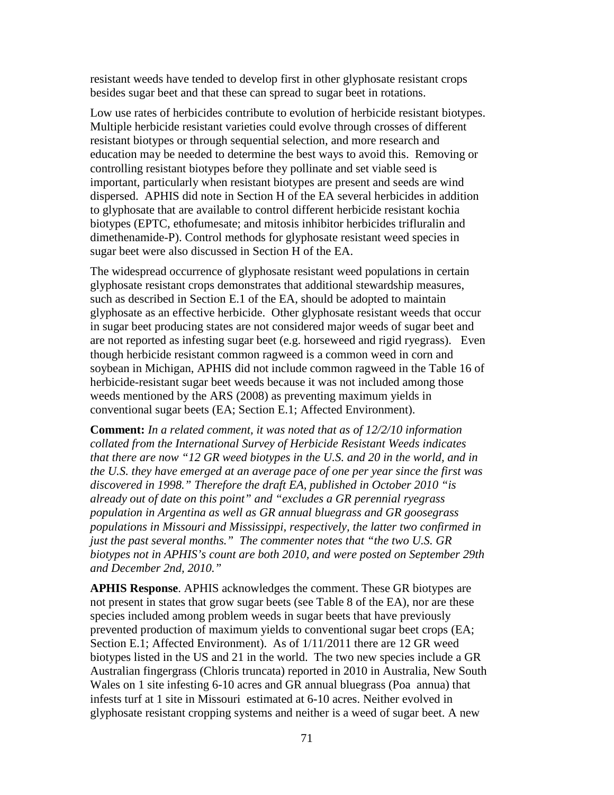resistant weeds have tended to develop first in other glyphosate resistant crops besides sugar beet and that these can spread to sugar beet in rotations.

Low use rates of herbicides contribute to evolution of herbicide resistant biotypes. Multiple herbicide resistant varieties could evolve through crosses of different resistant biotypes or through sequential selection, and more research and education may be needed to determine the best ways to avoid this. Removing or controlling resistant biotypes before they pollinate and set viable seed is important, particularly when resistant biotypes are present and seeds are wind dispersed. APHIS did note in Section H of the EA several herbicides in addition to glyphosate that are available to control different herbicide resistant kochia biotypes (EPTC, ethofumesate; and mitosis inhibitor herbicides trifluralin and dimethenamide-P). Control methods for glyphosate resistant weed species in sugar beet were also discussed in Section H of the EA.

The widespread occurrence of glyphosate resistant weed populations in certain glyphosate resistant crops demonstrates that additional stewardship measures, such as described in Section E.1 of the EA, should be adopted to maintain glyphosate as an effective herbicide. Other glyphosate resistant weeds that occur in sugar beet producing states are not considered major weeds of sugar beet and are not reported as infesting sugar beet (e.g. horseweed and rigid ryegrass). Even though herbicide resistant common ragweed is a common weed in corn and soybean in Michigan, APHIS did not include common ragweed in the Table 16 of herbicide-resistant sugar beet weeds because it was not included among those weeds mentioned by the ARS (2008) as preventing maximum yields in conventional sugar beets (EA; Section E.1; Affected Environment).

**Comment:** *In a related comment, it was noted that as of 12/2/10 information collated from the International Survey of Herbicide Resistant Weeds indicates that there are now "12 GR weed biotypes in the U.S. and 20 in the world, and in the U.S. they have emerged at an average pace of one per year since the first was discovered in 1998." Therefore the draft EA, published in October 2010 "is already out of date on this point" and "excludes a GR perennial ryegrass population in Argentina as well as GR annual bluegrass and GR goosegrass populations in Missouri and Mississippi, respectively, the latter two confirmed in just the past several months." The commenter notes that "the two U.S. GR biotypes not in APHIS's count are both 2010, and were posted on September 29th and December 2nd, 2010."*

**APHIS Response**. APHIS acknowledges the comment. These GR biotypes are not present in states that grow sugar beets (see Table 8 of the EA), nor are these species included among problem weeds in sugar beets that have previously prevented production of maximum yields to conventional sugar beet crops (EA; Section E.1; Affected Environment). As of 1/11/2011 there are 12 GR weed biotypes listed in the US and 21 in the world. The two new species include a GR Australian fingergrass (Chloris truncata) reported in 2010 in Australia, New South Wales on 1 site infesting 6-10 acres and GR annual bluegrass (Poa annua) that infests turf at 1 site in Missouri estimated at 6-10 acres. Neither evolved in glyphosate resistant cropping systems and neither is a weed of sugar beet. A new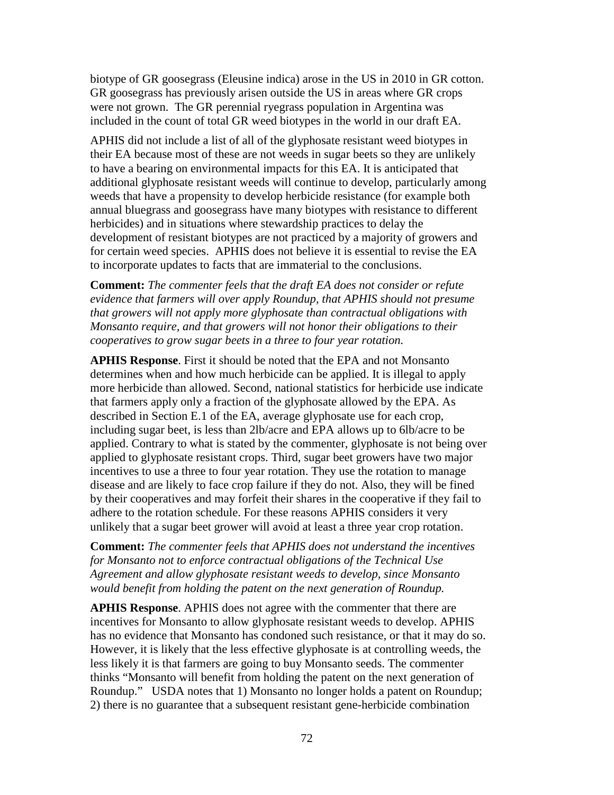biotype of GR goosegrass (Eleusine indica) arose in the US in 2010 in GR cotton. GR goosegrass has previously arisen outside the US in areas where GR crops were not grown. The GR perennial ryegrass population in Argentina was included in the count of total GR weed biotypes in the world in our draft EA.

APHIS did not include a list of all of the glyphosate resistant weed biotypes in their EA because most of these are not weeds in sugar beets so they are unlikely to have a bearing on environmental impacts for this EA. It is anticipated that additional glyphosate resistant weeds will continue to develop, particularly among weeds that have a propensity to develop herbicide resistance (for example both annual bluegrass and goosegrass have many biotypes with resistance to different herbicides) and in situations where stewardship practices to delay the development of resistant biotypes are not practiced by a majority of growers and for certain weed species. APHIS does not believe it is essential to revise the EA to incorporate updates to facts that are immaterial to the conclusions.

**Comment:** *The commenter feels that the draft EA does not consider or refute evidence that farmers will over apply Roundup, that APHIS should not presume that growers will not apply more glyphosate than contractual obligations with Monsanto require, and that growers will not honor their obligations to their cooperatives to grow sugar beets in a three to four year rotation.*

**APHIS Response**. First it should be noted that the EPA and not Monsanto determines when and how much herbicide can be applied. It is illegal to apply more herbicide than allowed. Second, national statistics for herbicide use indicate that farmers apply only a fraction of the glyphosate allowed by the EPA. As described in Section E.1 of the EA, average glyphosate use for each crop, including sugar beet, is less than 2lb/acre and EPA allows up to 6lb/acre to be applied. Contrary to what is stated by the commenter, glyphosate is not being over applied to glyphosate resistant crops. Third, sugar beet growers have two major incentives to use a three to four year rotation. They use the rotation to manage disease and are likely to face crop failure if they do not. Also, they will be fined by their cooperatives and may forfeit their shares in the cooperative if they fail to adhere to the rotation schedule. For these reasons APHIS considers it very unlikely that a sugar beet grower will avoid at least a three year crop rotation.

**Comment:** *The commenter feels that APHIS does not understand the incentives for Monsanto not to enforce contractual obligations of the Technical Use Agreement and allow glyphosate resistant weeds to develop, since Monsanto would benefit from holding the patent on the next generation of Roundup.*

**APHIS Response**. APHIS does not agree with the commenter that there are incentives for Monsanto to allow glyphosate resistant weeds to develop. APHIS has no evidence that Monsanto has condoned such resistance, or that it may do so. However, it is likely that the less effective glyphosate is at controlling weeds, the less likely it is that farmers are going to buy Monsanto seeds. The commenter thinks "Monsanto will benefit from holding the patent on the next generation of Roundup." USDA notes that 1) Monsanto no longer holds a patent on Roundup; 2) there is no guarantee that a subsequent resistant gene-herbicide combination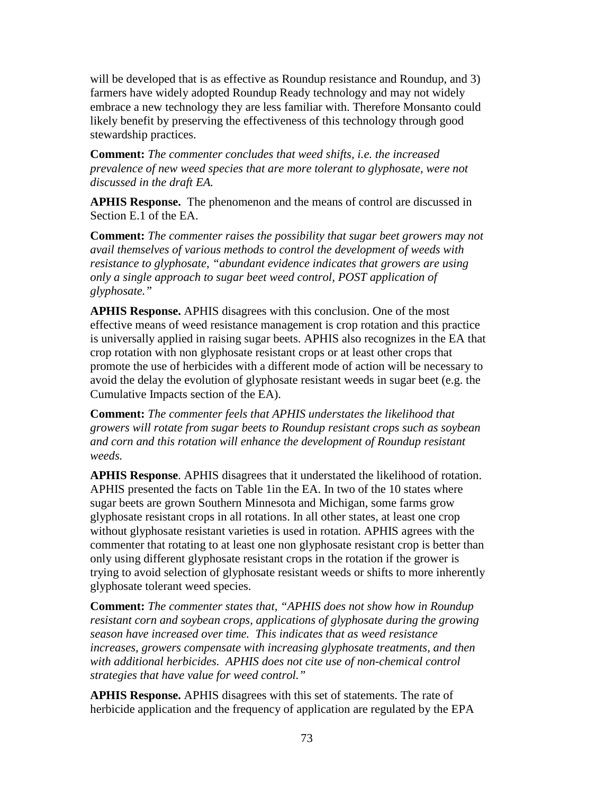will be developed that is as effective as Roundup resistance and Roundup, and 3) farmers have widely adopted Roundup Ready technology and may not widely embrace a new technology they are less familiar with. Therefore Monsanto could likely benefit by preserving the effectiveness of this technology through good stewardship practices.

**Comment:** *The commenter concludes that weed shifts, i.e. the increased prevalence of new weed species that are more tolerant to glyphosate, were not discussed in the draft EA.*

**APHIS Response.** The phenomenon and the means of control are discussed in Section E.1 of the EA.

**Comment:** *The commenter raises the possibility that sugar beet growers may not avail themselves of various methods to control the development of weeds with resistance to glyphosate, "abundant evidence indicates that growers are using only a single approach to sugar beet weed control, POST application of glyphosate."*

**APHIS Response.** APHIS disagrees with this conclusion. One of the most effective means of weed resistance management is crop rotation and this practice is universally applied in raising sugar beets. APHIS also recognizes in the EA that crop rotation with non glyphosate resistant crops or at least other crops that promote the use of herbicides with a different mode of action will be necessary to avoid the delay the evolution of glyphosate resistant weeds in sugar beet (e.g. the Cumulative Impacts section of the EA).

**Comment:** *The commenter feels that APHIS understates the likelihood that growers will rotate from sugar beets to Roundup resistant crops such as soybean and corn and this rotation will enhance the development of Roundup resistant weeds.*

**APHIS Response**. APHIS disagrees that it understated the likelihood of rotation. APHIS presented the facts on Table 1in the EA. In two of the 10 states where sugar beets are grown Southern Minnesota and Michigan, some farms grow glyphosate resistant crops in all rotations. In all other states, at least one crop without glyphosate resistant varieties is used in rotation. APHIS agrees with the commenter that rotating to at least one non glyphosate resistant crop is better than only using different glyphosate resistant crops in the rotation if the grower is trying to avoid selection of glyphosate resistant weeds or shifts to more inherently glyphosate tolerant weed species.

**Comment:** *The commenter states that, "APHIS does not show how in Roundup resistant corn and soybean crops, applications of glyphosate during the growing season have increased over time. This indicates that as weed resistance increases, growers compensate with increasing glyphosate treatments, and then with additional herbicides. APHIS does not cite use of non-chemical control strategies that have value for weed control."*

**APHIS Response.** APHIS disagrees with this set of statements. The rate of herbicide application and the frequency of application are regulated by the EPA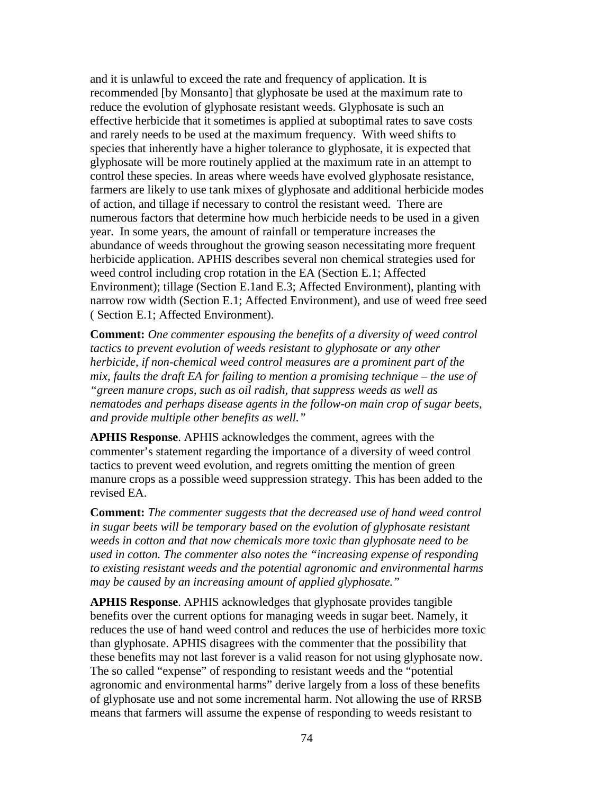and it is unlawful to exceed the rate and frequency of application. It is recommended [by Monsanto] that glyphosate be used at the maximum rate to reduce the evolution of glyphosate resistant weeds. Glyphosate is such an effective herbicide that it sometimes is applied at suboptimal rates to save costs and rarely needs to be used at the maximum frequency. With weed shifts to species that inherently have a higher tolerance to glyphosate, it is expected that glyphosate will be more routinely applied at the maximum rate in an attempt to control these species. In areas where weeds have evolved glyphosate resistance, farmers are likely to use tank mixes of glyphosate and additional herbicide modes of action, and tillage if necessary to control the resistant weed. There are numerous factors that determine how much herbicide needs to be used in a given year. In some years, the amount of rainfall or temperature increases the abundance of weeds throughout the growing season necessitating more frequent herbicide application. APHIS describes several non chemical strategies used for weed control including crop rotation in the EA (Section E.1; Affected Environment); tillage (Section E.1and E.3; Affected Environment), planting with narrow row width (Section E.1; Affected Environment), and use of weed free seed ( Section E.1; Affected Environment).

**Comment:** *One commenter espousing the benefits of a diversity of weed control tactics to prevent evolution of weeds resistant to glyphosate or any other herbicide, if non-chemical weed control measures are a prominent part of the mix, faults the draft EA for failing to mention a promising technique – the use of "green manure crops, such as oil radish, that suppress weeds as well as nematodes and perhaps disease agents in the follow-on main crop of sugar beets, and provide multiple other benefits as well."*

**APHIS Response**. APHIS acknowledges the comment, agrees with the commenter's statement regarding the importance of a diversity of weed control tactics to prevent weed evolution, and regrets omitting the mention of green manure crops as a possible weed suppression strategy. This has been added to the revised EA.

**Comment:** *The commenter suggests that the decreased use of hand weed control in sugar beets will be temporary based on the evolution of glyphosate resistant weeds in cotton and that now chemicals more toxic than glyphosate need to be used in cotton. The commenter also notes the "increasing expense of responding to existing resistant weeds and the potential agronomic and environmental harms may be caused by an increasing amount of applied glyphosate."*

**APHIS Response**. APHIS acknowledges that glyphosate provides tangible benefits over the current options for managing weeds in sugar beet. Namely, it reduces the use of hand weed control and reduces the use of herbicides more toxic than glyphosate. APHIS disagrees with the commenter that the possibility that these benefits may not last forever is a valid reason for not using glyphosate now. The so called "expense" of responding to resistant weeds and the "potential agronomic and environmental harms" derive largely from a loss of these benefits of glyphosate use and not some incremental harm. Not allowing the use of RRSB means that farmers will assume the expense of responding to weeds resistant to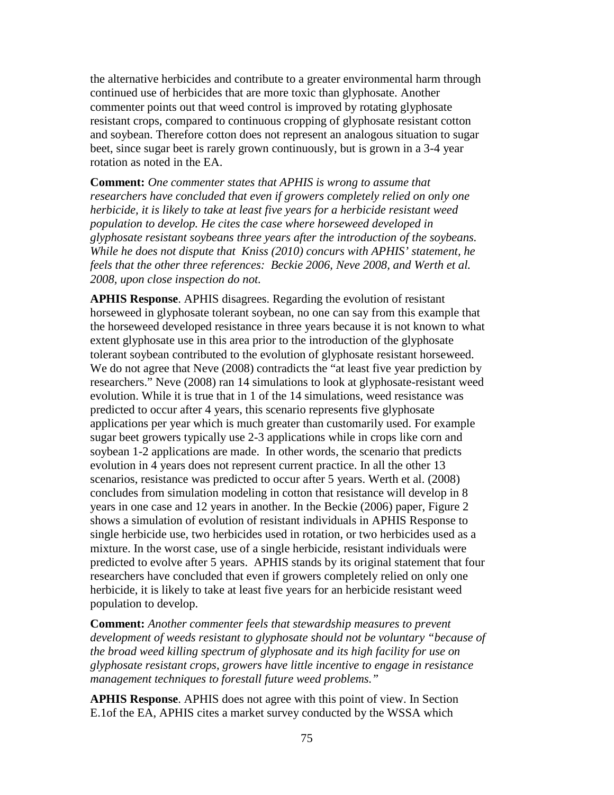the alternative herbicides and contribute to a greater environmental harm through continued use of herbicides that are more toxic than glyphosate. Another commenter points out that weed control is improved by rotating glyphosate resistant crops, compared to continuous cropping of glyphosate resistant cotton and soybean. Therefore cotton does not represent an analogous situation to sugar beet, since sugar beet is rarely grown continuously, but is grown in a 3-4 year rotation as noted in the EA.

**Comment:** *One commenter states that APHIS is wrong to assume that researchers have concluded that even if growers completely relied on only one herbicide, it is likely to take at least five years for a herbicide resistant weed population to develop. He cites the case where horseweed developed in glyphosate resistant soybeans three years after the introduction of the soybeans. While he does not dispute that Kniss (2010) concurs with APHIS' statement, he feels that the other three references: Beckie 2006, Neve 2008, and Werth et al. 2008, upon close inspection do not.*

**APHIS Response**. APHIS disagrees. Regarding the evolution of resistant horseweed in glyphosate tolerant soybean, no one can say from this example that the horseweed developed resistance in three years because it is not known to what extent glyphosate use in this area prior to the introduction of the glyphosate tolerant soybean contributed to the evolution of glyphosate resistant horseweed. We do not agree that Neve (2008) contradicts the "at least five year prediction by researchers." Neve (2008) ran 14 simulations to look at glyphosate-resistant weed evolution. While it is true that in 1 of the 14 simulations, weed resistance was predicted to occur after 4 years, this scenario represents five glyphosate applications per year which is much greater than customarily used. For example sugar beet growers typically use 2-3 applications while in crops like corn and soybean 1-2 applications are made. In other words, the scenario that predicts evolution in 4 years does not represent current practice. In all the other 13 scenarios, resistance was predicted to occur after 5 years. Werth et al. (2008) concludes from simulation modeling in cotton that resistance will develop in 8 years in one case and 12 years in another. In the Beckie (2006) paper, Figure 2 shows a simulation of evolution of resistant individuals in APHIS Response to single herbicide use, two herbicides used in rotation, or two herbicides used as a mixture. In the worst case, use of a single herbicide, resistant individuals were predicted to evolve after 5 years. APHIS stands by its original statement that four researchers have concluded that even if growers completely relied on only one herbicide, it is likely to take at least five years for an herbicide resistant weed population to develop.

**Comment:** *Another commenter feels that stewardship measures to prevent development of weeds resistant to glyphosate should not be voluntary "because of the broad weed killing spectrum of glyphosate and its high facility for use on glyphosate resistant crops, growers have little incentive to engage in resistance management techniques to forestall future weed problems."* 

**APHIS Response**. APHIS does not agree with this point of view. In Section E.1of the EA, APHIS cites a market survey conducted by the WSSA which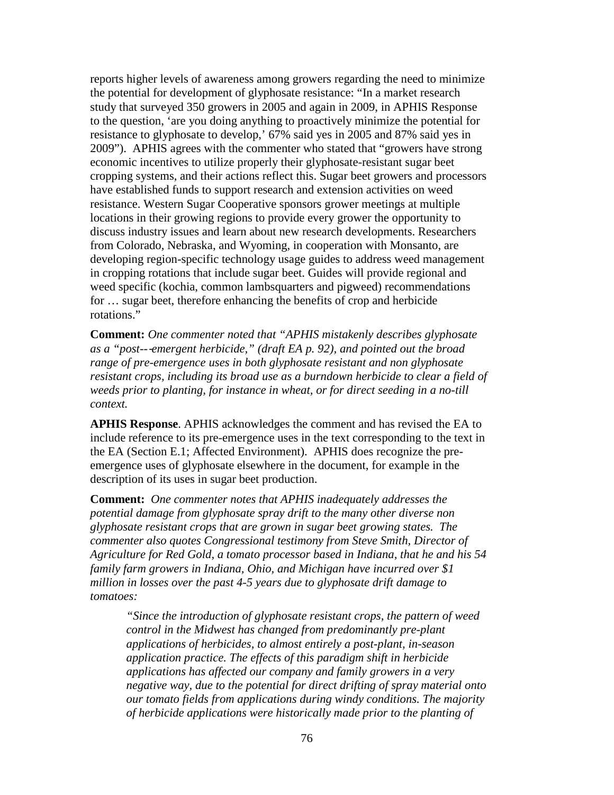reports higher levels of awareness among growers regarding the need to minimize the potential for development of glyphosate resistance: "In a market research study that surveyed 350 growers in 2005 and again in 2009, in APHIS Response to the question, 'are you doing anything to proactively minimize the potential for resistance to glyphosate to develop,' 67% said yes in 2005 and 87% said yes in 2009"). APHIS agrees with the commenter who stated that "growers have strong economic incentives to utilize properly their glyphosate-resistant sugar beet cropping systems, and their actions reflect this. Sugar beet growers and processors have established funds to support research and extension activities on weed resistance. Western Sugar Cooperative sponsors grower meetings at multiple locations in their growing regions to provide every grower the opportunity to discuss industry issues and learn about new research developments. Researchers from Colorado, Nebraska, and Wyoming, in cooperation with Monsanto, are developing region-specific technology usage guides to address weed management in cropping rotations that include sugar beet. Guides will provide regional and weed specific (kochia, common lambsquarters and pigweed) recommendations for … sugar beet, therefore enhancing the benefits of crop and herbicide rotations."

**Comment:** *One commenter noted that "APHIS mistakenly describes glyphosate as a "post--*‐*emergent herbicide," (draft EA p. 92), and pointed out the broad range of pre-emergence uses in both glyphosate resistant and non glyphosate resistant crops, including its broad use as a burndown herbicide to clear a field of weeds prior to planting, for instance in wheat, or for direct seeding in a no-till context.*

**APHIS Response**. APHIS acknowledges the comment and has revised the EA to include reference to its pre-emergence uses in the text corresponding to the text in the EA (Section E.1; Affected Environment). APHIS does recognize the preemergence uses of glyphosate elsewhere in the document, for example in the description of its uses in sugar beet production.

**Comment:** *One commenter notes that APHIS inadequately addresses the potential damage from glyphosate spray drift to the many other diverse non glyphosate resistant crops that are grown in sugar beet growing states. The commenter also quotes Congressional testimony from Steve Smith, Director of Agriculture for Red Gold, a tomato processor based in Indiana, that he and his 54 family farm growers in Indiana, Ohio, and Michigan have incurred over \$1 million in losses over the past 4-5 years due to glyphosate drift damage to tomatoes:* 

*"Since the introduction of glyphosate resistant crops, the pattern of weed control in the Midwest has changed from predominantly pre-plant applications of herbicides, to almost entirely a post-plant, in-season application practice. The effects of this paradigm shift in herbicide applications has affected our company and family growers in a very negative way, due to the potential for direct drifting of spray material onto our tomato fields from applications during windy conditions. The majority of herbicide applications were historically made prior to the planting of*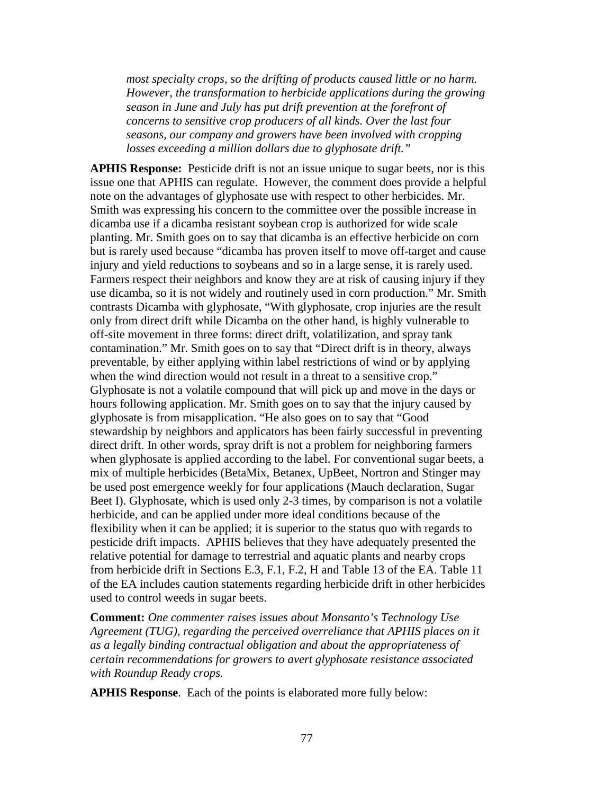*most specialty crops, so the drifting of products caused little or no harm. However, the transformation to herbicide applications during the growing season in June and July has put drift prevention at the forefront of concerns to sensitive crop producers of all kinds. Over the last four seasons, our company and growers have been involved with cropping losses exceeding a million dollars due to glyphosate drift."*

**APHIS Response:** Pesticide drift is not an issue unique to sugar beets, nor is this issue one that APHIS can regulate. However, the comment does provide a helpful note on the advantages of glyphosate use with respect to other herbicides. Mr. Smith was expressing his concern to the committee over the possible increase in dicamba use if a dicamba resistant soybean crop is authorized for wide scale planting. Mr. Smith goes on to say that dicamba is an effective herbicide on corn but is rarely used because "dicamba has proven itself to move off-target and cause injury and yield reductions to soybeans and so in a large sense, it is rarely used. Farmers respect their neighbors and know they are at risk of causing injury if they use dicamba, so it is not widely and routinely used in corn production." Mr. Smith contrasts Dicamba with glyphosate, "With glyphosate, crop injuries are the result only from direct drift while Dicamba on the other hand, is highly vulnerable to off-site movement in three forms: direct drift, volatilization, and spray tank contamination." Mr. Smith goes on to say that "Direct drift is in theory, always preventable, by either applying within label restrictions of wind or by applying when the wind direction would not result in a threat to a sensitive crop." Glyphosate is not a volatile compound that will pick up and move in the days or hours following application. Mr. Smith goes on to say that the injury caused by glyphosate is from misapplication. "He also goes on to say that "Good stewardship by neighbors and applicators has been fairly successful in preventing direct drift. In other words, spray drift is not a problem for neighboring farmers when glyphosate is applied according to the label. For conventional sugar beets, a mix of multiple herbicides (BetaMix, Betanex, UpBeet, Nortron and Stinger may be used post emergence weekly for four applications (Mauch declaration, Sugar Beet I). Glyphosate, which is used only 2-3 times, by comparison is not a volatile herbicide, and can be applied under more ideal conditions because of the flexibility when it can be applied; it is superior to the status quo with regards to pesticide drift impacts. APHIS believes that they have adequately presented the relative potential for damage to terrestrial and aquatic plants and nearby crops from herbicide drift in Sections E.3, F.1, F.2, H and Table 13 of the EA. Table 11 of the EA includes caution statements regarding herbicide drift in other herbicides used to control weeds in sugar beets.

**Comment:** *One commenter raises issues about Monsanto's Technology Use Agreement (TUG), regarding the perceived overreliance that APHIS places on it as a legally binding contractual obligation and about the appropriateness of certain recommendations for growers to avert glyphosate resistance associated with Roundup Ready crops.*

**APHIS Response**. Each of the points is elaborated more fully below: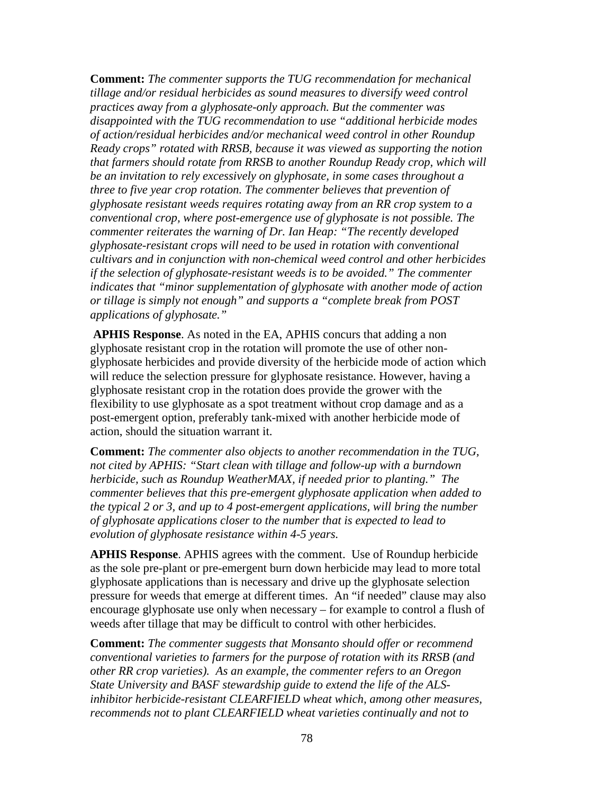**Comment:** *The commenter supports the TUG recommendation for mechanical tillage and/or residual herbicides as sound measures to diversify weed control practices away from a glyphosate-only approach. But the commenter was disappointed with the TUG recommendation to use "additional herbicide modes of action/residual herbicides and/or mechanical weed control in other Roundup Ready crops" rotated with RRSB, because it was viewed as supporting the notion that farmers should rotate from RRSB to another Roundup Ready crop, which will be an invitation to rely excessively on glyphosate, in some cases throughout a three to five year crop rotation. The commenter believes that prevention of glyphosate resistant weeds requires rotating away from an RR crop system to a conventional crop, where post-emergence use of glyphosate is not possible. The commenter reiterates the warning of Dr. Ian Heap: "The recently developed glyphosate-resistant crops will need to be used in rotation with conventional cultivars and in conjunction with non-chemical weed control and other herbicides if the selection of glyphosate-resistant weeds is to be avoided." The commenter indicates that "minor supplementation of glyphosate with another mode of action or tillage is simply not enough" and supports a "complete break from POST applications of glyphosate."*

**APHIS Response**. As noted in the EA, APHIS concurs that adding a non glyphosate resistant crop in the rotation will promote the use of other nonglyphosate herbicides and provide diversity of the herbicide mode of action which will reduce the selection pressure for glyphosate resistance. However, having a glyphosate resistant crop in the rotation does provide the grower with the flexibility to use glyphosate as a spot treatment without crop damage and as a post-emergent option, preferably tank-mixed with another herbicide mode of action, should the situation warrant it.

**Comment:** *The commenter also objects to another recommendation in the TUG, not cited by APHIS: "Start clean with tillage and follow-up with a burndown herbicide, such as Roundup WeatherMAX, if needed prior to planting." The commenter believes that this pre-emergent glyphosate application when added to the typical 2 or 3, and up to 4 post-emergent applications, will bring the number of glyphosate applications closer to the number that is expected to lead to evolution of glyphosate resistance within 4-5 years.* 

**APHIS Response**. APHIS agrees with the comment. Use of Roundup herbicide as the sole pre-plant or pre-emergent burn down herbicide may lead to more total glyphosate applications than is necessary and drive up the glyphosate selection pressure for weeds that emerge at different times. An "if needed" clause may also encourage glyphosate use only when necessary – for example to control a flush of weeds after tillage that may be difficult to control with other herbicides.

**Comment:** *The commenter suggests that Monsanto should offer or recommend conventional varieties to farmers for the purpose of rotation with its RRSB (and other RR crop varieties). As an example, the commenter refers to an Oregon State University and BASF stewardship guide to extend the life of the ALSinhibitor herbicide-resistant CLEARFIELD wheat which, among other measures, recommends not to plant CLEARFIELD wheat varieties continually and not to*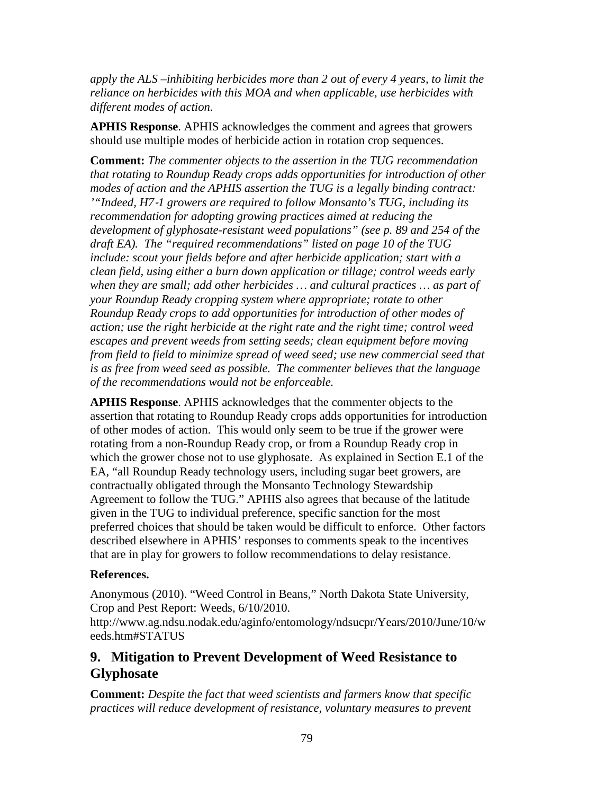*apply the ALS –inhibiting herbicides more than 2 out of every 4 years, to limit the reliance on herbicides with this MOA and when applicable, use herbicides with different modes of action.*

**APHIS Response**. APHIS acknowledges the comment and agrees that growers should use multiple modes of herbicide action in rotation crop sequences.

**Comment:** *The commenter objects to the assertion in the TUG recommendation that rotating to Roundup Ready crops adds opportunities for introduction of other modes of action and the APHIS assertion the TUG is a legally binding contract: '"Indeed, H7*‐*1 growers are required to follow Monsanto's TUG, including its recommendation for adopting growing practices aimed at reducing the development of glyphosate-resistant weed populations" (see p. 89 and 254 of the draft EA). The "required recommendations" listed on page 10 of the TUG include: scout your fields before and after herbicide application; start with a clean field, using either a burn down application or tillage; control weeds early*  when they are small; add other herbicides ... and cultural practices ... as part of *your Roundup Ready cropping system where appropriate; rotate to other Roundup Ready crops to add opportunities for introduction of other modes of action; use the right herbicide at the right rate and the right time; control weed escapes and prevent weeds from setting seeds; clean equipment before moving from field to field to minimize spread of weed seed; use new commercial seed that is as free from weed seed as possible. The commenter believes that the language of the recommendations would not be enforceable.*

**APHIS Response**. APHIS acknowledges that the commenter objects to the assertion that rotating to Roundup Ready crops adds opportunities for introduction of other modes of action. This would only seem to be true if the grower were rotating from a non-Roundup Ready crop, or from a Roundup Ready crop in which the grower chose not to use glyphosate. As explained in Section E.1 of the EA, "all Roundup Ready technology users, including sugar beet growers, are contractually obligated through the Monsanto Technology Stewardship Agreement to follow the TUG." APHIS also agrees that because of the latitude given in the TUG to individual preference, specific sanction for the most preferred choices that should be taken would be difficult to enforce. Other factors described elsewhere in APHIS' responses to comments speak to the incentives that are in play for growers to follow recommendations to delay resistance.

## **References.**

Anonymous (2010). "Weed Control in Beans," North Dakota State University, Crop and Pest Report: Weeds, 6/10/2010.

http://www.ag.ndsu.nodak.edu/aginfo/entomology/ndsucpr/Years/2010/June/10/w eeds.htm#STATUS

# **9. Mitigation to Prevent Development of Weed Resistance to Glyphosate**

**Comment:** *Despite the fact that weed scientists and farmers know that specific practices will reduce development of resistance, voluntary measures to prevent*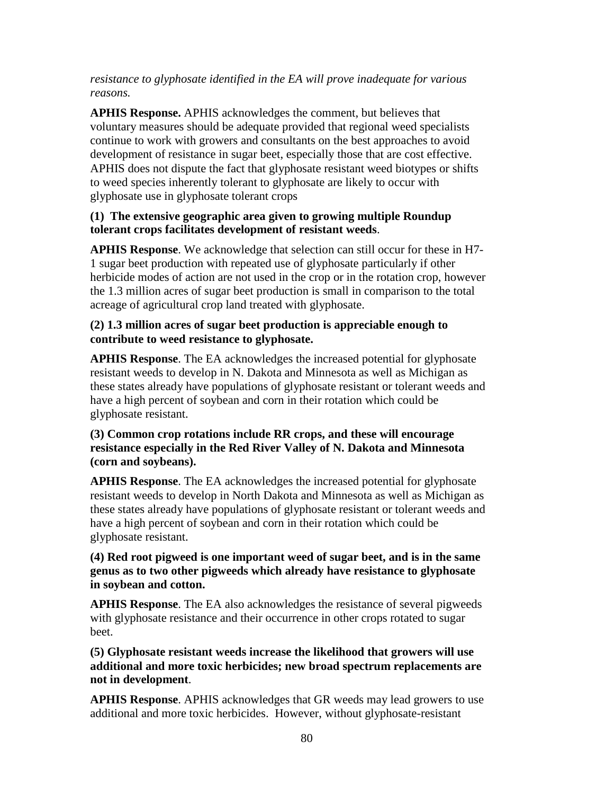## *resistance to glyphosate identified in the EA will prove inadequate for various reasons.*

**APHIS Response.** APHIS acknowledges the comment, but believes that voluntary measures should be adequate provided that regional weed specialists continue to work with growers and consultants on the best approaches to avoid development of resistance in sugar beet, especially those that are cost effective. APHIS does not dispute the fact that glyphosate resistant weed biotypes or shifts to weed species inherently tolerant to glyphosate are likely to occur with glyphosate use in glyphosate tolerant crops

### **(1) The extensive geographic area given to growing multiple Roundup tolerant crops facilitates development of resistant weeds**.

**APHIS Response**. We acknowledge that selection can still occur for these in H7- 1 sugar beet production with repeated use of glyphosate particularly if other herbicide modes of action are not used in the crop or in the rotation crop, however the 1.3 million acres of sugar beet production is small in comparison to the total acreage of agricultural crop land treated with glyphosate.

## **(2) 1.3 million acres of sugar beet production is appreciable enough to contribute to weed resistance to glyphosate.**

**APHIS Response**. The EA acknowledges the increased potential for glyphosate resistant weeds to develop in N. Dakota and Minnesota as well as Michigan as these states already have populations of glyphosate resistant or tolerant weeds and have a high percent of soybean and corn in their rotation which could be glyphosate resistant.

### **(3) Common crop rotations include RR crops, and these will encourage resistance especially in the Red River Valley of N. Dakota and Minnesota (corn and soybeans).**

**APHIS Response**. The EA acknowledges the increased potential for glyphosate resistant weeds to develop in North Dakota and Minnesota as well as Michigan as these states already have populations of glyphosate resistant or tolerant weeds and have a high percent of soybean and corn in their rotation which could be glyphosate resistant.

## **(4) Red root pigweed is one important weed of sugar beet, and is in the same genus as to two other pigweeds which already have resistance to glyphosate in soybean and cotton.**

**APHIS Response**. The EA also acknowledges the resistance of several pigweeds with glyphosate resistance and their occurrence in other crops rotated to sugar beet.

**(5) Glyphosate resistant weeds increase the likelihood that growers will use additional and more toxic herbicides; new broad spectrum replacements are not in development**.

**APHIS Response**. APHIS acknowledges that GR weeds may lead growers to use additional and more toxic herbicides. However, without glyphosate-resistant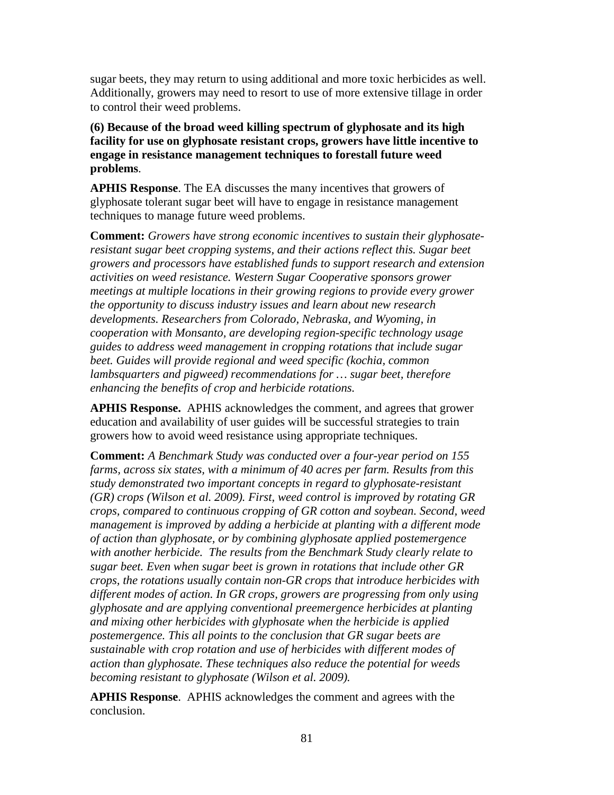sugar beets, they may return to using additional and more toxic herbicides as well. Additionally, growers may need to resort to use of more extensive tillage in order to control their weed problems.

**(6) Because of the broad weed killing spectrum of glyphosate and its high facility for use on glyphosate resistant crops, growers have little incentive to engage in resistance management techniques to forestall future weed problems**.

**APHIS Response**. The EA discusses the many incentives that growers of glyphosate tolerant sugar beet will have to engage in resistance management techniques to manage future weed problems.

**Comment:** *Growers have strong economic incentives to sustain their glyphosateresistant sugar beet cropping systems, and their actions reflect this. Sugar beet growers and processors have established funds to support research and extension activities on weed resistance. Western Sugar Cooperative sponsors grower meetings at multiple locations in their growing regions to provide every grower the opportunity to discuss industry issues and learn about new research developments. Researchers from Colorado, Nebraska, and Wyoming, in cooperation with Monsanto, are developing region-specific technology usage guides to address weed management in cropping rotations that include sugar beet. Guides will provide regional and weed specific (kochia, common lambsquarters and pigweed) recommendations for … sugar beet, therefore enhancing the benefits of crop and herbicide rotations.*

**APHIS Response.** APHIS acknowledges the comment, and agrees that grower education and availability of user guides will be successful strategies to train growers how to avoid weed resistance using appropriate techniques.

**Comment:** *A Benchmark Study was conducted over a four-year period on 155 farms, across six states, with a minimum of 40 acres per farm. Results from this study demonstrated two important concepts in regard to glyphosate-resistant (GR) crops (Wilson et al. 2009). First, weed control is improved by rotating GR crops, compared to continuous cropping of GR cotton and soybean. Second, weed management is improved by adding a herbicide at planting with a different mode of action than glyphosate, or by combining glyphosate applied postemergence with another herbicide. The results from the Benchmark Study clearly relate to sugar beet. Even when sugar beet is grown in rotations that include other GR crops, the rotations usually contain non-GR crops that introduce herbicides with different modes of action. In GR crops, growers are progressing from only using glyphosate and are applying conventional preemergence herbicides at planting and mixing other herbicides with glyphosate when the herbicide is applied postemergence. This all points to the conclusion that GR sugar beets are sustainable with crop rotation and use of herbicides with different modes of action than glyphosate. These techniques also reduce the potential for weeds becoming resistant to glyphosate (Wilson et al. 2009).*

**APHIS Response**. APHIS acknowledges the comment and agrees with the conclusion.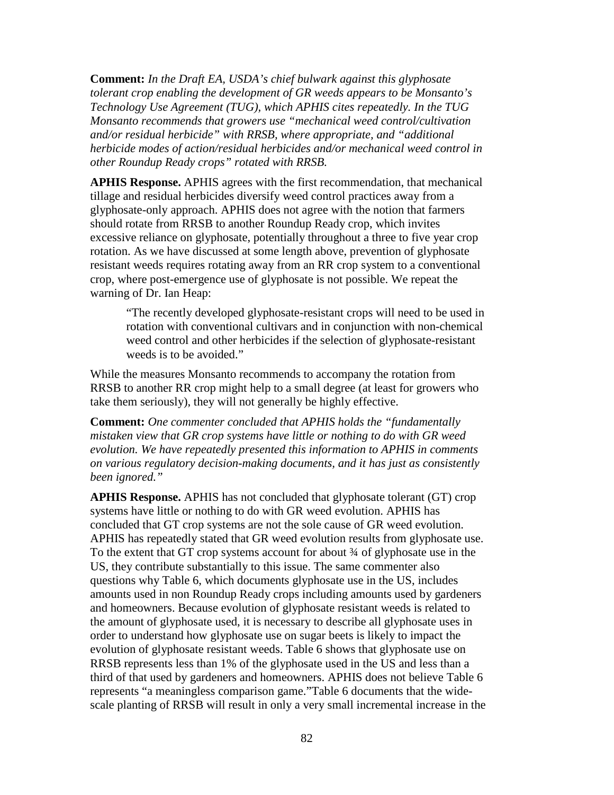**Comment:** *In the Draft EA, USDA's chief bulwark against this glyphosate tolerant crop enabling the development of GR weeds appears to be Monsanto's Technology Use Agreement (TUG), which APHIS cites repeatedly. In the TUG Monsanto recommends that growers use "mechanical weed control/cultivation and/or residual herbicide" with RRSB, where appropriate, and "additional herbicide modes of action/residual herbicides and/or mechanical weed control in other Roundup Ready crops" rotated with RRSB.*

**APHIS Response.** APHIS agrees with the first recommendation, that mechanical tillage and residual herbicides diversify weed control practices away from a glyphosate-only approach. APHIS does not agree with the notion that farmers should rotate from RRSB to another Roundup Ready crop, which invites excessive reliance on glyphosate, potentially throughout a three to five year crop rotation. As we have discussed at some length above, prevention of glyphosate resistant weeds requires rotating away from an RR crop system to a conventional crop, where post-emergence use of glyphosate is not possible. We repeat the warning of Dr. Ian Heap:

"The recently developed glyphosate-resistant crops will need to be used in rotation with conventional cultivars and in conjunction with non-chemical weed control and other herbicides if the selection of glyphosate-resistant weeds is to be avoided."

While the measures Monsanto recommends to accompany the rotation from RRSB to another RR crop might help to a small degree (at least for growers who take them seriously), they will not generally be highly effective.

**Comment:** *One commenter concluded that APHIS holds the "fundamentally mistaken view that GR crop systems have little or nothing to do with GR weed evolution. We have repeatedly presented this information to APHIS in comments on various regulatory decision-making documents, and it has just as consistently been ignored."*

**APHIS Response.** APHIS has not concluded that glyphosate tolerant (GT) crop systems have little or nothing to do with GR weed evolution. APHIS has concluded that GT crop systems are not the sole cause of GR weed evolution. APHIS has repeatedly stated that GR weed evolution results from glyphosate use. To the extent that GT crop systems account for about  $\frac{3}{4}$  of glyphosate use in the US, they contribute substantially to this issue. The same commenter also questions why Table 6, which documents glyphosate use in the US, includes amounts used in non Roundup Ready crops including amounts used by gardeners and homeowners. Because evolution of glyphosate resistant weeds is related to the amount of glyphosate used, it is necessary to describe all glyphosate uses in order to understand how glyphosate use on sugar beets is likely to impact the evolution of glyphosate resistant weeds. Table 6 shows that glyphosate use on RRSB represents less than 1% of the glyphosate used in the US and less than a third of that used by gardeners and homeowners. APHIS does not believe Table 6 represents "a meaningless comparison game."Table 6 documents that the widescale planting of RRSB will result in only a very small incremental increase in the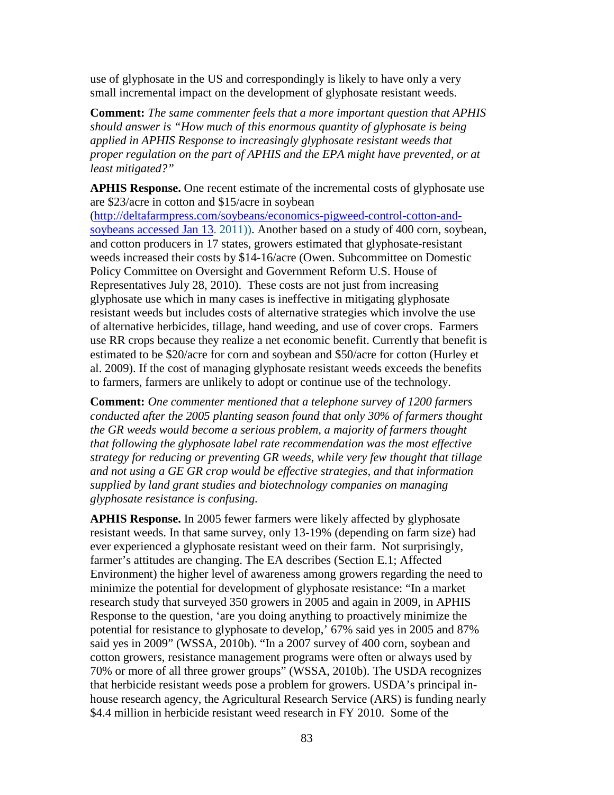use of glyphosate in the US and correspondingly is likely to have only a very small incremental impact on the development of glyphosate resistant weeds.

**Comment:** *The same commenter feels that a more important question that APHIS should answer is "How much of this enormous quantity of glyphosate is being applied in APHIS Response to increasingly glyphosate resistant weeds that proper regulation on the part of APHIS and the EPA might have prevented, or at least mitigated?"*

**APHIS Response.** One recent estimate of the incremental costs of glyphosate use are \$23/acre in cotton and \$15/acre in soybean

[\(http://deltafarmpress.com/soybeans/economics-pigweed-control-cotton-and](http://deltafarmpress.com/soybeans/economics-pigweed-control-cotton-and-soybeans%20accessed%20Jan%2013)[soybeans accessed Jan 13.](http://deltafarmpress.com/soybeans/economics-pigweed-control-cotton-and-soybeans%20accessed%20Jan%2013) 2011)). Another based on a study of 400 corn, soybean, and cotton producers in 17 states, growers estimated that glyphosate-resistant weeds increased their costs by \$14-16/acre (Owen. Subcommittee on Domestic Policy Committee on Oversight and Government Reform U.S. House of Representatives July 28, 2010). These costs are not just from increasing glyphosate use which in many cases is ineffective in mitigating glyphosate resistant weeds but includes costs of alternative strategies which involve the use of alternative herbicides, tillage, hand weeding, and use of cover crops. Farmers use RR crops because they realize a net economic benefit. Currently that benefit is estimated to be \$20/acre for corn and soybean and \$50/acre for cotton (Hurley et al. 2009). If the cost of managing glyphosate resistant weeds exceeds the benefits to farmers, farmers are unlikely to adopt or continue use of the technology.

**Comment:** *One commenter mentioned that a telephone survey of 1200 farmers conducted after the 2005 planting season found that only 30% of farmers thought the GR weeds would become a serious problem, a majority of farmers thought that following the glyphosate label rate recommendation was the most effective strategy for reducing or preventing GR weeds, while very few thought that tillage and not using a GE GR crop would be effective strategies, and that information supplied by land grant studies and biotechnology companies on managing glyphosate resistance is confusing.* 

**APHIS Response.** In 2005 fewer farmers were likely affected by glyphosate resistant weeds. In that same survey, only 13-19% (depending on farm size) had ever experienced a glyphosate resistant weed on their farm. Not surprisingly, farmer's attitudes are changing. The EA describes (Section E.1; Affected Environment) the higher level of awareness among growers regarding the need to minimize the potential for development of glyphosate resistance: "In a market research study that surveyed 350 growers in 2005 and again in 2009, in APHIS Response to the question, 'are you doing anything to proactively minimize the potential for resistance to glyphosate to develop,' 67% said yes in 2005 and 87% said yes in 2009" (WSSA, 2010b). "In a 2007 survey of 400 corn, soybean and cotton growers, resistance management programs were often or always used by 70% or more of all three grower groups" (WSSA, 2010b). The USDA recognizes that herbicide resistant weeds pose a problem for growers. USDA's principal inhouse research agency, the Agricultural Research Service (ARS) is funding nearly \$4.4 million in herbicide resistant weed research in FY 2010. Some of the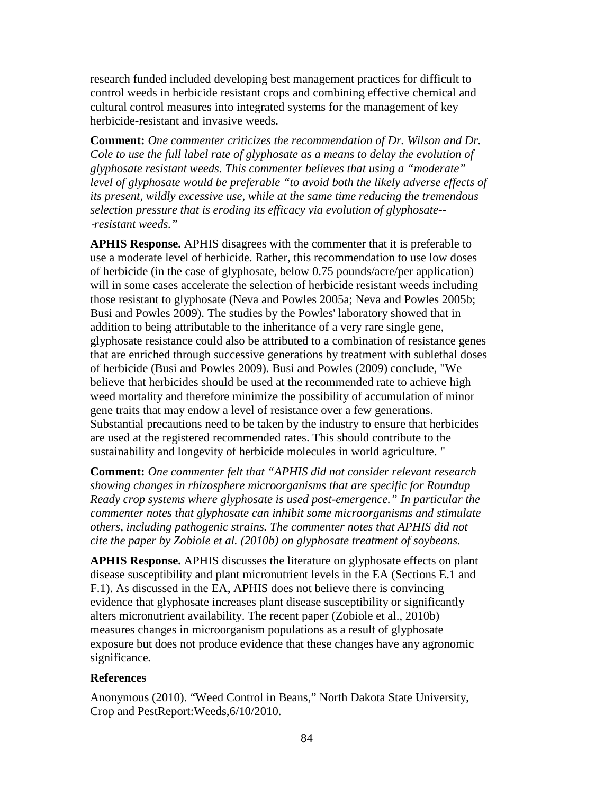research funded included developing best management practices for difficult to control weeds in herbicide resistant crops and combining effective chemical and cultural control measures into integrated systems for the management of key herbicide-resistant and invasive weeds.

**Comment:** *One commenter criticizes the recommendation of Dr. Wilson and Dr. Cole to use the full label rate of glyphosate as a means to delay the evolution of glyphosate resistant weeds. This commenter believes that using a "moderate"*  level of glyphosate would be preferable "to avoid both the likely adverse effects of *its present, wildly excessive use, while at the same time reducing the tremendous selection pressure that is eroding its efficacy via evolution of glyphosate--* ‐*resistant weeds."*

**APHIS Response.** APHIS disagrees with the commenter that it is preferable to use a moderate level of herbicide. Rather, this recommendation to use low doses of herbicide (in the case of glyphosate, below 0.75 pounds/acre/per application) will in some cases accelerate the selection of herbicide resistant weeds including those resistant to glyphosate (Neva and Powles 2005a; Neva and Powles 2005b; Busi and Powles 2009). The studies by the Powles' laboratory showed that in addition to being attributable to the inheritance of a very rare single gene, glyphosate resistance could also be attributed to a combination of resistance genes that are enriched through successive generations by treatment with sublethal doses of herbicide (Busi and Powles 2009). Busi and Powles (2009) conclude, "We believe that herbicides should be used at the recommended rate to achieve high weed mortality and therefore minimize the possibility of accumulation of minor gene traits that may endow a level of resistance over a few generations. Substantial precautions need to be taken by the industry to ensure that herbicides are used at the registered recommended rates. This should contribute to the sustainability and longevity of herbicide molecules in world agriculture. "

**Comment:** *One commenter felt that "APHIS did not consider relevant research showing changes in rhizosphere microorganisms that are specific for Roundup Ready crop systems where glyphosate is used post-emergence." In particular the commenter notes that glyphosate can inhibit some microorganisms and stimulate others, including pathogenic strains. The commenter notes that APHIS did not cite the paper by Zobiole et al. (2010b) on glyphosate treatment of soybeans.*

**APHIS Response.** APHIS discusses the literature on glyphosate effects on plant disease susceptibility and plant micronutrient levels in the EA (Sections E.1 and F.1). As discussed in the EA, APHIS does not believe there is convincing evidence that glyphosate increases plant disease susceptibility or significantly alters micronutrient availability. The recent paper (Zobiole et al., 2010b) measures changes in microorganism populations as a result of glyphosate exposure but does not produce evidence that these changes have any agronomic significance*.* 

#### **References**

Anonymous (2010). "Weed Control in Beans," North Dakota State University, Crop and PestReport:Weeds,6/10/2010.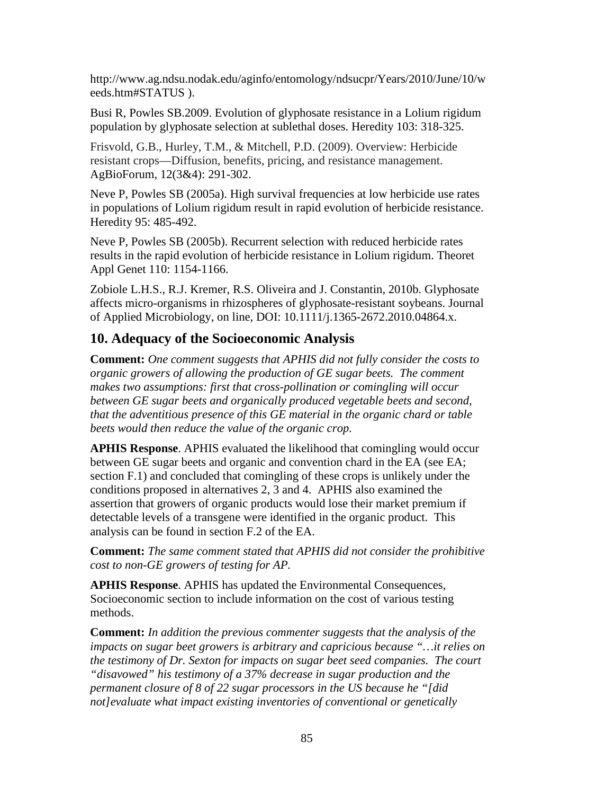http://www.ag.ndsu.nodak.edu/aginfo/entomology/ndsucpr/Years/2010/June/10/w eeds.htm#STATUS ).

Busi R, Powles SB.2009. Evolution of glyphosate resistance in a Lolium rigidum population by glyphosate selection at sublethal doses. Heredity 103: 318-325.

Frisvold, G.B., Hurley, T.M., & Mitchell, P.D. (2009). Overview: Herbicide resistant crops—Diffusion, benefits, pricing, and resistance management. AgBioForum, 12(3&4): 291-302.

Neve P, Powles SB (2005a). High survival frequencies at low herbicide use rates in populations of Lolium rigidum result in rapid evolution of herbicide resistance. Heredity 95: 485-492.

Neve P, Powles SB (2005b). Recurrent selection with reduced herbicide rates results in the rapid evolution of herbicide resistance in Lolium rigidum. Theoret Appl Genet 110: 1154-1166.

Zobiole L.H.S., R.J. Kremer, R.S. Oliveira and J. Constantin, 2010b. Glyphosate affects micro-organisms in rhizospheres of glyphosate-resistant soybeans. Journal of Applied Microbiology, on line, DOI: 10.1111/j.1365-2672.2010.04864.x.

# **10. Adequacy of the Socioeconomic Analysis**

**Comment:** *One comment suggests that APHIS did not fully consider the costs to organic growers of allowing the production of GE sugar beets. The comment makes two assumptions: first that cross-pollination or comingling will occur between GE sugar beets and organically produced vegetable beets and second, that the adventitious presence of this GE material in the organic chard or table beets would then reduce the value of the organic crop.*

**APHIS Response**. APHIS evaluated the likelihood that comingling would occur between GE sugar beets and organic and convention chard in the EA (see EA; section F.1) and concluded that comingling of these crops is unlikely under the conditions proposed in alternatives 2, 3 and 4. APHIS also examined the assertion that growers of organic products would lose their market premium if detectable levels of a transgene were identified in the organic product. This analysis can be found in section F.2 of the EA.

**Comment:** *The same comment stated that APHIS did not consider the prohibitive cost to non-GE growers of testing for AP.* 

**APHIS Response**. APHIS has updated the Environmental Consequences, Socioeconomic section to include information on the cost of various testing methods.

**Comment:** *In addition the previous commenter suggests that the analysis of the impacts on sugar beet growers is arbitrary and capricious because "…it relies on the testimony of Dr. Sexton for impacts on sugar beet seed companies. The court "disavowed" his testimony of a 37% decrease in sugar production and the permanent closure of 8 of 22 sugar processors in the US because he "[did not]evaluate what impact existing inventories of conventional or genetically*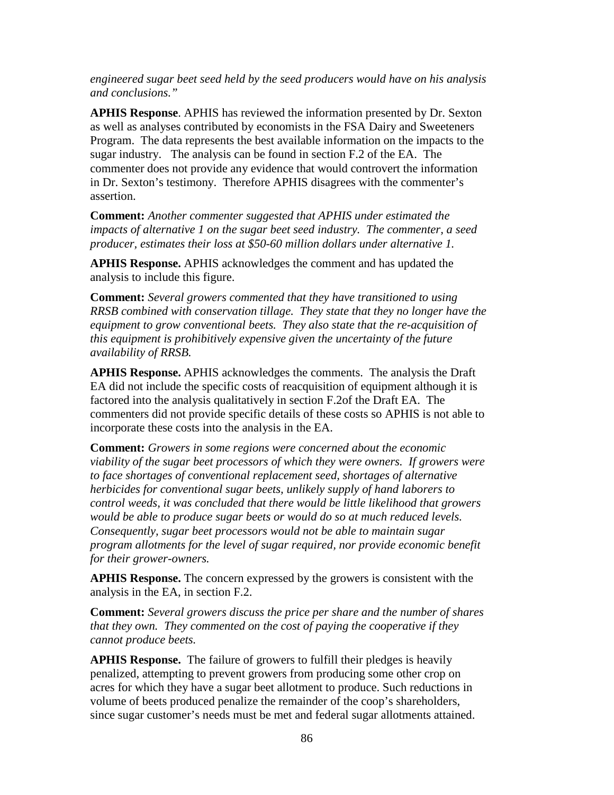*engineered sugar beet seed held by the seed producers would have on his analysis and conclusions."*

**APHIS Response**. APHIS has reviewed the information presented by Dr. Sexton as well as analyses contributed by economists in the FSA Dairy and Sweeteners Program. The data represents the best available information on the impacts to the sugar industry. The analysis can be found in section F.2 of the EA. The commenter does not provide any evidence that would controvert the information in Dr. Sexton's testimony. Therefore APHIS disagrees with the commenter's assertion.

**Comment:** *Another commenter suggested that APHIS under estimated the impacts of alternative 1 on the sugar beet seed industry. The commenter, a seed producer, estimates their loss at \$50-60 million dollars under alternative 1.*

**APHIS Response.** APHIS acknowledges the comment and has updated the analysis to include this figure.

**Comment:** *Several growers commented that they have transitioned to using RRSB combined with conservation tillage. They state that they no longer have the equipment to grow conventional beets. They also state that the re-acquisition of this equipment is prohibitively expensive given the uncertainty of the future availability of RRSB.*

**APHIS Response.** APHIS acknowledges the comments. The analysis the Draft EA did not include the specific costs of reacquisition of equipment although it is factored into the analysis qualitatively in section F.2of the Draft EA. The commenters did not provide specific details of these costs so APHIS is not able to incorporate these costs into the analysis in the EA.

**Comment:** *Growers in some regions were concerned about the economic viability of the sugar beet processors of which they were owners. If growers were to face shortages of conventional replacement seed, shortages of alternative herbicides for conventional sugar beets, unlikely supply of hand laborers to control weeds, it was concluded that there would be little likelihood that growers would be able to produce sugar beets or would do so at much reduced levels. Consequently, sugar beet processors would not be able to maintain sugar program allotments for the level of sugar required, nor provide economic benefit for their grower-owners.*

**APHIS Response.** The concern expressed by the growers is consistent with the analysis in the EA, in section F.2.

**Comment:** *Several growers discuss the price per share and the number of shares that they own. They commented on the cost of paying the cooperative if they cannot produce beets.*

**APHIS Response.** The failure of growers to fulfill their pledges is heavily penalized, attempting to prevent growers from producing some other crop on acres for which they have a sugar beet allotment to produce. Such reductions in volume of beets produced penalize the remainder of the coop's shareholders, since sugar customer's needs must be met and federal sugar allotments attained.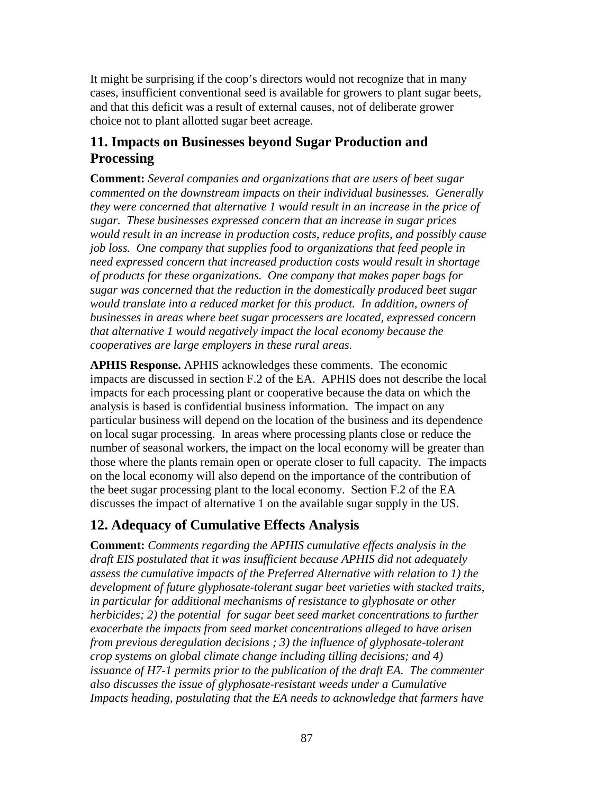It might be surprising if the coop's directors would not recognize that in many cases, insufficient conventional seed is available for growers to plant sugar beets, and that this deficit was a result of external causes, not of deliberate grower choice not to plant allotted sugar beet acreage.

## **11. Impacts on Businesses beyond Sugar Production and Processing**

**Comment:** *Several companies and organizations that are users of beet sugar commented on the downstream impacts on their individual businesses. Generally they were concerned that alternative 1 would result in an increase in the price of sugar. These businesses expressed concern that an increase in sugar prices would result in an increase in production costs, reduce profits, and possibly cause job loss. One company that supplies food to organizations that feed people in need expressed concern that increased production costs would result in shortage of products for these organizations. One company that makes paper bags for sugar was concerned that the reduction in the domestically produced beet sugar would translate into a reduced market for this product. In addition, owners of businesses in areas where beet sugar processers are located, expressed concern that alternative 1 would negatively impact the local economy because the cooperatives are large employers in these rural areas.*

**APHIS Response.** APHIS acknowledges these comments. The economic impacts are discussed in section F.2 of the EA. APHIS does not describe the local impacts for each processing plant or cooperative because the data on which the analysis is based is confidential business information. The impact on any particular business will depend on the location of the business and its dependence on local sugar processing. In areas where processing plants close or reduce the number of seasonal workers, the impact on the local economy will be greater than those where the plants remain open or operate closer to full capacity. The impacts on the local economy will also depend on the importance of the contribution of the beet sugar processing plant to the local economy. Section F.2 of the EA discusses the impact of alternative 1 on the available sugar supply in the US.

# **12. Adequacy of Cumulative Effects Analysis**

**Comment:** *Comments regarding the APHIS cumulative effects analysis in the draft EIS postulated that it was insufficient because APHIS did not adequately assess the cumulative impacts of the Preferred Alternative with relation to 1) the development of future glyphosate-tolerant sugar beet varieties with stacked traits, in particular for additional mechanisms of resistance to glyphosate or other herbicides; 2) the potential for sugar beet seed market concentrations to further exacerbate the impacts from seed market concentrations alleged to have arisen from previous deregulation decisions ; 3) the influence of glyphosate-tolerant crop systems on global climate change including tilling decisions; and 4) issuance of H7-1 permits prior to the publication of the draft EA. The commenter also discusses the issue of glyphosate-resistant weeds under a Cumulative Impacts heading, postulating that the EA needs to acknowledge that farmers have*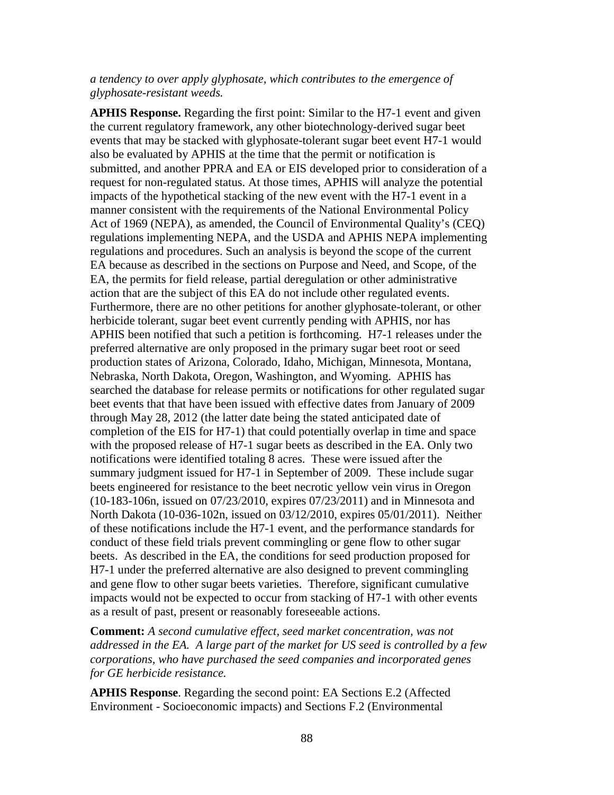#### *a tendency to over apply glyphosate, which contributes to the emergence of glyphosate-resistant weeds.*

**APHIS Response.** Regarding the first point: Similar to the H7-1 event and given the current regulatory framework, any other biotechnology-derived sugar beet events that may be stacked with glyphosate-tolerant sugar beet event H7-1 would also be evaluated by APHIS at the time that the permit or notification is submitted, and another PPRA and EA or EIS developed prior to consideration of a request for non-regulated status. At those times, APHIS will analyze the potential impacts of the hypothetical stacking of the new event with the H7-1 event in a manner consistent with the requirements of the National Environmental Policy Act of 1969 (NEPA), as amended, the Council of Environmental Quality's (CEQ) regulations implementing NEPA, and the USDA and APHIS NEPA implementing regulations and procedures. Such an analysis is beyond the scope of the current EA because as described in the sections on Purpose and Need, and Scope, of the EA, the permits for field release, partial deregulation or other administrative action that are the subject of this EA do not include other regulated events. Furthermore, there are no other petitions for another glyphosate-tolerant, or other herbicide tolerant, sugar beet event currently pending with APHIS, nor has APHIS been notified that such a petition is forthcoming. H7-1 releases under the preferred alternative are only proposed in the primary sugar beet root or seed production states of Arizona, Colorado, Idaho, Michigan, Minnesota, Montana, Nebraska, North Dakota, Oregon, Washington, and Wyoming. APHIS has searched the database for release permits or notifications for other regulated sugar beet events that that have been issued with effective dates from January of 2009 through May 28, 2012 (the latter date being the stated anticipated date of completion of the EIS for H7-1) that could potentially overlap in time and space with the proposed release of H7-1 sugar beets as described in the EA. Only two notifications were identified totaling 8 acres. These were issued after the summary judgment issued for H7-1 in September of 2009. These include sugar beets engineered for resistance to the beet necrotic yellow vein virus in Oregon (10-183-106n, issued on 07/23/2010, expires 07/23/2011) and in Minnesota and North Dakota (10-036-102n, issued on 03/12/2010, expires 05/01/2011). Neither of these notifications include the H7-1 event, and the performance standards for conduct of these field trials prevent commingling or gene flow to other sugar beets. As described in the EA, the conditions for seed production proposed for H7-1 under the preferred alternative are also designed to prevent commingling and gene flow to other sugar beets varieties. Therefore, significant cumulative impacts would not be expected to occur from stacking of H7-1 with other events as a result of past, present or reasonably foreseeable actions.

**Comment:** *A second cumulative effect, seed market concentration, was not addressed in the EA. A large part of the market for US seed is controlled by a few corporations, who have purchased the seed companies and incorporated genes for GE herbicide resistance.*

**APHIS Response**. Regarding the second point: EA Sections E.2 (Affected Environment - Socioeconomic impacts) and Sections F.2 (Environmental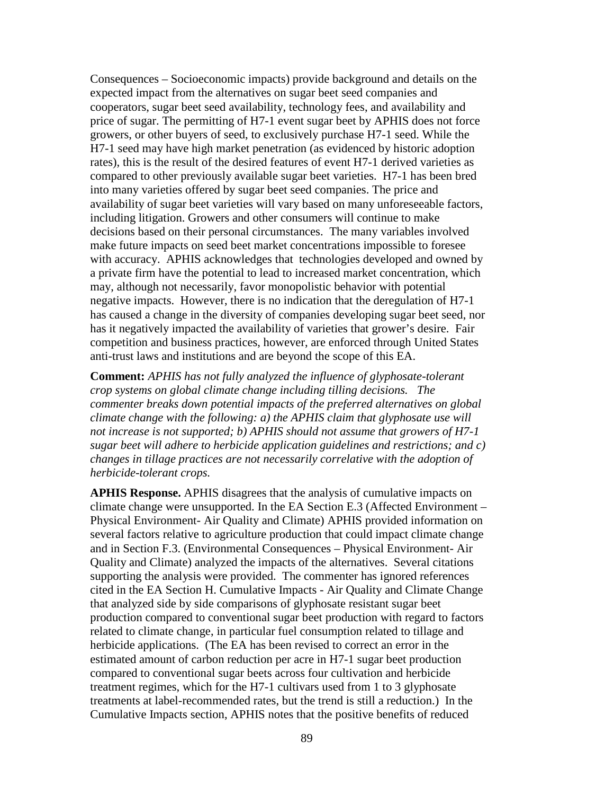Consequences – Socioeconomic impacts) provide background and details on the expected impact from the alternatives on sugar beet seed companies and cooperators, sugar beet seed availability, technology fees, and availability and price of sugar. The permitting of H7-1 event sugar beet by APHIS does not force growers, or other buyers of seed, to exclusively purchase H7-1 seed. While the H7-1 seed may have high market penetration (as evidenced by historic adoption rates), this is the result of the desired features of event H7-1 derived varieties as compared to other previously available sugar beet varieties. H7-1 has been bred into many varieties offered by sugar beet seed companies. The price and availability of sugar beet varieties will vary based on many unforeseeable factors, including litigation. Growers and other consumers will continue to make decisions based on their personal circumstances. The many variables involved make future impacts on seed beet market concentrations impossible to foresee with accuracy. APHIS acknowledges that technologies developed and owned by a private firm have the potential to lead to increased market concentration, which may, although not necessarily, favor monopolistic behavior with potential negative impacts. However, there is no indication that the deregulation of H7-1 has caused a change in the diversity of companies developing sugar beet seed, nor has it negatively impacted the availability of varieties that grower's desire. Fair competition and business practices, however, are enforced through United States anti-trust laws and institutions and are beyond the scope of this EA.

**Comment:** *APHIS has not fully analyzed the influence of glyphosate-tolerant crop systems on global climate change including tilling decisions. The commenter breaks down potential impacts of the preferred alternatives on global climate change with the following: a) the APHIS claim that glyphosate use will not increase is not supported; b) APHIS should not assume that growers of H7-1 sugar beet will adhere to herbicide application guidelines and restrictions; and c) changes in tillage practices are not necessarily correlative with the adoption of herbicide-tolerant crops.*

**APHIS Response.** APHIS disagrees that the analysis of cumulative impacts on climate change were unsupported. In the EA Section E.3 (Affected Environment – Physical Environment- Air Quality and Climate) APHIS provided information on several factors relative to agriculture production that could impact climate change and in Section F.3. (Environmental Consequences – Physical Environment- Air Quality and Climate) analyzed the impacts of the alternatives. Several citations supporting the analysis were provided. The commenter has ignored references cited in the EA Section H. Cumulative Impacts - Air Quality and Climate Change that analyzed side by side comparisons of glyphosate resistant sugar beet production compared to conventional sugar beet production with regard to factors related to climate change, in particular fuel consumption related to tillage and herbicide applications. (The EA has been revised to correct an error in the estimated amount of carbon reduction per acre in H7-1 sugar beet production compared to conventional sugar beets across four cultivation and herbicide treatment regimes, which for the H7-1 cultivars used from 1 to 3 glyphosate treatments at label-recommended rates, but the trend is still a reduction.) In the Cumulative Impacts section, APHIS notes that the positive benefits of reduced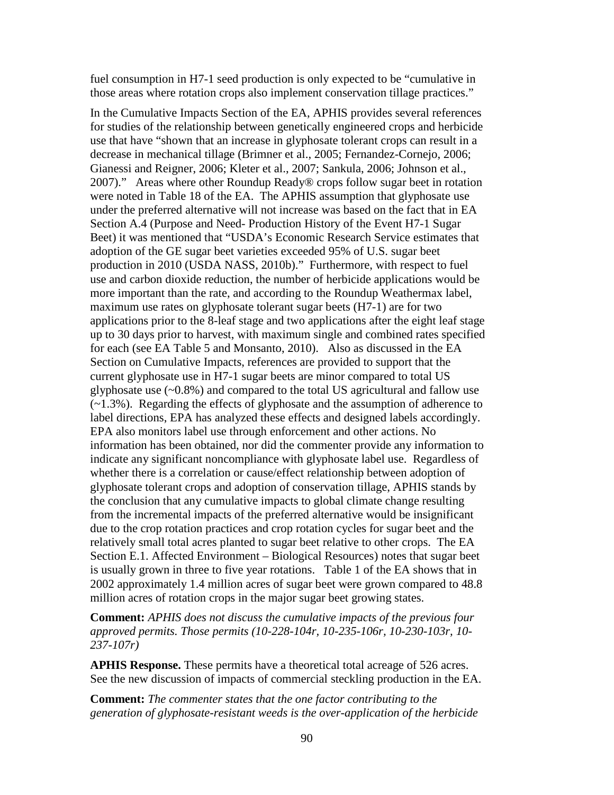fuel consumption in H7-1 seed production is only expected to be "cumulative in those areas where rotation crops also implement conservation tillage practices."

In the Cumulative Impacts Section of the EA, APHIS provides several references for studies of the relationship between genetically engineered crops and herbicide use that have "shown that an increase in glyphosate tolerant crops can result in a decrease in mechanical tillage (Brimner et al., 2005; Fernandez-Cornejo, 2006; Gianessi and Reigner, 2006; Kleter et al., 2007; Sankula, 2006; Johnson et al., 2007)." Areas where other Roundup Ready® crops follow sugar beet in rotation were noted in Table 18 of the EA. The APHIS assumption that glyphosate use under the preferred alternative will not increase was based on the fact that in EA Section A.4 (Purpose and Need- Production History of the Event H7-1 Sugar Beet) it was mentioned that "USDA's Economic Research Service estimates that adoption of the GE sugar beet varieties exceeded 95% of U.S. sugar beet production in 2010 (USDA NASS, 2010b)." Furthermore, with respect to fuel use and carbon dioxide reduction, the number of herbicide applications would be more important than the rate, and according to the Roundup Weathermax label, maximum use rates on glyphosate tolerant sugar beets (H7-1) are for two applications prior to the 8-leaf stage and two applications after the eight leaf stage up to 30 days prior to harvest, with maximum single and combined rates specified for each (see EA Table 5 and Monsanto, 2010). Also as discussed in the EA Section on Cumulative Impacts, references are provided to support that the current glyphosate use in H7-1 sugar beets are minor compared to total US glyphosate use  $(-0.8\%)$  and compared to the total US agricultural and fallow use (~1.3%). Regarding the effects of glyphosate and the assumption of adherence to label directions, EPA has analyzed these effects and designed labels accordingly. EPA also monitors label use through enforcement and other actions. No information has been obtained, nor did the commenter provide any information to indicate any significant noncompliance with glyphosate label use. Regardless of whether there is a correlation or cause/effect relationship between adoption of glyphosate tolerant crops and adoption of conservation tillage, APHIS stands by the conclusion that any cumulative impacts to global climate change resulting from the incremental impacts of the preferred alternative would be insignificant due to the crop rotation practices and crop rotation cycles for sugar beet and the relatively small total acres planted to sugar beet relative to other crops. The EA Section E.1. Affected Environment – Biological Resources) notes that sugar beet is usually grown in three to five year rotations. Table 1 of the EA shows that in 2002 approximately 1.4 million acres of sugar beet were grown compared to 48.8 million acres of rotation crops in the major sugar beet growing states.

**Comment:** *APHIS does not discuss the cumulative impacts of the previous four approved permits. Those permits (10-228-104r, 10-235-106r, 10-230-103r, 10- 237-107r)*

**APHIS Response.** These permits have a theoretical total acreage of 526 acres. See the new discussion of impacts of commercial steckling production in the EA.

**Comment:** *The commenter states that the one factor contributing to the generation of glyphosate-resistant weeds is the over-application of the herbicide*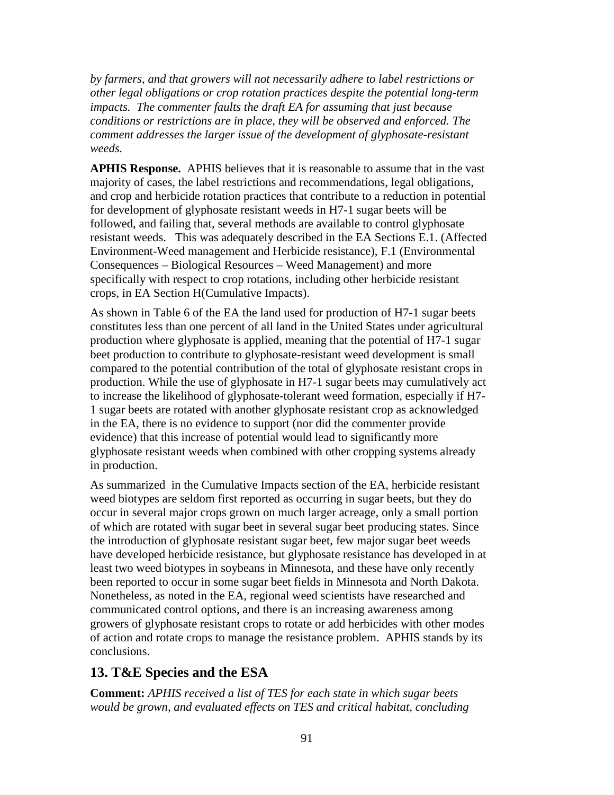*by farmers, and that growers will not necessarily adhere to label restrictions or other legal obligations or crop rotation practices despite the potential long-term impacts. The commenter faults the draft EA for assuming that just because conditions or restrictions are in place, they will be observed and enforced. The comment addresses the larger issue of the development of glyphosate-resistant weeds.*

**APHIS Response.** APHIS believes that it is reasonable to assume that in the vast majority of cases, the label restrictions and recommendations, legal obligations, and crop and herbicide rotation practices that contribute to a reduction in potential for development of glyphosate resistant weeds in H7-1 sugar beets will be followed, and failing that, several methods are available to control glyphosate resistant weeds. This was adequately described in the EA Sections E.1. (Affected Environment-Weed management and Herbicide resistance), F.1 (Environmental Consequences – Biological Resources – Weed Management) and more specifically with respect to crop rotations, including other herbicide resistant crops, in EA Section H(Cumulative Impacts).

As shown in Table 6 of the EA the land used for production of H7-1 sugar beets constitutes less than one percent of all land in the United States under agricultural production where glyphosate is applied, meaning that the potential of H7-1 sugar beet production to contribute to glyphosate-resistant weed development is small compared to the potential contribution of the total of glyphosate resistant crops in production. While the use of glyphosate in H7-1 sugar beets may cumulatively act to increase the likelihood of glyphosate-tolerant weed formation, especially if H7- 1 sugar beets are rotated with another glyphosate resistant crop as acknowledged in the EA, there is no evidence to support (nor did the commenter provide evidence) that this increase of potential would lead to significantly more glyphosate resistant weeds when combined with other cropping systems already in production.

As summarized in the Cumulative Impacts section of the EA, herbicide resistant weed biotypes are seldom first reported as occurring in sugar beets, but they do occur in several major crops grown on much larger acreage, only a small portion of which are rotated with sugar beet in several sugar beet producing states. Since the introduction of glyphosate resistant sugar beet, few major sugar beet weeds have developed herbicide resistance, but glyphosate resistance has developed in at least two weed biotypes in soybeans in Minnesota, and these have only recently been reported to occur in some sugar beet fields in Minnesota and North Dakota. Nonetheless, as noted in the EA, regional weed scientists have researched and communicated control options, and there is an increasing awareness among growers of glyphosate resistant crops to rotate or add herbicides with other modes of action and rotate crops to manage the resistance problem. APHIS stands by its conclusions.

## **13. T&E Species and the ESA**

**Comment:** *APHIS received a list of TES for each state in which sugar beets would be grown, and evaluated effects on TES and critical habitat, concluding*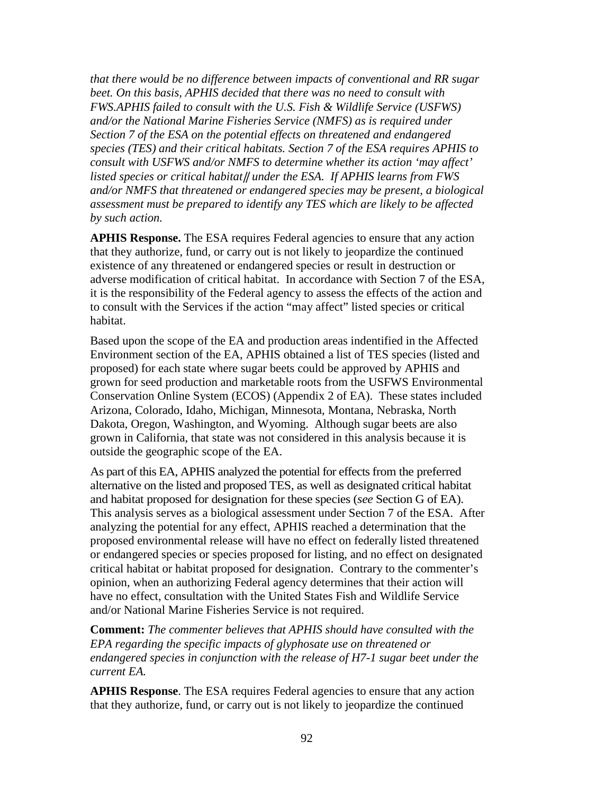*that there would be no difference between impacts of conventional and RR sugar beet. On this basis, APHIS decided that there was no need to consult with FWS.APHIS failed to consult with the U.S. Fish & Wildlife Service (USFWS) and/or the National Marine Fisheries Service (NMFS) as is required under Section 7 of the ESA on the potential effects on threatened and endangered species (TES) and their critical habitats. Section 7 of the ESA requires APHIS to consult with USFWS and/or NMFS to determine whether its action 'may affect' listed species or critical habitat*‖ *under the ESA. If APHIS learns from FWS and/or NMFS that threatened or endangered species may be present, a biological assessment must be prepared to identify any TES which are likely to be affected by such action.* 

**APHIS Response.** The ESA requires Federal agencies to ensure that any action that they authorize, fund, or carry out is not likely to jeopardize the continued existence of any threatened or endangered species or result in destruction or adverse modification of critical habitat. In accordance with Section 7 of the ESA, it is the responsibility of the Federal agency to assess the effects of the action and to consult with the Services if the action "may affect" listed species or critical habitat.

Based upon the scope of the EA and production areas indentified in the Affected Environment section of the EA, APHIS obtained a list of TES species (listed and proposed) for each state where sugar beets could be approved by APHIS and grown for seed production and marketable roots from the USFWS Environmental Conservation Online System (ECOS) (Appendix 2 of EA). These states included Arizona, Colorado, Idaho, Michigan, Minnesota, Montana, Nebraska, North Dakota, Oregon, Washington, and Wyoming. Although sugar beets are also grown in California, that state was not considered in this analysis because it is outside the geographic scope of the EA.

As part of this EA, APHIS analyzed the potential for effects from the preferred alternative on the listed and proposed TES, as well as designated critical habitat and habitat proposed for designation for these species (*see* Section G of EA). This analysis serves as a biological assessment under Section 7 of the ESA. After analyzing the potential for any effect, APHIS reached a determination that the proposed environmental release will have no effect on federally listed threatened or endangered species or species proposed for listing, and no effect on designated critical habitat or habitat proposed for designation. Contrary to the commenter's opinion, when an authorizing Federal agency determines that their action will have no effect, consultation with the United States Fish and Wildlife Service and/or National Marine Fisheries Service is not required.

**Comment:** *The commenter believes that APHIS should have consulted with the EPA regarding the specific impacts of glyphosate use on threatened or endangered species in conjunction with the release of H7-1 sugar beet under the current EA.*

**APHIS Response**. The ESA requires Federal agencies to ensure that any action that they authorize, fund, or carry out is not likely to jeopardize the continued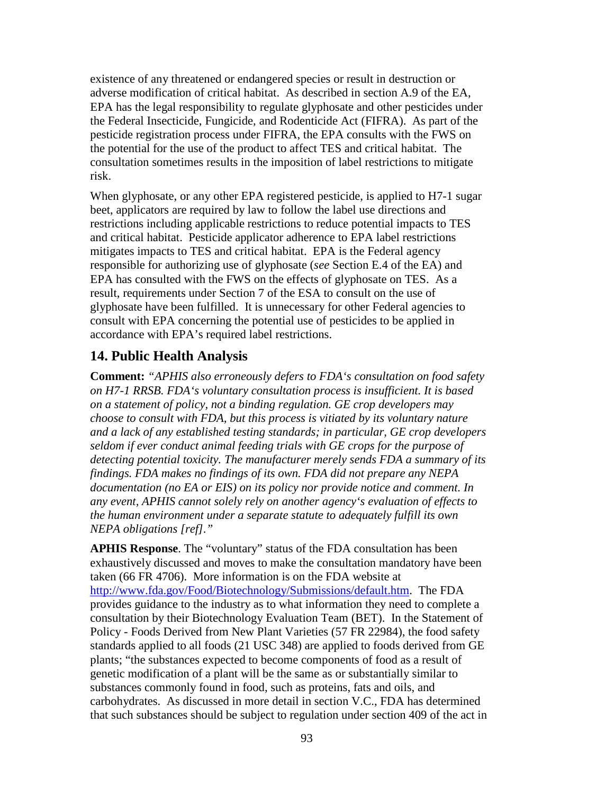existence of any threatened or endangered species or result in destruction or adverse modification of critical habitat. As described in section A.9 of the EA, EPA has the legal responsibility to regulate glyphosate and other pesticides under the Federal Insecticide, Fungicide, and Rodenticide Act (FIFRA). As part of the pesticide registration process under FIFRA, the EPA consults with the FWS on the potential for the use of the product to affect TES and critical habitat. The consultation sometimes results in the imposition of label restrictions to mitigate risk.

When glyphosate, or any other EPA registered pesticide, is applied to H7-1 sugar beet, applicators are required by law to follow the label use directions and restrictions including applicable restrictions to reduce potential impacts to TES and critical habitat. Pesticide applicator adherence to EPA label restrictions mitigates impacts to TES and critical habitat. EPA is the Federal agency responsible for authorizing use of glyphosate (*see* Section E.4 of the EA) and EPA has consulted with the FWS on the effects of glyphosate on TES. As a result, requirements under Section 7 of the ESA to consult on the use of glyphosate have been fulfilled. It is unnecessary for other Federal agencies to consult with EPA concerning the potential use of pesticides to be applied in accordance with EPA's required label restrictions.

## **14. Public Health Analysis**

**Comment:** *"APHIS also erroneously defers to FDA's consultation on food safety on H7-1 RRSB. FDA's voluntary consultation process is insufficient. It is based on a statement of policy, not a binding regulation. GE crop developers may choose to consult with FDA, but this process is vitiated by its voluntary nature and a lack of any established testing standards; in particular, GE crop developers seldom if ever conduct animal feeding trials with GE crops for the purpose of detecting potential toxicity. The manufacturer merely sends FDA a summary of its findings. FDA makes no findings of its own. FDA did not prepare any NEPA documentation (no EA or EIS) on its policy nor provide notice and comment. In any event, APHIS cannot solely rely on another agency's evaluation of effects to the human environment under a separate statute to adequately fulfill its own NEPA obligations [ref]."*

**APHIS Response**. The "voluntary" status of the FDA consultation has been exhaustively discussed and moves to make the consultation mandatory have been taken (66 FR 4706). More information is on the FDA website at [http://www.fda.gov/Food/Biotechnology/Submissions/default.htm.](http://www.fda.gov/Food/Biotechnology/Submissions/default.htm) The FDA provides guidance to the industry as to what information they need to complete a consultation by their Biotechnology Evaluation Team (BET). In the Statement of Policy - Foods Derived from New Plant Varieties (57 FR 22984), the food safety standards applied to all foods (21 USC 348) are applied to foods derived from GE plants; "the substances expected to become components of food as a result of genetic modification of a plant will be the same as or substantially similar to substances commonly found in food, such as proteins, fats and oils, and carbohydrates. As discussed in more detail in section V.C., FDA has determined that such substances should be subject to regulation under section 409 of the act in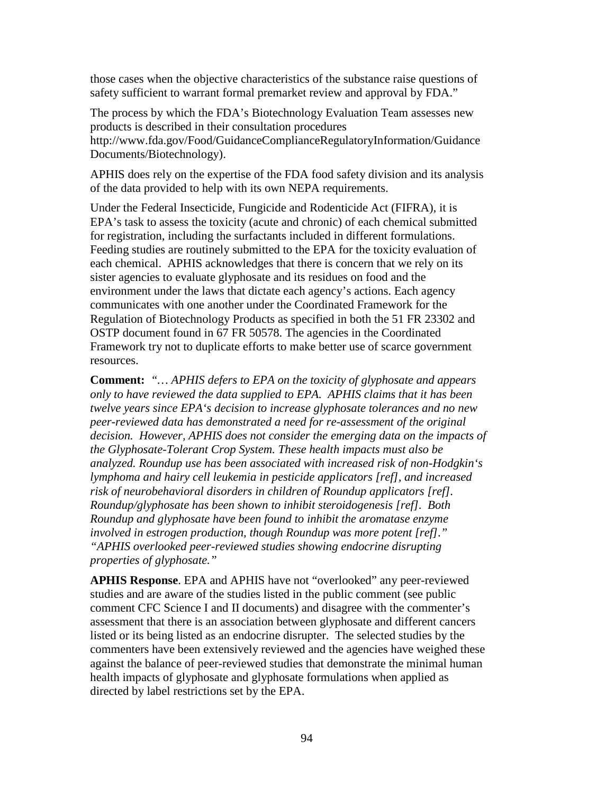those cases when the objective characteristics of the substance raise questions of safety sufficient to warrant formal premarket review and approval by FDA."

The process by which the FDA's Biotechnology Evaluation Team assesses new products is described in their consultation procedures http://www.fda.gov/Food/GuidanceComplianceRegulatoryInformation/Guidance Documents/Biotechnology).

APHIS does rely on the expertise of the FDA food safety division and its analysis of the data provided to help with its own NEPA requirements.

Under the Federal Insecticide, Fungicide and Rodenticide Act (FIFRA), it is EPA's task to assess the toxicity (acute and chronic) of each chemical submitted for registration, including the surfactants included in different formulations. Feeding studies are routinely submitted to the EPA for the toxicity evaluation of each chemical. APHIS acknowledges that there is concern that we rely on its sister agencies to evaluate glyphosate and its residues on food and the environment under the laws that dictate each agency's actions. Each agency communicates with one another under the Coordinated Framework for the Regulation of Biotechnology Products as specified in both the 51 FR 23302 and OSTP document found in 67 FR 50578. The agencies in the Coordinated Framework try not to duplicate efforts to make better use of scarce government resources.

**Comment:** *"… APHIS defers to EPA on the toxicity of glyphosate and appears only to have reviewed the data supplied to EPA. APHIS claims that it has been twelve years since EPA's decision to increase glyphosate tolerances and no new peer-reviewed data has demonstrated a need for re-assessment of the original decision. However, APHIS does not consider the emerging data on the impacts of the Glyphosate-Tolerant Crop System. These health impacts must also be analyzed. Roundup use has been associated with increased risk of non-Hodgkin's lymphoma and hairy cell leukemia in pesticide applicators [ref], and increased risk of neurobehavioral disorders in children of Roundup applicators [ref]. Roundup/glyphosate has been shown to inhibit steroidogenesis [ref]. Both Roundup and glyphosate have been found to inhibit the aromatase enzyme involved in estrogen production, though Roundup was more potent [ref]." "APHIS overlooked peer-reviewed studies showing endocrine disrupting properties of glyphosate."*

**APHIS Response**. EPA and APHIS have not "overlooked" any peer-reviewed studies and are aware of the studies listed in the public comment (see public comment CFC Science I and II documents) and disagree with the commenter's assessment that there is an association between glyphosate and different cancers listed or its being listed as an endocrine disrupter. The selected studies by the commenters have been extensively reviewed and the agencies have weighed these against the balance of peer-reviewed studies that demonstrate the minimal human health impacts of glyphosate and glyphosate formulations when applied as directed by label restrictions set by the EPA.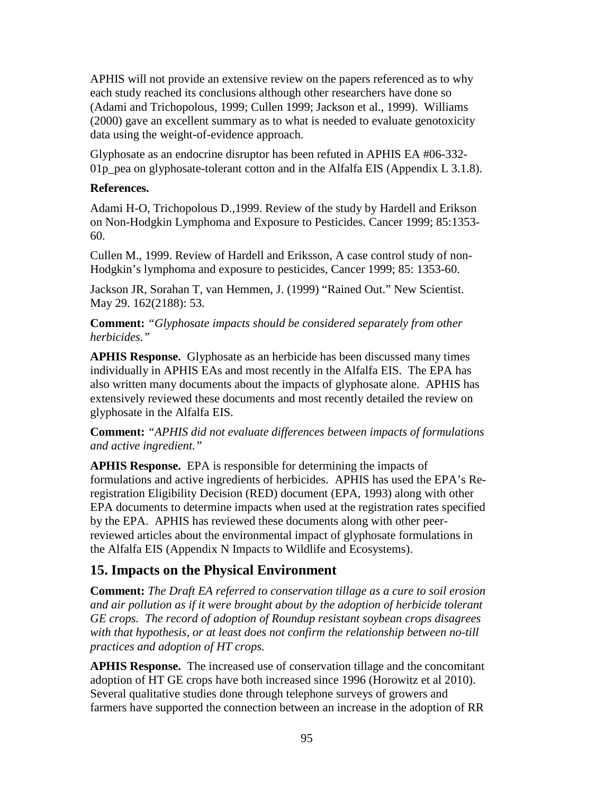APHIS will not provide an extensive review on the papers referenced as to why each study reached its conclusions although other researchers have done so (Adami and Trichopolous, 1999; Cullen 1999; Jackson et al., 1999). Williams (2000) gave an excellent summary as to what is needed to evaluate genotoxicity data using the weight-of-evidence approach.

Glyphosate as an endocrine disruptor has been refuted in APHIS EA #06-332- 01p pea on glyphosate-tolerant cotton and in the Alfalfa EIS (Appendix L 3.1.8).

### **References.**

Adami H-O, Trichopolous D.,1999. Review of the study by Hardell and Erikson on Non-Hodgkin Lymphoma and Exposure to Pesticides. Cancer 1999; 85:1353- 60.

Cullen M., 1999. Review of Hardell and Eriksson, A case control study of non-Hodgkin's lymphoma and exposure to pesticides, Cancer 1999; 85: 1353-60.

Jackson JR, Sorahan T, van Hemmen, J. (1999) "Rained Out." New Scientist. May 29. 162(2188): 53.

**Comment:** *"Glyphosate impacts should be considered separately from other herbicides."*

**APHIS Response.** Glyphosate as an herbicide has been discussed many times individually in APHIS EAs and most recently in the Alfalfa EIS. The EPA has also written many documents about the impacts of glyphosate alone. APHIS has extensively reviewed these documents and most recently detailed the review on glyphosate in the Alfalfa EIS.

**Comment:** *"APHIS did not evaluate differences between impacts of formulations and active ingredient."*

**APHIS Response.** EPA is responsible for determining the impacts of formulations and active ingredients of herbicides. APHIS has used the EPA's Reregistration Eligibility Decision (RED) document (EPA, 1993) along with other EPA documents to determine impacts when used at the registration rates specified by the EPA. APHIS has reviewed these documents along with other peerreviewed articles about the environmental impact of glyphosate formulations in the Alfalfa EIS (Appendix N Impacts to Wildlife and Ecosystems).

## **15. Impacts on the Physical Environment**

**Comment:** *The Draft EA referred to conservation tillage as a cure to soil erosion and air pollution as if it were brought about by the adoption of herbicide tolerant GE crops. The record of adoption of Roundup resistant soybean crops disagrees with that hypothesis, or at least does not confirm the relationship between no-till practices and adoption of HT crops.*

**APHIS Response.** The increased use of conservation tillage and the concomitant adoption of HT GE crops have both increased since 1996 (Horowitz et al 2010). Several qualitative studies done through telephone surveys of growers and farmers have supported the connection between an increase in the adoption of RR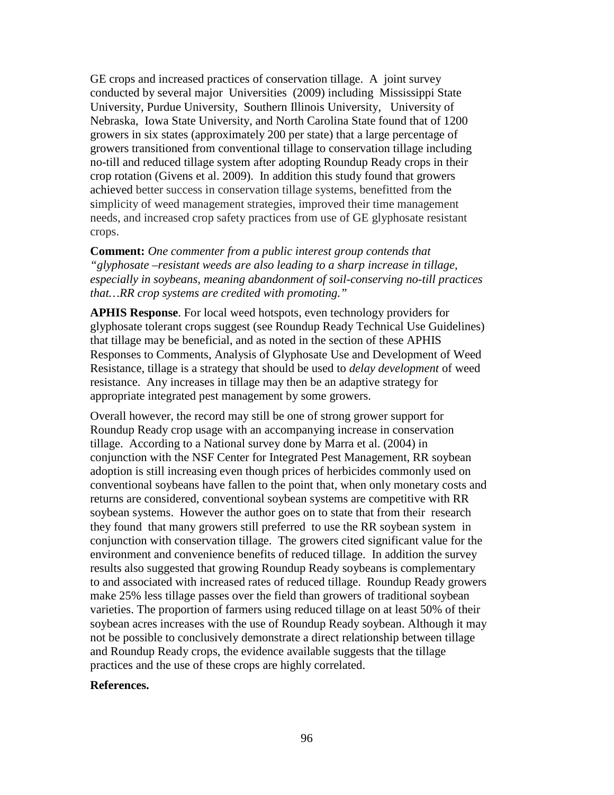GE crops and increased practices of conservation tillage. A joint survey conducted by several major Universities (2009) including Mississippi State University, Purdue University, Southern Illinois University, University of Nebraska, Iowa State University, and North Carolina State found that of 1200 growers in six states (approximately 200 per state) that a large percentage of growers transitioned from conventional tillage to conservation tillage including no-till and reduced tillage system after adopting Roundup Ready crops in their crop rotation (Givens et al. 2009). In addition this study found that growers achieved better success in conservation tillage systems, benefitted from the simplicity of weed management strategies, improved their time management needs, and increased crop safety practices from use of GE glyphosate resistant crops.

**Comment:** *One commenter from a public interest group contends that "glyphosate –resistant weeds are also leading to a sharp increase in tillage, especially in soybeans, meaning abandonment of soil-conserving no-till practices that…RR crop systems are credited with promoting."*

**APHIS Response**. For local weed hotspots, even technology providers for glyphosate tolerant crops suggest (see Roundup Ready Technical Use Guidelines) that tillage may be beneficial, and as noted in the section of these APHIS Responses to Comments, Analysis of Glyphosate Use and Development of Weed Resistance, tillage is a strategy that should be used to *delay development* of weed resistance. Any increases in tillage may then be an adaptive strategy for appropriate integrated pest management by some growers.

Overall however, the record may still be one of strong grower support for Roundup Ready crop usage with an accompanying increase in conservation tillage. According to a National survey done by Marra et al. (2004) in conjunction with the NSF Center for Integrated Pest Management, RR soybean adoption is still increasing even though prices of herbicides commonly used on conventional soybeans have fallen to the point that, when only monetary costs and returns are considered, conventional soybean systems are competitive with RR soybean systems. However the author goes on to state that from their research they found that many growers still preferred to use the RR soybean system in conjunction with conservation tillage. The growers cited significant value for the environment and convenience benefits of reduced tillage. In addition the survey results also suggested that growing Roundup Ready soybeans is complementary to and associated with increased rates of reduced tillage. Roundup Ready growers make 25% less tillage passes over the field than growers of traditional soybean varieties. The proportion of farmers using reduced tillage on at least 50% of their soybean acres increases with the use of Roundup Ready soybean. Although it may not be possible to conclusively demonstrate a direct relationship between tillage and Roundup Ready crops, the evidence available suggests that the tillage practices and the use of these crops are highly correlated.

#### **References.**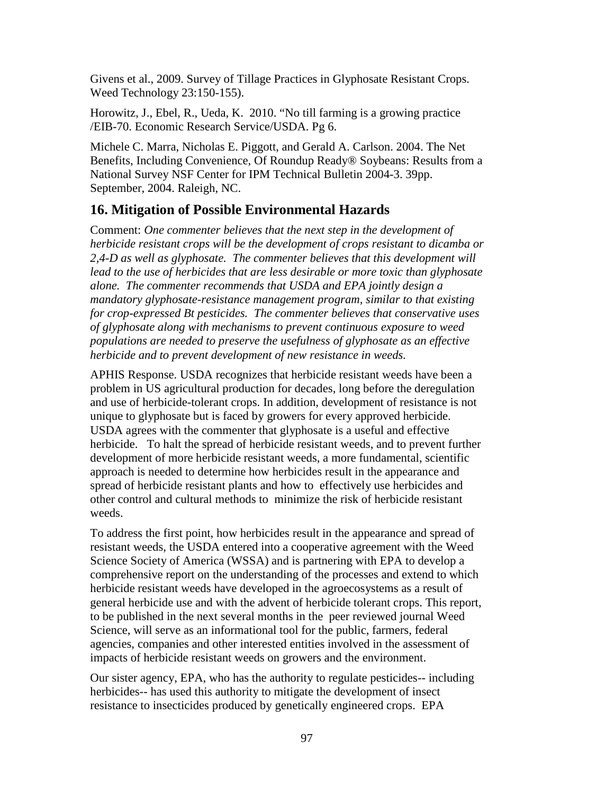Givens et al., 2009. Survey of Tillage Practices in Glyphosate Resistant Crops. Weed Technology 23:150-155).

Horowitz, J., Ebel, R., Ueda, K. 2010. "No till farming is a growing practice /EIB-70. Economic Research Service/USDA. Pg 6.

Michele C. Marra, Nicholas E. Piggott, and Gerald A. Carlson. 2004. The Net Benefits, Including Convenience, Of Roundup Ready® Soybeans: Results from a National Survey NSF Center for IPM Technical Bulletin 2004-3. 39pp. September, 2004. Raleigh, NC.

# **16. Mitigation of Possible Environmental Hazards**

Comment: *One commenter believes that the next step in the development of herbicide resistant crops will be the development of crops resistant to dicamba or 2,4-D as well as glyphosate. The commenter believes that this development will lead to the use of herbicides that are less desirable or more toxic than glyphosate alone. The commenter recommends that USDA and EPA jointly design a mandatory glyphosate-resistance management program, similar to that existing for crop-expressed Bt pesticides. The commenter believes that conservative uses of glyphosate along with mechanisms to prevent continuous exposure to weed populations are needed to preserve the usefulness of glyphosate as an effective herbicide and to prevent development of new resistance in weeds.*

APHIS Response. USDA recognizes that herbicide resistant weeds have been a problem in US agricultural production for decades, long before the deregulation and use of herbicide-tolerant crops. In addition, development of resistance is not unique to glyphosate but is faced by growers for every approved herbicide. USDA agrees with the commenter that glyphosate is a useful and effective herbicide. To halt the spread of herbicide resistant weeds, and to prevent further development of more herbicide resistant weeds, a more fundamental, scientific approach is needed to determine how herbicides result in the appearance and spread of herbicide resistant plants and how to effectively use herbicides and other control and cultural methods to minimize the risk of herbicide resistant weeds.

To address the first point, how herbicides result in the appearance and spread of resistant weeds, the USDA entered into a cooperative agreement with the Weed Science Society of America (WSSA) and is partnering with EPA to develop a comprehensive report on the understanding of the processes and extend to which herbicide resistant weeds have developed in the agroecosystems as a result of general herbicide use and with the advent of herbicide tolerant crops. This report, to be published in the next several months in the peer reviewed journal Weed Science, will serve as an informational tool for the public, farmers, federal agencies, companies and other interested entities involved in the assessment of impacts of herbicide resistant weeds on growers and the environment.

Our sister agency, EPA, who has the authority to regulate pesticides-- including herbicides-- has used this authority to mitigate the development of insect resistance to insecticides produced by genetically engineered crops. EPA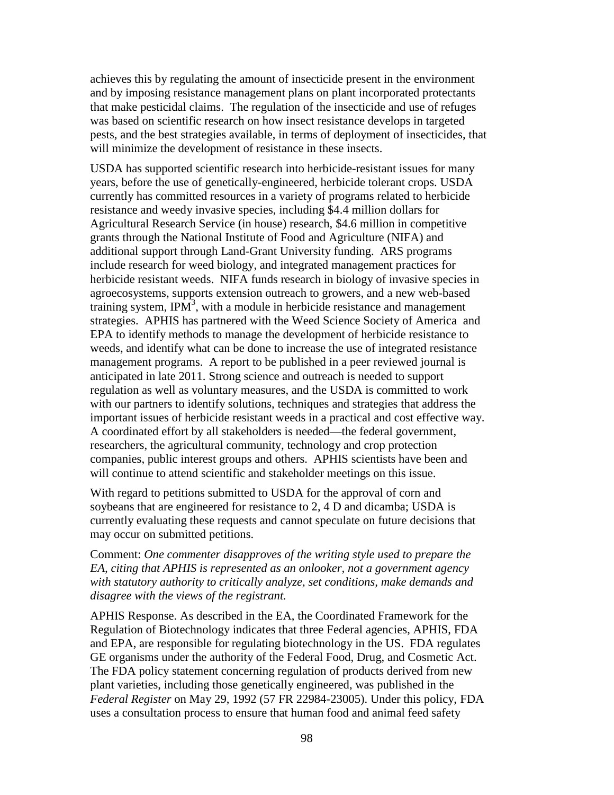achieves this by regulating the amount of insecticide present in the environment and by imposing resistance management plans on plant incorporated protectants that make pesticidal claims. The regulation of the insecticide and use of refuges was based on scientific research on how insect resistance develops in targeted pests, and the best strategies available, in terms of deployment of insecticides, that will minimize the development of resistance in these insects.

USDA has supported scientific research into herbicide-resistant issues for many years, before the use of genetically-engineered, herbicide tolerant crops. USDA currently has committed resources in a variety of programs related to herbicide resistance and weedy invasive species, including \$4.4 million dollars for Agricultural Research Service (in house) research, \$4.6 million in competitive grants through the National Institute of Food and Agriculture (NIFA) and additional support through Land-Grant University funding. ARS programs include research for weed biology, and integrated management practices for herbicide resistant weeds. NIFA funds research in biology of invasive species in agroecosystems, supports extension outreach to growers, and a new web-based training system, IP $\overline{M}^3$ , with a module in herbicide resistance and management strategies. APHIS has partnered with the Weed Science Society of America and EPA to identify methods to manage the development of herbicide resistance to weeds, and identify what can be done to increase the use of integrated resistance management programs. A report to be published in a peer reviewed journal is anticipated in late 2011. Strong science and outreach is needed to support regulation as well as voluntary measures, and the USDA is committed to work with our partners to identify solutions, techniques and strategies that address the important issues of herbicide resistant weeds in a practical and cost effective way. A coordinated effort by all stakeholders is needed—the federal government, researchers, the agricultural community, technology and crop protection companies, public interest groups and others. APHIS scientists have been and will continue to attend scientific and stakeholder meetings on this issue.

With regard to petitions submitted to USDA for the approval of corn and soybeans that are engineered for resistance to 2, 4 D and dicamba; USDA is currently evaluating these requests and cannot speculate on future decisions that may occur on submitted petitions.

Comment: *One commenter disapproves of the writing style used to prepare the EA, citing that APHIS is represented as an onlooker, not a government agency with statutory authority to critically analyze, set conditions, make demands and disagree with the views of the registrant.*

APHIS Response. As described in the EA, the Coordinated Framework for the Regulation of Biotechnology indicates that three Federal agencies, APHIS, FDA and EPA, are responsible for regulating biotechnology in the US. FDA regulates GE organisms under the authority of the Federal Food, Drug, and Cosmetic Act. The FDA policy statement concerning regulation of products derived from new plant varieties, including those genetically engineered, was published in the *Federal Register* on May 29, 1992 (57 FR 22984-23005). Under this policy, FDA uses a consultation process to ensure that human food and animal feed safety